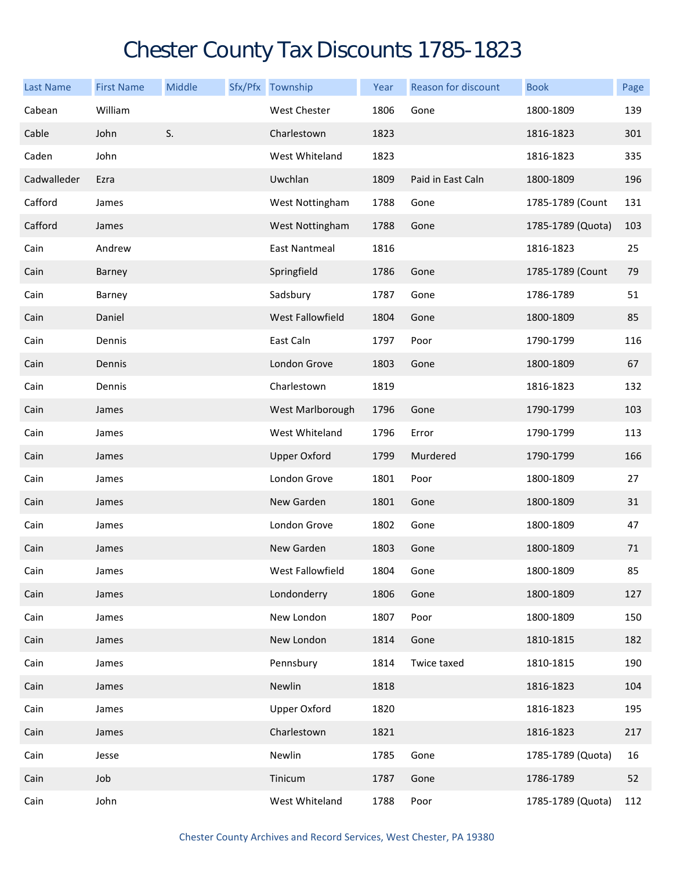## Chester County Tax Discounts 1785-1823

| <b>Last Name</b> | <b>First Name</b> | <b>Middle</b> | Sfx/Pfx Township    | Year | <b>Reason for discount</b> | <b>Book</b>       | Page |
|------------------|-------------------|---------------|---------------------|------|----------------------------|-------------------|------|
| Cabean           | William           |               | West Chester        | 1806 | Gone                       | 1800-1809         | 139  |
| Cable            | John              | S.            | Charlestown         | 1823 |                            | 1816-1823         | 301  |
| Caden            | John              |               | West Whiteland      | 1823 |                            | 1816-1823         | 335  |
| Cadwalleder      | Ezra              |               | Uwchlan             | 1809 | Paid in East Caln          | 1800-1809         | 196  |
| Cafford          | James             |               | West Nottingham     | 1788 | Gone                       | 1785-1789 (Count  | 131  |
| Cafford          | James             |               | West Nottingham     | 1788 | Gone                       | 1785-1789 (Quota) | 103  |
| Cain             | Andrew            |               | East Nantmeal       | 1816 |                            | 1816-1823         | 25   |
| Cain             | Barney            |               | Springfield         | 1786 | Gone                       | 1785-1789 (Count  | 79   |
| Cain             | Barney            |               | Sadsbury            | 1787 | Gone                       | 1786-1789         | 51   |
| Cain             | Daniel            |               | West Fallowfield    | 1804 | Gone                       | 1800-1809         | 85   |
| Cain             | Dennis            |               | East Caln           | 1797 | Poor                       | 1790-1799         | 116  |
| Cain             | Dennis            |               | London Grove        | 1803 | Gone                       | 1800-1809         | 67   |
| Cain             | Dennis            |               | Charlestown         | 1819 |                            | 1816-1823         | 132  |
| Cain             | James             |               | West Marlborough    | 1796 | Gone                       | 1790-1799         | 103  |
| Cain             | James             |               | West Whiteland      | 1796 | Error                      | 1790-1799         | 113  |
| Cain             | James             |               | <b>Upper Oxford</b> | 1799 | Murdered                   | 1790-1799         | 166  |
| Cain             | James             |               | London Grove        | 1801 | Poor                       | 1800-1809         | 27   |
| Cain             | James             |               | New Garden          | 1801 | Gone                       | 1800-1809         | 31   |
| Cain             | James             |               | London Grove        | 1802 | Gone                       | 1800-1809         | 47   |
| Cain             | James             |               | New Garden          | 1803 | Gone                       | 1800-1809         | 71   |
| Cain             | James             |               | West Fallowfield    | 1804 | Gone                       | 1800-1809         | 85   |
| Cain             | James             |               | Londonderry         | 1806 | Gone                       | 1800-1809         | 127  |
| Cain             | James             |               | New London          | 1807 | Poor                       | 1800-1809         | 150  |
| Cain             | James             |               | New London          | 1814 | Gone                       | 1810-1815         | 182  |
| Cain             | James             |               | Pennsbury           | 1814 | Twice taxed                | 1810-1815         | 190  |
| Cain             | James             |               | Newlin              | 1818 |                            | 1816-1823         | 104  |
| Cain             | James             |               | <b>Upper Oxford</b> | 1820 |                            | 1816-1823         | 195  |
| Cain             | James             |               | Charlestown         | 1821 |                            | 1816-1823         | 217  |
| Cain             | Jesse             |               | Newlin              | 1785 | Gone                       | 1785-1789 (Quota) | 16   |
| Cain             | Job               |               | Tinicum             | 1787 | Gone                       | 1786-1789         | 52   |
| Cain             | John              |               | West Whiteland      | 1788 | Poor                       | 1785-1789 (Quota) | 112  |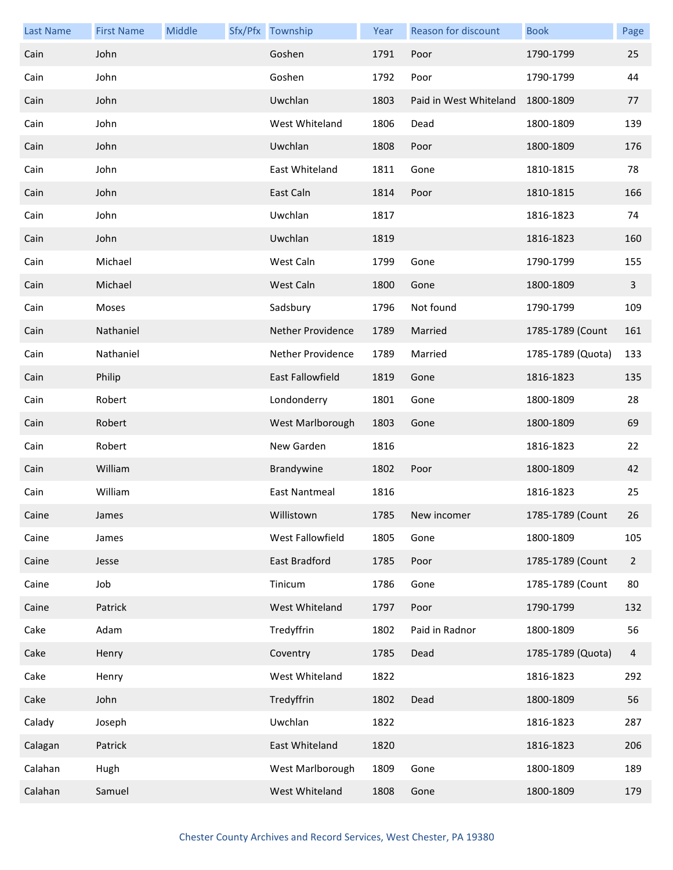| <b>Last Name</b> | <b>First Name</b> | Middle | Sfx/Pfx Township     | Year | Reason for discount    | <b>Book</b>       | Page           |
|------------------|-------------------|--------|----------------------|------|------------------------|-------------------|----------------|
| Cain             | John              |        | Goshen               | 1791 | Poor                   | 1790-1799         | 25             |
| Cain             | John              |        | Goshen               | 1792 | Poor                   | 1790-1799         | 44             |
| Cain             | John              |        | Uwchlan              | 1803 | Paid in West Whiteland | 1800-1809         | 77             |
| Cain             | John              |        | West Whiteland       | 1806 | Dead                   | 1800-1809         | 139            |
| Cain             | John              |        | Uwchlan              | 1808 | Poor                   | 1800-1809         | 176            |
| Cain             | John              |        | East Whiteland       | 1811 | Gone                   | 1810-1815         | 78             |
| Cain             | John              |        | East Caln            | 1814 | Poor                   | 1810-1815         | 166            |
| Cain             | John              |        | Uwchlan              | 1817 |                        | 1816-1823         | 74             |
| Cain             | John              |        | Uwchlan              | 1819 |                        | 1816-1823         | 160            |
| Cain             | Michael           |        | West Caln            | 1799 | Gone                   | 1790-1799         | 155            |
| Cain             | Michael           |        | West Caln            | 1800 | Gone                   | 1800-1809         | $\overline{3}$ |
| Cain             | Moses             |        | Sadsbury             | 1796 | Not found              | 1790-1799         | 109            |
| Cain             | Nathaniel         |        | Nether Providence    | 1789 | Married                | 1785-1789 (Count  | 161            |
| Cain             | Nathaniel         |        | Nether Providence    | 1789 | Married                | 1785-1789 (Quota) | 133            |
| Cain             | Philip            |        | East Fallowfield     | 1819 | Gone                   | 1816-1823         | 135            |
| Cain             | Robert            |        | Londonderry          | 1801 | Gone                   | 1800-1809         | 28             |
| Cain             | Robert            |        | West Marlborough     | 1803 | Gone                   | 1800-1809         | 69             |
| Cain             | Robert            |        | New Garden           | 1816 |                        | 1816-1823         | 22             |
| Cain             | William           |        | Brandywine           | 1802 | Poor                   | 1800-1809         | 42             |
| Cain             | William           |        | <b>East Nantmeal</b> | 1816 |                        | 1816-1823         | 25             |
| Caine            | James             |        | Willistown           | 1785 | New incomer            | 1785-1789 (Count  | 26             |
| Caine            | James             |        | West Fallowfield     | 1805 | Gone                   | 1800-1809         | 105            |
| Caine            | Jesse             |        | East Bradford        | 1785 | Poor                   | 1785-1789 (Count  | $\overline{2}$ |
| Caine            | Job               |        | Tinicum              | 1786 | Gone                   | 1785-1789 (Count  | 80             |
| Caine            | Patrick           |        | West Whiteland       | 1797 | Poor                   | 1790-1799         | 132            |
| Cake             | Adam              |        | Tredyffrin           | 1802 | Paid in Radnor         | 1800-1809         | 56             |
| Cake             | Henry             |        | Coventry             | 1785 | Dead                   | 1785-1789 (Quota) | 4              |
| Cake             | Henry             |        | West Whiteland       | 1822 |                        | 1816-1823         | 292            |
| Cake             | John              |        | Tredyffrin           | 1802 | Dead                   | 1800-1809         | 56             |
| Calady           | Joseph            |        | Uwchlan              | 1822 |                        | 1816-1823         | 287            |
| Calagan          | Patrick           |        | East Whiteland       | 1820 |                        | 1816-1823         | 206            |
| Calahan          | Hugh              |        | West Marlborough     | 1809 | Gone                   | 1800-1809         | 189            |
| Calahan          | Samuel            |        | West Whiteland       | 1808 | Gone                   | 1800-1809         | 179            |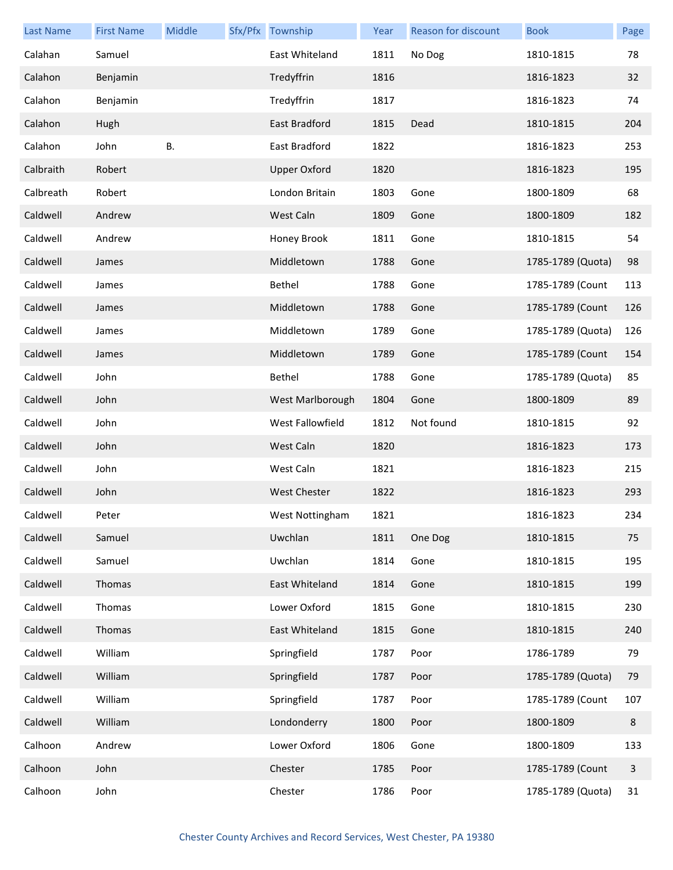| <b>Last Name</b> | <b>First Name</b> | Middle    | Sfx/Pfx Township    | Year | Reason for discount | <b>Book</b>       | Page    |
|------------------|-------------------|-----------|---------------------|------|---------------------|-------------------|---------|
| Calahan          | Samuel            |           | East Whiteland      | 1811 | No Dog              | 1810-1815         | 78      |
| Calahon          | Benjamin          |           | Tredyffrin          | 1816 |                     | 1816-1823         | 32      |
| Calahon          | Benjamin          |           | Tredyffrin          | 1817 |                     | 1816-1823         | 74      |
| Calahon          | Hugh              |           | East Bradford       | 1815 | Dead                | 1810-1815         | 204     |
| Calahon          | John              | <b>B.</b> | East Bradford       | 1822 |                     | 1816-1823         | 253     |
| Calbraith        | Robert            |           | <b>Upper Oxford</b> | 1820 |                     | 1816-1823         | 195     |
| Calbreath        | Robert            |           | London Britain      | 1803 | Gone                | 1800-1809         | 68      |
| Caldwell         | Andrew            |           | West Caln           | 1809 | Gone                | 1800-1809         | 182     |
| Caldwell         | Andrew            |           | Honey Brook         | 1811 | Gone                | 1810-1815         | 54      |
| Caldwell         | James             |           | Middletown          | 1788 | Gone                | 1785-1789 (Quota) | 98      |
| Caldwell         | James             |           | Bethel              | 1788 | Gone                | 1785-1789 (Count  | 113     |
| Caldwell         | James             |           | Middletown          | 1788 | Gone                | 1785-1789 (Count  | 126     |
| Caldwell         | James             |           | Middletown          | 1789 | Gone                | 1785-1789 (Quota) | 126     |
| Caldwell         | James             |           | Middletown          | 1789 | Gone                | 1785-1789 (Count  | 154     |
| Caldwell         | John              |           | Bethel              | 1788 | Gone                | 1785-1789 (Quota) | 85      |
| Caldwell         | John              |           | West Marlborough    | 1804 | Gone                | 1800-1809         | 89      |
| Caldwell         | John              |           | West Fallowfield    | 1812 | Not found           | 1810-1815         | 92      |
| Caldwell         | John              |           | West Caln           | 1820 |                     | 1816-1823         | 173     |
| Caldwell         | John              |           | West Caln           | 1821 |                     | 1816-1823         | 215     |
| Caldwell         | John              |           | West Chester        | 1822 |                     | 1816-1823         | 293     |
| Caldwell         | Peter             |           | West Nottingham     | 1821 |                     | 1816-1823         | 234     |
| Caldwell         | Samuel            |           | Uwchlan             | 1811 | One Dog             | 1810-1815         | 75      |
| Caldwell         | Samuel            |           | Uwchlan             | 1814 | Gone                | 1810-1815         | 195     |
| Caldwell         | Thomas            |           | East Whiteland      | 1814 | Gone                | 1810-1815         | 199     |
| Caldwell         | Thomas            |           | Lower Oxford        | 1815 | Gone                | 1810-1815         | 230     |
| Caldwell         | Thomas            |           | East Whiteland      | 1815 | Gone                | 1810-1815         | 240     |
| Caldwell         | William           |           | Springfield         | 1787 | Poor                | 1786-1789         | 79      |
| Caldwell         | William           |           | Springfield         | 1787 | Poor                | 1785-1789 (Quota) | 79      |
| Caldwell         | William           |           | Springfield         | 1787 | Poor                | 1785-1789 (Count  | 107     |
| Caldwell         | William           |           | Londonderry         | 1800 | Poor                | 1800-1809         | $\,8\,$ |
| Calhoon          | Andrew            |           | Lower Oxford        | 1806 | Gone                | 1800-1809         | 133     |
| Calhoon          | John              |           | Chester             | 1785 | Poor                | 1785-1789 (Count  | 3       |
| Calhoon          | John              |           | Chester             | 1786 | Poor                | 1785-1789 (Quota) | 31      |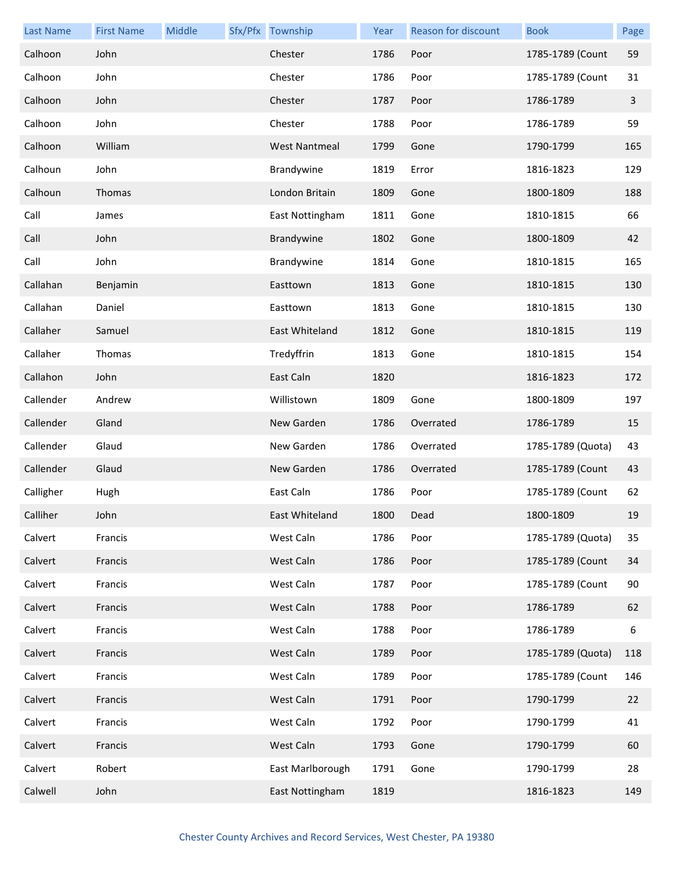| <b>Last Name</b> | <b>First Name</b> | Middle | Sfx/Pfx Township | Year | Reason for discount | <b>Book</b>       | Page |
|------------------|-------------------|--------|------------------|------|---------------------|-------------------|------|
| Calhoon          | John              |        | Chester          | 1786 | Poor                | 1785-1789 (Count  | 59   |
| Calhoon          | John              |        | Chester          | 1786 | Poor                | 1785-1789 (Count  | 31   |
| Calhoon          | John              |        | Chester          | 1787 | Poor                | 1786-1789         | 3    |
| Calhoon          | John              |        | Chester          | 1788 | Poor                | 1786-1789         | 59   |
| Calhoon          | William           |        | West Nantmeal    | 1799 | Gone                | 1790-1799         | 165  |
| Calhoun          | John              |        | Brandywine       | 1819 | Error               | 1816-1823         | 129  |
| Calhoun          | Thomas            |        | London Britain   | 1809 | Gone                | 1800-1809         | 188  |
| Call             | James             |        | East Nottingham  | 1811 | Gone                | 1810-1815         | 66   |
| Call             | John              |        | Brandywine       | 1802 | Gone                | 1800-1809         | 42   |
| Call             | John              |        | Brandywine       | 1814 | Gone                | 1810-1815         | 165  |
| Callahan         | Benjamin          |        | Easttown         | 1813 | Gone                | 1810-1815         | 130  |
| Callahan         | Daniel            |        | Easttown         | 1813 | Gone                | 1810-1815         | 130  |
| Callaher         | Samuel            |        | East Whiteland   | 1812 | Gone                | 1810-1815         | 119  |
| Callaher         | Thomas            |        | Tredyffrin       | 1813 | Gone                | 1810-1815         | 154  |
| Callahon         | John              |        | East Caln        | 1820 |                     | 1816-1823         | 172  |
| Callender        | Andrew            |        | Willistown       | 1809 | Gone                | 1800-1809         | 197  |
| Callender        | Gland             |        | New Garden       | 1786 | Overrated           | 1786-1789         | 15   |
| Callender        | Glaud             |        | New Garden       | 1786 | Overrated           | 1785-1789 (Quota) | 43   |
| Callender        | Glaud             |        | New Garden       | 1786 | Overrated           | 1785-1789 (Count  | 43   |
| Calligher        | Hugh              |        | East Caln        | 1786 | Poor                | 1785-1789 (Count  | 62   |
| Calliher         | John              |        | East Whiteland   | 1800 | Dead                | 1800-1809         | 19   |
| Calvert          | Francis           |        | West Caln        | 1786 | Poor                | 1785-1789 (Quota) | 35   |
| Calvert          | Francis           |        | West Caln        | 1786 | Poor                | 1785-1789 (Count  | 34   |
| Calvert          | Francis           |        | West Caln        | 1787 | Poor                | 1785-1789 (Count  | 90   |
| Calvert          | Francis           |        | West Caln        | 1788 | Poor                | 1786-1789         | 62   |
| Calvert          | Francis           |        | West Caln        | 1788 | Poor                | 1786-1789         | 6    |
| Calvert          | Francis           |        | West Caln        | 1789 | Poor                | 1785-1789 (Quota) | 118  |
| Calvert          | Francis           |        | West Caln        | 1789 | Poor                | 1785-1789 (Count  | 146  |
| Calvert          | Francis           |        | West Caln        | 1791 | Poor                | 1790-1799         | 22   |
| Calvert          | Francis           |        | West Caln        | 1792 | Poor                | 1790-1799         | 41   |
| Calvert          | Francis           |        | West Caln        | 1793 | Gone                | 1790-1799         | 60   |
| Calvert          | Robert            |        | East Marlborough | 1791 | Gone                | 1790-1799         | 28   |
| Calwell          | John              |        | East Nottingham  | 1819 |                     | 1816-1823         | 149  |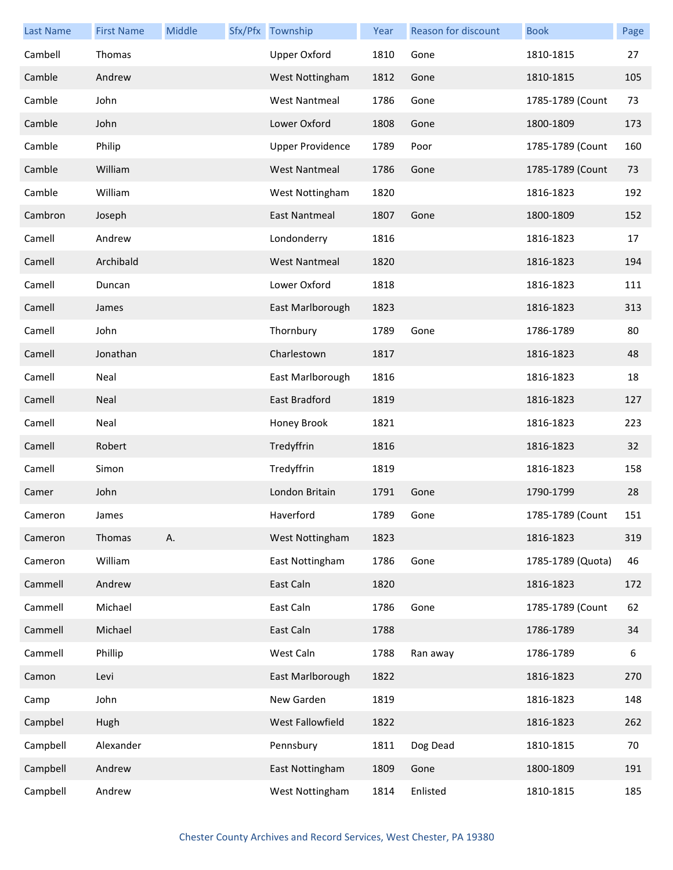| <b>Last Name</b> | <b>First Name</b> | Middle | Sfx/Pfx Township        | Year | Reason for discount | <b>Book</b>       | Page |
|------------------|-------------------|--------|-------------------------|------|---------------------|-------------------|------|
| Cambell          | Thomas            |        | <b>Upper Oxford</b>     | 1810 | Gone                | 1810-1815         | 27   |
| Camble           | Andrew            |        | West Nottingham         | 1812 | Gone                | 1810-1815         | 105  |
| Camble           | John              |        | <b>West Nantmeal</b>    | 1786 | Gone                | 1785-1789 (Count  | 73   |
| Camble           | John              |        | Lower Oxford            | 1808 | Gone                | 1800-1809         | 173  |
| Camble           | Philip            |        | <b>Upper Providence</b> | 1789 | Poor                | 1785-1789 (Count  | 160  |
| Camble           | William           |        | <b>West Nantmeal</b>    | 1786 | Gone                | 1785-1789 (Count  | 73   |
| Camble           | William           |        | West Nottingham         | 1820 |                     | 1816-1823         | 192  |
| Cambron          | Joseph            |        | East Nantmeal           | 1807 | Gone                | 1800-1809         | 152  |
| Camell           | Andrew            |        | Londonderry             | 1816 |                     | 1816-1823         | 17   |
| Camell           | Archibald         |        | <b>West Nantmeal</b>    | 1820 |                     | 1816-1823         | 194  |
| Camell           | Duncan            |        | Lower Oxford            | 1818 |                     | 1816-1823         | 111  |
| Camell           | James             |        | East Marlborough        | 1823 |                     | 1816-1823         | 313  |
| Camell           | John              |        | Thornbury               | 1789 | Gone                | 1786-1789         | 80   |
| Camell           | Jonathan          |        | Charlestown             | 1817 |                     | 1816-1823         | 48   |
| Camell           | Neal              |        | East Marlborough        | 1816 |                     | 1816-1823         | 18   |
| Camell           | Neal              |        | East Bradford           | 1819 |                     | 1816-1823         | 127  |
| Camell           | Neal              |        | Honey Brook             | 1821 |                     | 1816-1823         | 223  |
| Camell           | Robert            |        | Tredyffrin              | 1816 |                     | 1816-1823         | 32   |
| Camell           | Simon             |        | Tredyffrin              | 1819 |                     | 1816-1823         | 158  |
| Camer            | John              |        | London Britain          | 1791 | Gone                | 1790-1799         | 28   |
| Cameron          | James             |        | Haverford               | 1789 | Gone                | 1785-1789 (Count  | 151  |
| Cameron          | Thomas            | Α.     | West Nottingham         | 1823 |                     | 1816-1823         | 319  |
| Cameron          | William           |        | East Nottingham         | 1786 | Gone                | 1785-1789 (Quota) | 46   |
| Cammell          | Andrew            |        | East Caln               | 1820 |                     | 1816-1823         | 172  |
| Cammell          | Michael           |        | East Caln               | 1786 | Gone                | 1785-1789 (Count  | 62   |
| Cammell          | Michael           |        | East Caln               | 1788 |                     | 1786-1789         | 34   |
| Cammell          | Phillip           |        | West Caln               | 1788 | Ran away            | 1786-1789         | 6    |
| Camon            | Levi              |        | East Marlborough        | 1822 |                     | 1816-1823         | 270  |
| Camp             | John              |        | New Garden              | 1819 |                     | 1816-1823         | 148  |
| Campbel          | Hugh              |        | West Fallowfield        | 1822 |                     | 1816-1823         | 262  |
| Campbell         | Alexander         |        | Pennsbury               | 1811 | Dog Dead            | 1810-1815         | 70   |
| Campbell         | Andrew            |        | East Nottingham         | 1809 | Gone                | 1800-1809         | 191  |
| Campbell         | Andrew            |        | West Nottingham         | 1814 | Enlisted            | 1810-1815         | 185  |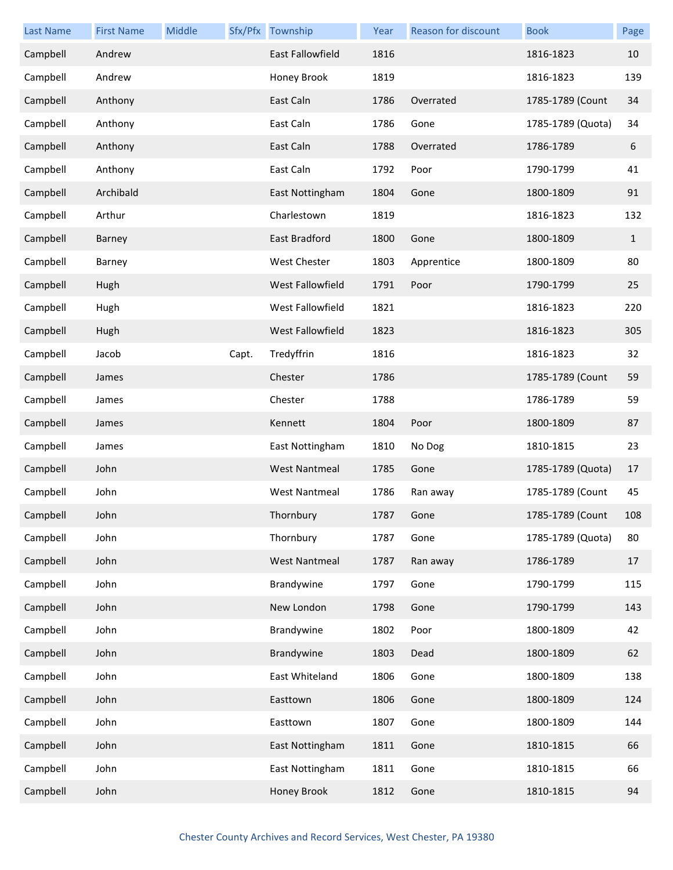| <b>Last Name</b> | <b>First Name</b> | Middle |       | Sfx/Pfx Township     | Year | <b>Reason for discount</b> | <b>Book</b>       | Page         |
|------------------|-------------------|--------|-------|----------------------|------|----------------------------|-------------------|--------------|
| Campbell         | Andrew            |        |       | East Fallowfield     | 1816 |                            | 1816-1823         | 10           |
| Campbell         | Andrew            |        |       | Honey Brook          | 1819 |                            | 1816-1823         | 139          |
| Campbell         | Anthony           |        |       | East Caln            | 1786 | Overrated                  | 1785-1789 (Count  | 34           |
| Campbell         | Anthony           |        |       | East Caln            | 1786 | Gone                       | 1785-1789 (Quota) | 34           |
| Campbell         | Anthony           |        |       | East Caln            | 1788 | Overrated                  | 1786-1789         | 6            |
| Campbell         | Anthony           |        |       | East Caln            | 1792 | Poor                       | 1790-1799         | 41           |
| Campbell         | Archibald         |        |       | East Nottingham      | 1804 | Gone                       | 1800-1809         | 91           |
| Campbell         | Arthur            |        |       | Charlestown          | 1819 |                            | 1816-1823         | 132          |
| Campbell         | Barney            |        |       | East Bradford        | 1800 | Gone                       | 1800-1809         | $\mathbf{1}$ |
| Campbell         | Barney            |        |       | West Chester         | 1803 | Apprentice                 | 1800-1809         | 80           |
| Campbell         | Hugh              |        |       | West Fallowfield     | 1791 | Poor                       | 1790-1799         | 25           |
| Campbell         | Hugh              |        |       | West Fallowfield     | 1821 |                            | 1816-1823         | 220          |
| Campbell         | Hugh              |        |       | West Fallowfield     | 1823 |                            | 1816-1823         | 305          |
| Campbell         | Jacob             |        | Capt. | Tredyffrin           | 1816 |                            | 1816-1823         | 32           |
| Campbell         | James             |        |       | Chester              | 1786 |                            | 1785-1789 (Count  | 59           |
| Campbell         | James             |        |       | Chester              | 1788 |                            | 1786-1789         | 59           |
| Campbell         | James             |        |       | Kennett              | 1804 | Poor                       | 1800-1809         | 87           |
| Campbell         | James             |        |       | East Nottingham      | 1810 | No Dog                     | 1810-1815         | 23           |
| Campbell         | John              |        |       | <b>West Nantmeal</b> | 1785 | Gone                       | 1785-1789 (Quota) | 17           |
| Campbell         | John              |        |       | <b>West Nantmeal</b> | 1786 | Ran away                   | 1785-1789 (Count  | 45           |
| Campbell         | John              |        |       | Thornbury            | 1787 | Gone                       | 1785-1789 (Count  | 108          |
| Campbell         | John              |        |       | Thornbury            | 1787 | Gone                       | 1785-1789 (Quota) | 80           |
| Campbell         | John              |        |       | <b>West Nantmeal</b> | 1787 | Ran away                   | 1786-1789         | 17           |
| Campbell         | John              |        |       | Brandywine           | 1797 | Gone                       | 1790-1799         | 115          |
| Campbell         | John              |        |       | New London           | 1798 | Gone                       | 1790-1799         | 143          |
| Campbell         | John              |        |       | Brandywine           | 1802 | Poor                       | 1800-1809         | 42           |
| Campbell         | John              |        |       | Brandywine           | 1803 | Dead                       | 1800-1809         | 62           |
| Campbell         | John              |        |       | East Whiteland       | 1806 | Gone                       | 1800-1809         | 138          |
| Campbell         | John              |        |       | Easttown             | 1806 | Gone                       | 1800-1809         | 124          |
| Campbell         | John              |        |       | Easttown             | 1807 | Gone                       | 1800-1809         | 144          |
| Campbell         | John              |        |       | East Nottingham      | 1811 | Gone                       | 1810-1815         | 66           |
| Campbell         | John              |        |       | East Nottingham      | 1811 | Gone                       | 1810-1815         | 66           |
| Campbell         | John              |        |       | Honey Brook          | 1812 | Gone                       | 1810-1815         | 94           |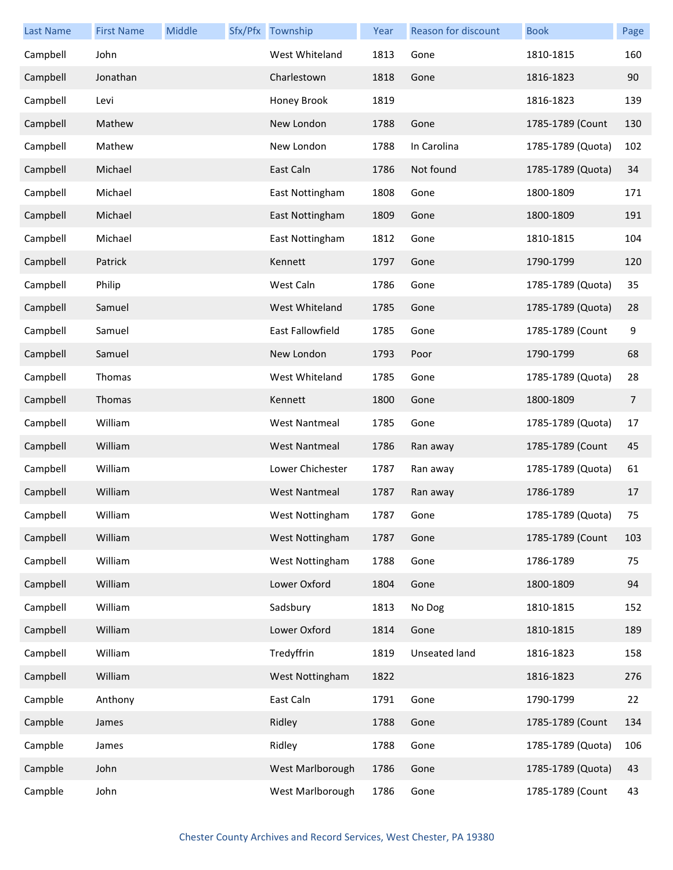| Last Name | <b>First Name</b> | Middle | Sfx/Pfx Township     | Year | <b>Reason for discount</b> | <b>Book</b>       | Page |
|-----------|-------------------|--------|----------------------|------|----------------------------|-------------------|------|
| Campbell  | John              |        | West Whiteland       | 1813 | Gone                       | 1810-1815         | 160  |
| Campbell  | Jonathan          |        | Charlestown          | 1818 | Gone                       | 1816-1823         | 90   |
| Campbell  | Levi              |        | Honey Brook          | 1819 |                            | 1816-1823         | 139  |
| Campbell  | Mathew            |        | New London           | 1788 | Gone                       | 1785-1789 (Count  | 130  |
| Campbell  | Mathew            |        | New London           | 1788 | In Carolina                | 1785-1789 (Quota) | 102  |
| Campbell  | Michael           |        | East Caln            | 1786 | Not found                  | 1785-1789 (Quota) | 34   |
| Campbell  | Michael           |        | East Nottingham      | 1808 | Gone                       | 1800-1809         | 171  |
| Campbell  | Michael           |        | East Nottingham      | 1809 | Gone                       | 1800-1809         | 191  |
| Campbell  | Michael           |        | East Nottingham      | 1812 | Gone                       | 1810-1815         | 104  |
| Campbell  | Patrick           |        | Kennett              | 1797 | Gone                       | 1790-1799         | 120  |
| Campbell  | Philip            |        | West Caln            | 1786 | Gone                       | 1785-1789 (Quota) | 35   |
| Campbell  | Samuel            |        | West Whiteland       | 1785 | Gone                       | 1785-1789 (Quota) | 28   |
| Campbell  | Samuel            |        | East Fallowfield     | 1785 | Gone                       | 1785-1789 (Count  | 9    |
| Campbell  | Samuel            |        | New London           | 1793 | Poor                       | 1790-1799         | 68   |
| Campbell  | Thomas            |        | West Whiteland       | 1785 | Gone                       | 1785-1789 (Quota) | 28   |
| Campbell  | Thomas            |        | Kennett              | 1800 | Gone                       | 1800-1809         | 7    |
| Campbell  | William           |        | <b>West Nantmeal</b> | 1785 | Gone                       | 1785-1789 (Quota) | 17   |
| Campbell  | William           |        | <b>West Nantmeal</b> | 1786 | Ran away                   | 1785-1789 (Count  | 45   |
| Campbell  | William           |        | Lower Chichester     | 1787 | Ran away                   | 1785-1789 (Quota) | 61   |
| Campbell  | William           |        | <b>West Nantmeal</b> | 1787 | Ran away                   | 1786-1789         | 17   |
| Campbell  | William           |        | West Nottingham      | 1787 | Gone                       | 1785-1789 (Quota) | 75   |
| Campbell  | William           |        | West Nottingham      | 1787 | Gone                       | 1785-1789 (Count  | 103  |
| Campbell  | William           |        | West Nottingham      | 1788 | Gone                       | 1786-1789         | 75   |
| Campbell  | William           |        | Lower Oxford         | 1804 | Gone                       | 1800-1809         | 94   |
| Campbell  | William           |        | Sadsbury             | 1813 | No Dog                     | 1810-1815         | 152  |
| Campbell  | William           |        | Lower Oxford         | 1814 | Gone                       | 1810-1815         | 189  |
| Campbell  | William           |        | Tredyffrin           | 1819 | Unseated land              | 1816-1823         | 158  |
| Campbell  | William           |        | West Nottingham      | 1822 |                            | 1816-1823         | 276  |
| Campble   | Anthony           |        | East Caln            | 1791 | Gone                       | 1790-1799         | 22   |
| Campble   | James             |        | Ridley               | 1788 | Gone                       | 1785-1789 (Count  | 134  |
| Campble   | James             |        | Ridley               | 1788 | Gone                       | 1785-1789 (Quota) | 106  |
| Campble   | John              |        | West Marlborough     | 1786 | Gone                       | 1785-1789 (Quota) | 43   |
| Campble   | John              |        | West Marlborough     | 1786 | Gone                       | 1785-1789 (Count  | 43   |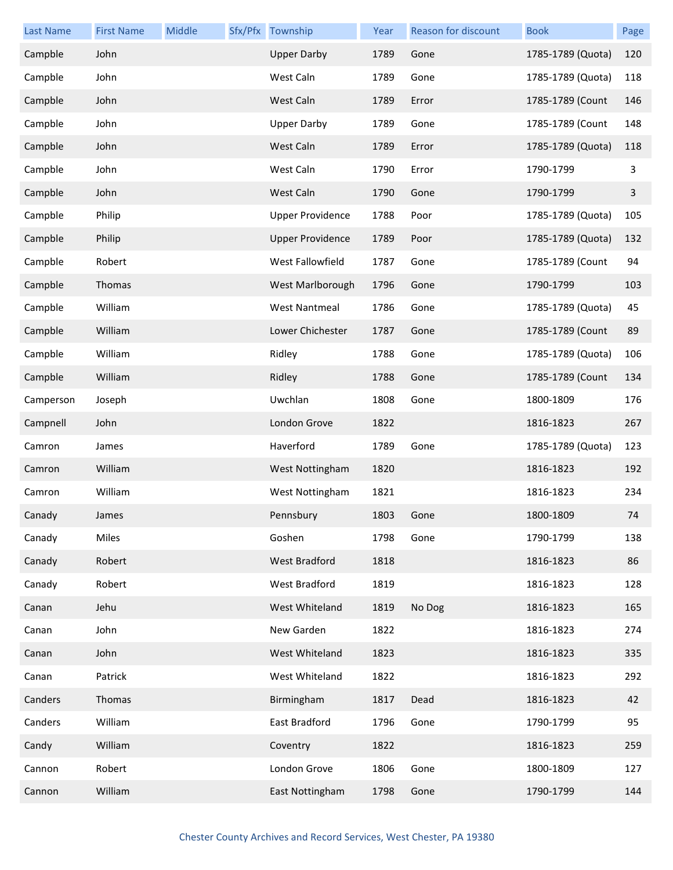| <b>Last Name</b> | <b>First Name</b> | Middle | Sfx/Pfx Township        | Year | Reason for discount | <b>Book</b>       | Page |
|------------------|-------------------|--------|-------------------------|------|---------------------|-------------------|------|
| Campble          | John              |        | <b>Upper Darby</b>      | 1789 | Gone                | 1785-1789 (Quota) | 120  |
| Campble          | John              |        | West Caln               | 1789 | Gone                | 1785-1789 (Quota) | 118  |
| Campble          | John              |        | West Caln               | 1789 | Error               | 1785-1789 (Count  | 146  |
| Campble          | John              |        | <b>Upper Darby</b>      | 1789 | Gone                | 1785-1789 (Count  | 148  |
| Campble          | John              |        | West Caln               | 1789 | Error               | 1785-1789 (Quota) | 118  |
| Campble          | John              |        | West Caln               | 1790 | Error               | 1790-1799         | 3    |
| Campble          | John              |        | West Caln               | 1790 | Gone                | 1790-1799         | 3    |
| Campble          | Philip            |        | <b>Upper Providence</b> | 1788 | Poor                | 1785-1789 (Quota) | 105  |
| Campble          | Philip            |        | <b>Upper Providence</b> | 1789 | Poor                | 1785-1789 (Quota) | 132  |
| Campble          | Robert            |        | West Fallowfield        | 1787 | Gone                | 1785-1789 (Count  | 94   |
| Campble          | Thomas            |        | West Marlborough        | 1796 | Gone                | 1790-1799         | 103  |
| Campble          | William           |        | <b>West Nantmeal</b>    | 1786 | Gone                | 1785-1789 (Quota) | 45   |
| Campble          | William           |        | Lower Chichester        | 1787 | Gone                | 1785-1789 (Count  | 89   |
| Campble          | William           |        | Ridley                  | 1788 | Gone                | 1785-1789 (Quota) | 106  |
| Campble          | William           |        | Ridley                  | 1788 | Gone                | 1785-1789 (Count  | 134  |
| Camperson        | Joseph            |        | Uwchlan                 | 1808 | Gone                | 1800-1809         | 176  |
| Campnell         | John              |        | London Grove            | 1822 |                     | 1816-1823         | 267  |
| Camron           | James             |        | Haverford               | 1789 | Gone                | 1785-1789 (Quota) | 123  |
| Camron           | William           |        | West Nottingham         | 1820 |                     | 1816-1823         | 192  |
| Camron           | William           |        | West Nottingham         | 1821 |                     | 1816-1823         | 234  |
| Canady           | James             |        | Pennsbury               | 1803 | Gone                | 1800-1809         | 74   |
| Canady           | Miles             |        | Goshen                  | 1798 | Gone                | 1790-1799         | 138  |
| Canady           | Robert            |        | West Bradford           | 1818 |                     | 1816-1823         | 86   |
| Canady           | Robert            |        | West Bradford           | 1819 |                     | 1816-1823         | 128  |
| Canan            | Jehu              |        | West Whiteland          | 1819 | No Dog              | 1816-1823         | 165  |
| Canan            | John              |        | New Garden              | 1822 |                     | 1816-1823         | 274  |
| Canan            | John              |        | West Whiteland          | 1823 |                     | 1816-1823         | 335  |
| Canan            | Patrick           |        | West Whiteland          | 1822 |                     | 1816-1823         | 292  |
| Canders          | Thomas            |        | Birmingham              | 1817 | Dead                | 1816-1823         | 42   |
| Canders          | William           |        | East Bradford           | 1796 | Gone                | 1790-1799         | 95   |
| Candy            | William           |        | Coventry                | 1822 |                     | 1816-1823         | 259  |
| Cannon           | Robert            |        | London Grove            | 1806 | Gone                | 1800-1809         | 127  |
| Cannon           | William           |        | East Nottingham         | 1798 | Gone                | 1790-1799         | 144  |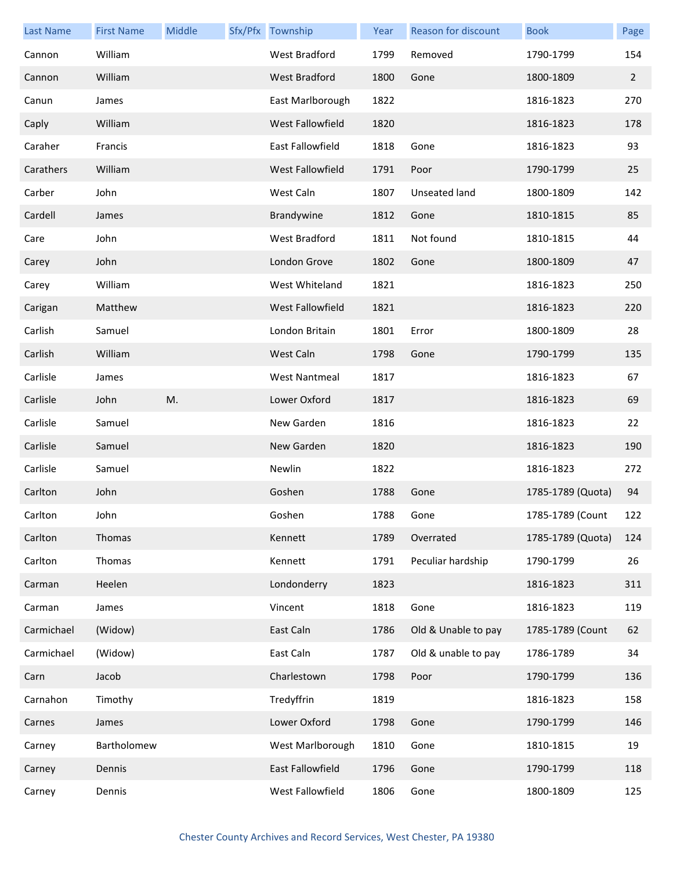| <b>Last Name</b> | <b>First Name</b> | Middle | Sfx/Pfx Township        | Year | <b>Reason for discount</b> | <b>Book</b>       | Page           |
|------------------|-------------------|--------|-------------------------|------|----------------------------|-------------------|----------------|
| Cannon           | William           |        | West Bradford           | 1799 | Removed                    | 1790-1799         | 154            |
| Cannon           | William           |        | <b>West Bradford</b>    | 1800 | Gone                       | 1800-1809         | $\overline{2}$ |
| Canun            | James             |        | East Marlborough        | 1822 |                            | 1816-1823         | 270            |
| Caply            | William           |        | West Fallowfield        | 1820 |                            | 1816-1823         | 178            |
| Caraher          | Francis           |        | East Fallowfield        | 1818 | Gone                       | 1816-1823         | 93             |
| Carathers        | William           |        | <b>West Fallowfield</b> | 1791 | Poor                       | 1790-1799         | 25             |
| Carber           | John              |        | West Caln               | 1807 | Unseated land              | 1800-1809         | 142            |
| Cardell          | James             |        | Brandywine              | 1812 | Gone                       | 1810-1815         | 85             |
| Care             | John              |        | West Bradford           | 1811 | Not found                  | 1810-1815         | 44             |
| Carey            | John              |        | London Grove            | 1802 | Gone                       | 1800-1809         | 47             |
| Carey            | William           |        | West Whiteland          | 1821 |                            | 1816-1823         | 250            |
| Carigan          | Matthew           |        | West Fallowfield        | 1821 |                            | 1816-1823         | 220            |
| Carlish          | Samuel            |        | London Britain          | 1801 | Error                      | 1800-1809         | 28             |
| Carlish          | William           |        | West Caln               | 1798 | Gone                       | 1790-1799         | 135            |
| Carlisle         | James             |        | <b>West Nantmeal</b>    | 1817 |                            | 1816-1823         | 67             |
| Carlisle         | John              | M.     | Lower Oxford            | 1817 |                            | 1816-1823         | 69             |
| Carlisle         | Samuel            |        | New Garden              | 1816 |                            | 1816-1823         | 22             |
| Carlisle         | Samuel            |        | New Garden              | 1820 |                            | 1816-1823         | 190            |
| Carlisle         | Samuel            |        | Newlin                  | 1822 |                            | 1816-1823         | 272            |
| Carlton          | John              |        | Goshen                  | 1788 | Gone                       | 1785-1789 (Quota) | 94             |
| Carlton          | John              |        | Goshen                  | 1788 | Gone                       | 1785-1789 (Count  | 122            |
| Carlton          | Thomas            |        | Kennett                 | 1789 | Overrated                  | 1785-1789 (Quota) | 124            |
| Carlton          | Thomas            |        | Kennett                 | 1791 | Peculiar hardship          | 1790-1799         | 26             |
| Carman           | Heelen            |        | Londonderry             | 1823 |                            | 1816-1823         | 311            |
| Carman           | James             |        | Vincent                 | 1818 | Gone                       | 1816-1823         | 119            |
| Carmichael       | (Widow)           |        | East Caln               | 1786 | Old & Unable to pay        | 1785-1789 (Count  | 62             |
| Carmichael       | (Widow)           |        | East Caln               | 1787 | Old & unable to pay        | 1786-1789         | 34             |
| Carn             | Jacob             |        | Charlestown             | 1798 | Poor                       | 1790-1799         | 136            |
| Carnahon         | Timothy           |        | Tredyffrin              | 1819 |                            | 1816-1823         | 158            |
| Carnes           | James             |        | Lower Oxford            | 1798 | Gone                       | 1790-1799         | 146            |
| Carney           | Bartholomew       |        | West Marlborough        | 1810 | Gone                       | 1810-1815         | 19             |
| Carney           | Dennis            |        | East Fallowfield        | 1796 | Gone                       | 1790-1799         | 118            |
| Carney           | Dennis            |        | West Fallowfield        | 1806 | Gone                       | 1800-1809         | 125            |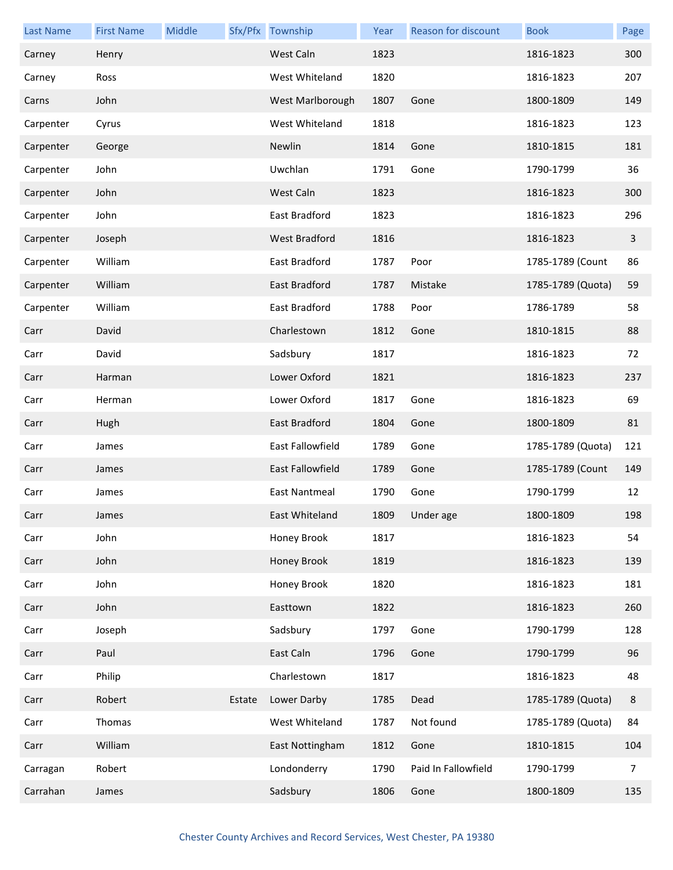| <b>Last Name</b> | <b>First Name</b> | Middle |        | Sfx/Pfx Township     | Year | Reason for discount | <b>Book</b>       | Page           |
|------------------|-------------------|--------|--------|----------------------|------|---------------------|-------------------|----------------|
| Carney           | Henry             |        |        | West Caln            | 1823 |                     | 1816-1823         | 300            |
| Carney           | Ross              |        |        | West Whiteland       | 1820 |                     | 1816-1823         | 207            |
| Carns            | John              |        |        | West Marlborough     | 1807 | Gone                | 1800-1809         | 149            |
| Carpenter        | Cyrus             |        |        | West Whiteland       | 1818 |                     | 1816-1823         | 123            |
| Carpenter        | George            |        |        | Newlin               | 1814 | Gone                | 1810-1815         | 181            |
| Carpenter        | John              |        |        | Uwchlan              | 1791 | Gone                | 1790-1799         | 36             |
| Carpenter        | John              |        |        | West Caln            | 1823 |                     | 1816-1823         | 300            |
| Carpenter        | John              |        |        | East Bradford        | 1823 |                     | 1816-1823         | 296            |
| Carpenter        | Joseph            |        |        | West Bradford        | 1816 |                     | 1816-1823         | $\overline{3}$ |
| Carpenter        | William           |        |        | <b>East Bradford</b> | 1787 | Poor                | 1785-1789 (Count  | 86             |
| Carpenter        | William           |        |        | East Bradford        | 1787 | Mistake             | 1785-1789 (Quota) | 59             |
| Carpenter        | William           |        |        | East Bradford        | 1788 | Poor                | 1786-1789         | 58             |
| Carr             | David             |        |        | Charlestown          | 1812 | Gone                | 1810-1815         | 88             |
| Carr             | David             |        |        | Sadsbury             | 1817 |                     | 1816-1823         | 72             |
| Carr             | Harman            |        |        | Lower Oxford         | 1821 |                     | 1816-1823         | 237            |
| Carr             | Herman            |        |        | Lower Oxford         | 1817 | Gone                | 1816-1823         | 69             |
| Carr             | Hugh              |        |        | East Bradford        | 1804 | Gone                | 1800-1809         | 81             |
| Carr             | James             |        |        | East Fallowfield     | 1789 | Gone                | 1785-1789 (Quota) | 121            |
| Carr             | James             |        |        | East Fallowfield     | 1789 | Gone                | 1785-1789 (Count  | 149            |
| Carr             | James             |        |        | East Nantmeal        | 1790 | Gone                | 1790-1799         | 12             |
| Carr             | James             |        |        | East Whiteland       |      | 1809 Under age      | 1800-1809         | 198            |
| Carr             | John              |        |        | Honey Brook          | 1817 |                     | 1816-1823         | 54             |
| Carr             | John              |        |        | Honey Brook          | 1819 |                     | 1816-1823         | 139            |
| Carr             | John              |        |        | Honey Brook          | 1820 |                     | 1816-1823         | 181            |
| Carr             | John              |        |        | Easttown             | 1822 |                     | 1816-1823         | 260            |
| Carr             | Joseph            |        |        | Sadsbury             | 1797 | Gone                | 1790-1799         | 128            |
| Carr             | Paul              |        |        | East Caln            | 1796 | Gone                | 1790-1799         | 96             |
| Carr             | Philip            |        |        | Charlestown          | 1817 |                     | 1816-1823         | 48             |
| Carr             | Robert            |        | Estate | Lower Darby          | 1785 | Dead                | 1785-1789 (Quota) | 8              |
| Carr             | Thomas            |        |        | West Whiteland       | 1787 | Not found           | 1785-1789 (Quota) | 84             |
| Carr             | William           |        |        | East Nottingham      | 1812 | Gone                | 1810-1815         | 104            |
| Carragan         | Robert            |        |        | Londonderry          | 1790 | Paid In Fallowfield | 1790-1799         | 7              |
| Carrahan         | James             |        |        | Sadsbury             | 1806 | Gone                | 1800-1809         | 135            |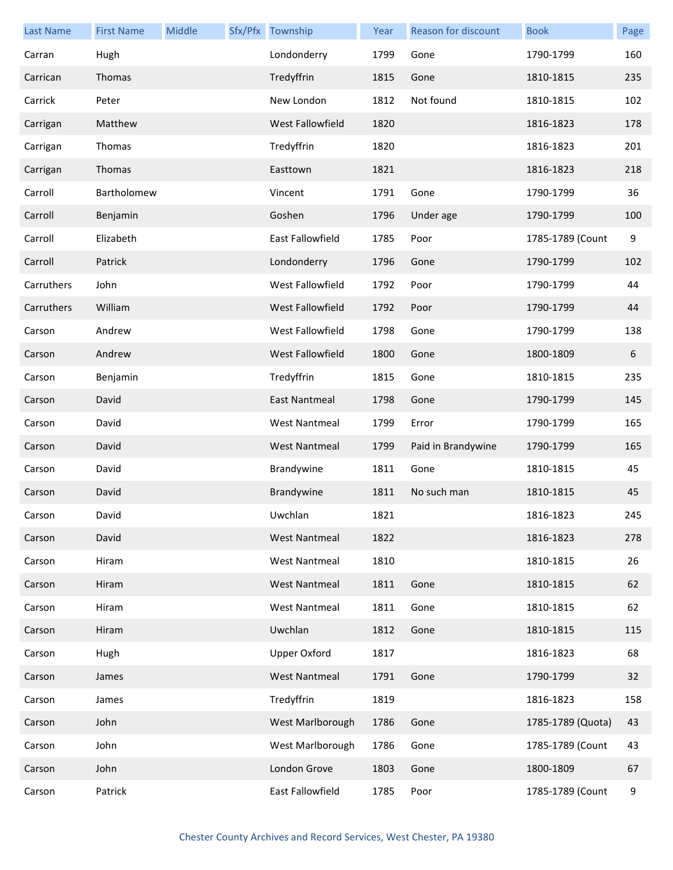| <b>Last Name</b> | <b>First Name</b> | Middle | Sfx/Pfx Township        | Year | <b>Reason for discount</b> | <b>Book</b>       | Page             |
|------------------|-------------------|--------|-------------------------|------|----------------------------|-------------------|------------------|
| Carran           | Hugh              |        | Londonderry             | 1799 | Gone                       | 1790-1799         | 160              |
| Carrican         | Thomas            |        | Tredyffrin              | 1815 | Gone                       | 1810-1815         | 235              |
| Carrick          | Peter             |        | New London              | 1812 | Not found                  | 1810-1815         | 102              |
| Carrigan         | Matthew           |        | West Fallowfield        | 1820 |                            | 1816-1823         | 178              |
| Carrigan         | Thomas            |        | Tredyffrin              | 1820 |                            | 1816-1823         | 201              |
| Carrigan         | Thomas            |        | Easttown                | 1821 |                            | 1816-1823         | 218              |
| Carroll          | Bartholomew       |        | Vincent                 | 1791 | Gone                       | 1790-1799         | 36               |
| Carroll          | Benjamin          |        | Goshen                  | 1796 | Under age                  | 1790-1799         | 100              |
| Carroll          | Elizabeth         |        | <b>East Fallowfield</b> | 1785 | Poor                       | 1785-1789 (Count  | $\boldsymbol{9}$ |
| Carroll          | Patrick           |        | Londonderry             | 1796 | Gone                       | 1790-1799         | 102              |
| Carruthers       | John              |        | West Fallowfield        | 1792 | Poor                       | 1790-1799         | 44               |
| Carruthers       | William           |        | West Fallowfield        | 1792 | Poor                       | 1790-1799         | 44               |
| Carson           | Andrew            |        | West Fallowfield        | 1798 | Gone                       | 1790-1799         | 138              |
| Carson           | Andrew            |        | West Fallowfield        | 1800 | Gone                       | 1800-1809         | 6                |
| Carson           | Benjamin          |        | Tredyffrin              | 1815 | Gone                       | 1810-1815         | 235              |
| Carson           | David             |        | East Nantmeal           | 1798 | Gone                       | 1790-1799         | 145              |
| Carson           | David             |        | <b>West Nantmeal</b>    | 1799 | Error                      | 1790-1799         | 165              |
| Carson           | David             |        | <b>West Nantmeal</b>    | 1799 | Paid in Brandywine         | 1790-1799         | 165              |
| Carson           | David             |        | Brandywine              | 1811 | Gone                       | 1810-1815         | 45               |
| Carson           | David             |        | Brandywine              | 1811 | No such man                | 1810-1815         | 45               |
| Carson           | David             |        | Uwchlan                 | 1821 |                            | 1816-1823         | 245              |
| Carson           | David             |        | <b>West Nantmeal</b>    | 1822 |                            | 1816-1823         | 278              |
| Carson           | Hiram             |        | <b>West Nantmeal</b>    | 1810 |                            | 1810-1815         | 26               |
| Carson           | Hiram             |        | <b>West Nantmeal</b>    | 1811 | Gone                       | 1810-1815         | 62               |
| Carson           | Hiram             |        | <b>West Nantmeal</b>    | 1811 | Gone                       | 1810-1815         | 62               |
| Carson           | Hiram             |        | Uwchlan                 | 1812 | Gone                       | 1810-1815         | 115              |
| Carson           | Hugh              |        | <b>Upper Oxford</b>     | 1817 |                            | 1816-1823         | 68               |
| Carson           | James             |        | <b>West Nantmeal</b>    | 1791 | Gone                       | 1790-1799         | 32               |
| Carson           | James             |        | Tredyffrin              | 1819 |                            | 1816-1823         | 158              |
| Carson           | John              |        | West Marlborough        | 1786 | Gone                       | 1785-1789 (Quota) | 43               |
| Carson           | John              |        | West Marlborough        | 1786 | Gone                       | 1785-1789 (Count  | 43               |
| Carson           | John              |        | London Grove            | 1803 | Gone                       | 1800-1809         | 67               |
| Carson           | Patrick           |        | East Fallowfield        | 1785 | Poor                       | 1785-1789 (Count  | 9                |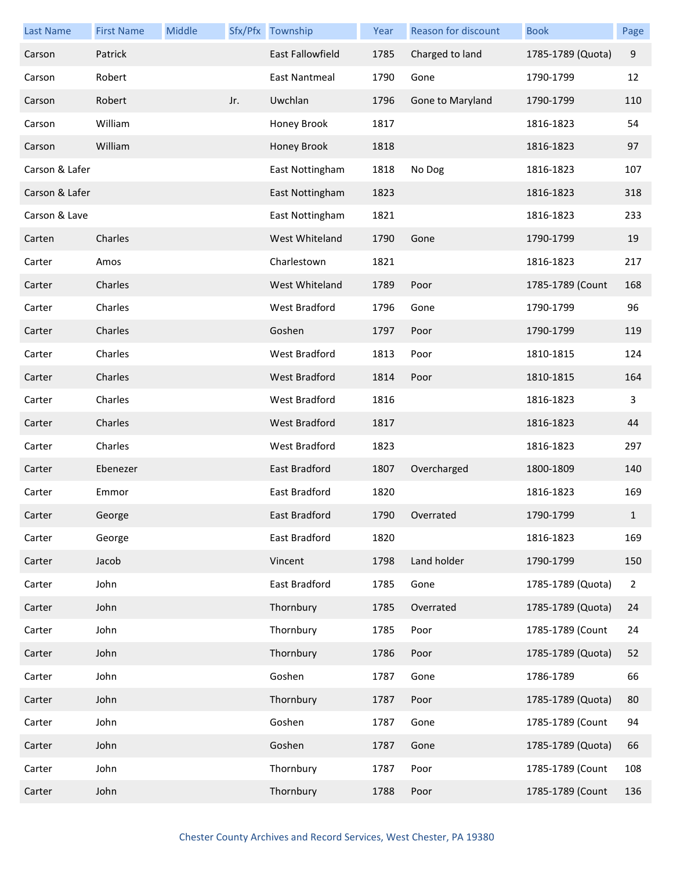| <b>Last Name</b> | <b>First Name</b> | Middle |     | Sfx/Pfx Township        | Year | Reason for discount | <b>Book</b>       | Page           |
|------------------|-------------------|--------|-----|-------------------------|------|---------------------|-------------------|----------------|
| Carson           | Patrick           |        |     | <b>East Fallowfield</b> | 1785 | Charged to land     | 1785-1789 (Quota) | $9\,$          |
| Carson           | Robert            |        |     | East Nantmeal           | 1790 | Gone                | 1790-1799         | 12             |
| Carson           | Robert            |        | Jr. | Uwchlan                 | 1796 | Gone to Maryland    | 1790-1799         | 110            |
| Carson           | William           |        |     | Honey Brook             | 1817 |                     | 1816-1823         | 54             |
| Carson           | William           |        |     | Honey Brook             | 1818 |                     | 1816-1823         | 97             |
| Carson & Lafer   |                   |        |     | East Nottingham         | 1818 | No Dog              | 1816-1823         | 107            |
| Carson & Lafer   |                   |        |     | East Nottingham         | 1823 |                     | 1816-1823         | 318            |
| Carson & Lave    |                   |        |     | East Nottingham         | 1821 |                     | 1816-1823         | 233            |
| Carten           | Charles           |        |     | West Whiteland          | 1790 | Gone                | 1790-1799         | 19             |
| Carter           | Amos              |        |     | Charlestown             | 1821 |                     | 1816-1823         | 217            |
| Carter           | Charles           |        |     | West Whiteland          | 1789 | Poor                | 1785-1789 (Count  | 168            |
| Carter           | Charles           |        |     | West Bradford           | 1796 | Gone                | 1790-1799         | 96             |
| Carter           | Charles           |        |     | Goshen                  | 1797 | Poor                | 1790-1799         | 119            |
| Carter           | Charles           |        |     | West Bradford           | 1813 | Poor                | 1810-1815         | 124            |
| Carter           | Charles           |        |     | West Bradford           | 1814 | Poor                | 1810-1815         | 164            |
| Carter           | Charles           |        |     | West Bradford           | 1816 |                     | 1816-1823         | 3              |
| Carter           | Charles           |        |     | West Bradford           | 1817 |                     | 1816-1823         | 44             |
| Carter           | Charles           |        |     | West Bradford           | 1823 |                     | 1816-1823         | 297            |
| Carter           | Ebenezer          |        |     | East Bradford           | 1807 | Overcharged         | 1800-1809         | 140            |
| Carter           | Emmor             |        |     | East Bradford           | 1820 |                     | 1816-1823         | 169            |
| Carter           | George            |        |     | East Bradford           | 1790 | Overrated           | 1790-1799         | $\mathbf{1}$   |
| Carter           | George            |        |     | East Bradford           | 1820 |                     | 1816-1823         | 169            |
| Carter           | Jacob             |        |     | Vincent                 | 1798 | Land holder         | 1790-1799         | 150            |
| Carter           | John              |        |     | East Bradford           | 1785 | Gone                | 1785-1789 (Quota) | $\overline{2}$ |
| Carter           | John              |        |     | Thornbury               | 1785 | Overrated           | 1785-1789 (Quota) | 24             |
| Carter           | John              |        |     | Thornbury               | 1785 | Poor                | 1785-1789 (Count  | 24             |
| Carter           | John              |        |     | Thornbury               | 1786 | Poor                | 1785-1789 (Quota) | 52             |
| Carter           | John              |        |     | Goshen                  | 1787 | Gone                | 1786-1789         | 66             |
| Carter           | John              |        |     | Thornbury               | 1787 | Poor                | 1785-1789 (Quota) | 80             |
| Carter           | John              |        |     | Goshen                  | 1787 | Gone                | 1785-1789 (Count  | 94             |
| Carter           | John              |        |     | Goshen                  | 1787 | Gone                | 1785-1789 (Quota) | 66             |
| Carter           | John              |        |     | Thornbury               | 1787 | Poor                | 1785-1789 (Count  | 108            |
| Carter           | John              |        |     | Thornbury               | 1788 | Poor                | 1785-1789 (Count  | 136            |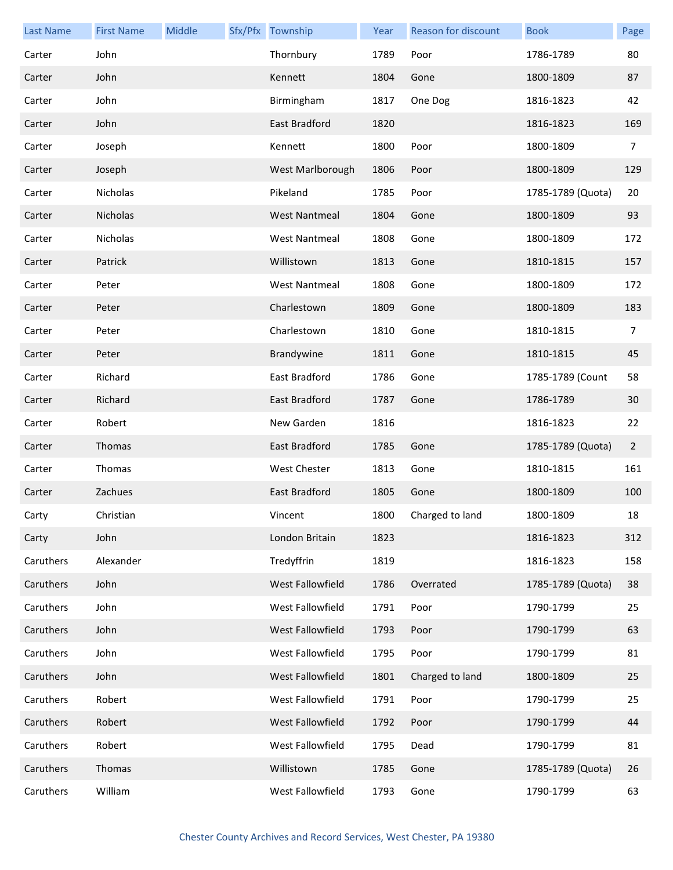| <b>Last Name</b> | <b>First Name</b> | Middle | Sfx/Pfx Township     | Year | Reason for discount | <b>Book</b>       | Page           |
|------------------|-------------------|--------|----------------------|------|---------------------|-------------------|----------------|
| Carter           | John              |        | Thornbury            | 1789 | Poor                | 1786-1789         | 80             |
| Carter           | John              |        | Kennett              | 1804 | Gone                | 1800-1809         | 87             |
| Carter           | John              |        | Birmingham           | 1817 | One Dog             | 1816-1823         | 42             |
| Carter           | John              |        | East Bradford        | 1820 |                     | 1816-1823         | 169            |
| Carter           | Joseph            |        | Kennett              | 1800 | Poor                | 1800-1809         | $\overline{7}$ |
| Carter           | Joseph            |        | West Marlborough     | 1806 | Poor                | 1800-1809         | 129            |
| Carter           | Nicholas          |        | Pikeland             | 1785 | Poor                | 1785-1789 (Quota) | 20             |
| Carter           | Nicholas          |        | <b>West Nantmeal</b> | 1804 | Gone                | 1800-1809         | 93             |
| Carter           | Nicholas          |        | <b>West Nantmeal</b> | 1808 | Gone                | 1800-1809         | 172            |
| Carter           | Patrick           |        | Willistown           | 1813 | Gone                | 1810-1815         | 157            |
| Carter           | Peter             |        | <b>West Nantmeal</b> | 1808 | Gone                | 1800-1809         | 172            |
| Carter           | Peter             |        | Charlestown          | 1809 | Gone                | 1800-1809         | 183            |
| Carter           | Peter             |        | Charlestown          | 1810 | Gone                | 1810-1815         | $\overline{7}$ |
| Carter           | Peter             |        | Brandywine           | 1811 | Gone                | 1810-1815         | 45             |
| Carter           | Richard           |        | East Bradford        | 1786 | Gone                | 1785-1789 (Count  | 58             |
| Carter           | Richard           |        | East Bradford        | 1787 | Gone                | 1786-1789         | 30             |
| Carter           | Robert            |        | New Garden           | 1816 |                     | 1816-1823         | 22             |
| Carter           | Thomas            |        | East Bradford        | 1785 | Gone                | 1785-1789 (Quota) | $\overline{2}$ |
| Carter           | Thomas            |        | West Chester         | 1813 | Gone                | 1810-1815         | 161            |
| Carter           | Zachues           |        | East Bradford        | 1805 | Gone                | 1800-1809         | 100            |
| Carty            | Christian         |        | Vincent              | 1800 | Charged to land     | 1800-1809         | 18             |
| Carty            | John              |        | London Britain       | 1823 |                     | 1816-1823         | 312            |
| Caruthers        | Alexander         |        | Tredyffrin           | 1819 |                     | 1816-1823         | 158            |
| Caruthers        | John              |        | West Fallowfield     | 1786 | Overrated           | 1785-1789 (Quota) | 38             |
| Caruthers        | John              |        | West Fallowfield     | 1791 | Poor                | 1790-1799         | 25             |
| Caruthers        | John              |        | West Fallowfield     | 1793 | Poor                | 1790-1799         | 63             |
| Caruthers        | John              |        | West Fallowfield     | 1795 | Poor                | 1790-1799         | 81             |
| Caruthers        | John              |        | West Fallowfield     | 1801 | Charged to land     | 1800-1809         | 25             |
| Caruthers        | Robert            |        | West Fallowfield     | 1791 | Poor                | 1790-1799         | 25             |
| Caruthers        | Robert            |        | West Fallowfield     | 1792 | Poor                | 1790-1799         | 44             |
| Caruthers        | Robert            |        | West Fallowfield     | 1795 | Dead                | 1790-1799         | 81             |
| Caruthers        | Thomas            |        | Willistown           | 1785 | Gone                | 1785-1789 (Quota) | 26             |
| Caruthers        | William           |        | West Fallowfield     | 1793 | Gone                | 1790-1799         | 63             |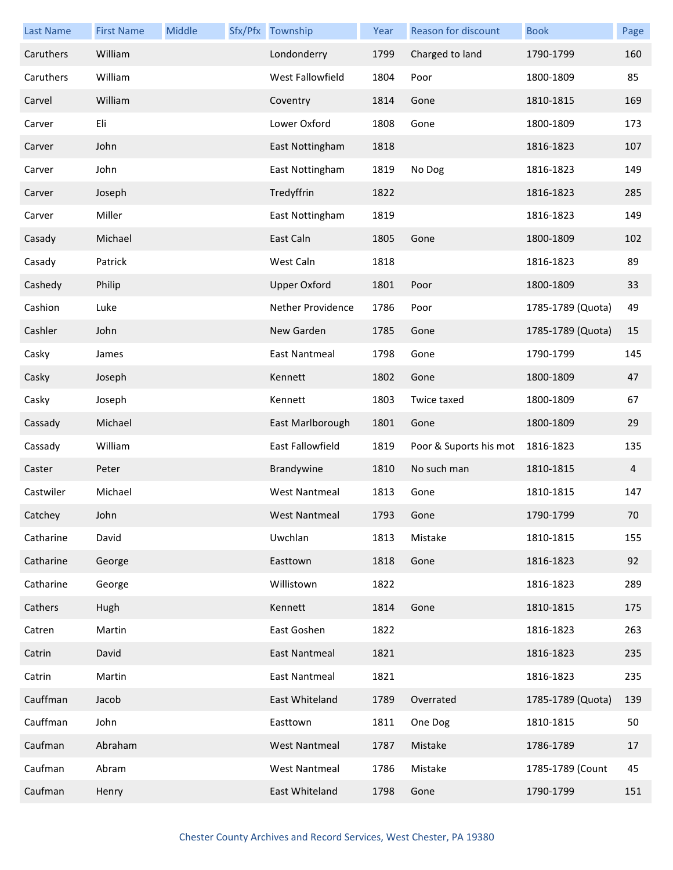| <b>Last Name</b> | <b>First Name</b> | Middle | Sfx/Pfx Township     | Year | Reason for discount    | <b>Book</b>       | Page           |
|------------------|-------------------|--------|----------------------|------|------------------------|-------------------|----------------|
| Caruthers        | William           |        | Londonderry          | 1799 | Charged to land        | 1790-1799         | 160            |
| Caruthers        | William           |        | West Fallowfield     | 1804 | Poor                   | 1800-1809         | 85             |
| Carvel           | William           |        | Coventry             | 1814 | Gone                   | 1810-1815         | 169            |
| Carver           | Eli               |        | Lower Oxford         | 1808 | Gone                   | 1800-1809         | 173            |
| Carver           | John              |        | East Nottingham      | 1818 |                        | 1816-1823         | 107            |
| Carver           | John              |        | East Nottingham      | 1819 | No Dog                 | 1816-1823         | 149            |
| Carver           | Joseph            |        | Tredyffrin           | 1822 |                        | 1816-1823         | 285            |
| Carver           | Miller            |        | East Nottingham      | 1819 |                        | 1816-1823         | 149            |
| Casady           | Michael           |        | East Caln            | 1805 | Gone                   | 1800-1809         | 102            |
| Casady           | Patrick           |        | West Caln            | 1818 |                        | 1816-1823         | 89             |
| Cashedy          | Philip            |        | <b>Upper Oxford</b>  | 1801 | Poor                   | 1800-1809         | 33             |
| Cashion          | Luke              |        | Nether Providence    | 1786 | Poor                   | 1785-1789 (Quota) | 49             |
| Cashler          | John              |        | New Garden           | 1785 | Gone                   | 1785-1789 (Quota) | 15             |
| Casky            | James             |        | East Nantmeal        | 1798 | Gone                   | 1790-1799         | 145            |
| Casky            | Joseph            |        | Kennett              | 1802 | Gone                   | 1800-1809         | 47             |
| Casky            | Joseph            |        | Kennett              | 1803 | Twice taxed            | 1800-1809         | 67             |
| Cassady          | Michael           |        | East Marlborough     | 1801 | Gone                   | 1800-1809         | 29             |
| Cassady          | William           |        | East Fallowfield     | 1819 | Poor & Suports his mot | 1816-1823         | 135            |
| Caster           | Peter             |        | Brandywine           | 1810 | No such man            | 1810-1815         | $\overline{4}$ |
| Castwiler        | Michael           |        | <b>West Nantmeal</b> | 1813 | Gone                   | 1810-1815         | 147            |
| Catchey          | John              |        | West Nantmeal        | 1793 | Gone                   | 1790-1799         | 70             |
| Catharine        | David             |        | Uwchlan              | 1813 | Mistake                | 1810-1815         | 155            |
| Catharine        | George            |        | Easttown             | 1818 | Gone                   | 1816-1823         | 92             |
| Catharine        | George            |        | Willistown           | 1822 |                        | 1816-1823         | 289            |
| Cathers          | Hugh              |        | Kennett              | 1814 | Gone                   | 1810-1815         | 175            |
| Catren           | Martin            |        | East Goshen          | 1822 |                        | 1816-1823         | 263            |
| Catrin           | David             |        | East Nantmeal        | 1821 |                        | 1816-1823         | 235            |
| Catrin           | Martin            |        | East Nantmeal        | 1821 |                        | 1816-1823         | 235            |
| Cauffman         | Jacob             |        | East Whiteland       | 1789 | Overrated              | 1785-1789 (Quota) | 139            |
| Cauffman         | John              |        | Easttown             | 1811 | One Dog                | 1810-1815         | 50             |
| Caufman          | Abraham           |        | <b>West Nantmeal</b> | 1787 | Mistake                | 1786-1789         | 17             |
| Caufman          | Abram             |        | <b>West Nantmeal</b> | 1786 | Mistake                | 1785-1789 (Count  | 45             |
| Caufman          | Henry             |        | East Whiteland       | 1798 | Gone                   | 1790-1799         | 151            |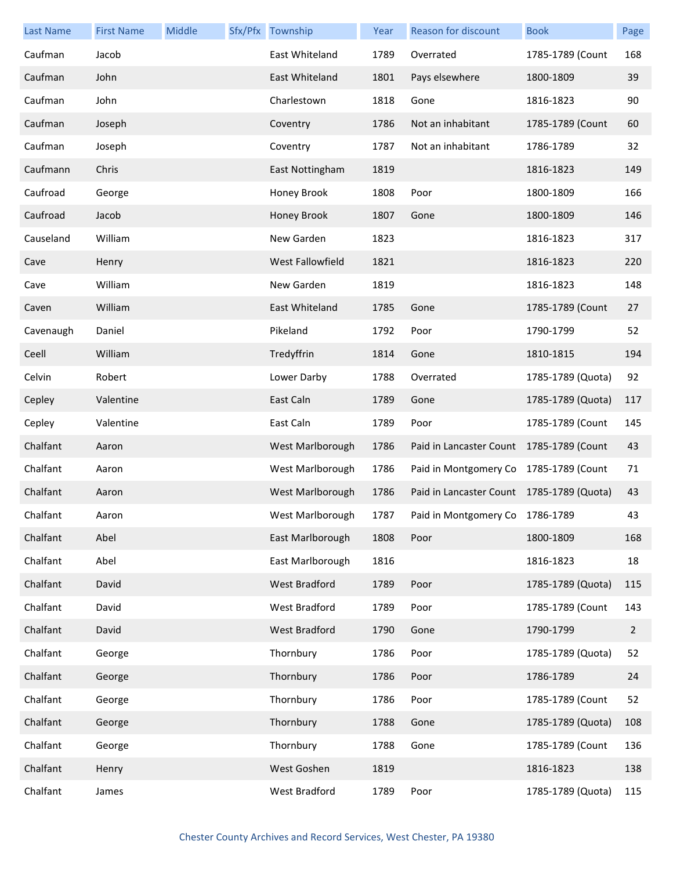| <b>Last Name</b> | <b>First Name</b> | Middle | Sfx/Pfx Township        | Year | <b>Reason for discount</b>                | <b>Book</b>       | Page |
|------------------|-------------------|--------|-------------------------|------|-------------------------------------------|-------------------|------|
| Caufman          | Jacob             |        | East Whiteland          | 1789 | Overrated                                 | 1785-1789 (Count  | 168  |
| Caufman          | John              |        | East Whiteland          | 1801 | Pays elsewhere                            | 1800-1809         | 39   |
| Caufman          | John              |        | Charlestown             | 1818 | Gone                                      | 1816-1823         | 90   |
| Caufman          | Joseph            |        | Coventry                | 1786 | Not an inhabitant                         | 1785-1789 (Count  | 60   |
| Caufman          | Joseph            |        | Coventry                | 1787 | Not an inhabitant                         | 1786-1789         | 32   |
| Caufmann         | Chris             |        | East Nottingham         | 1819 |                                           | 1816-1823         | 149  |
| Caufroad         | George            |        | Honey Brook             | 1808 | Poor                                      | 1800-1809         | 166  |
| Caufroad         | Jacob             |        | Honey Brook             | 1807 | Gone                                      | 1800-1809         | 146  |
| Causeland        | William           |        | New Garden              | 1823 |                                           | 1816-1823         | 317  |
| Cave             | Henry             |        | <b>West Fallowfield</b> | 1821 |                                           | 1816-1823         | 220  |
| Cave             | William           |        | New Garden              | 1819 |                                           | 1816-1823         | 148  |
| Caven            | William           |        | East Whiteland          | 1785 | Gone                                      | 1785-1789 (Count  | 27   |
| Cavenaugh        | Daniel            |        | Pikeland                | 1792 | Poor                                      | 1790-1799         | 52   |
| Ceell            | William           |        | Tredyffrin              | 1814 | Gone                                      | 1810-1815         | 194  |
| Celvin           | Robert            |        | Lower Darby             | 1788 | Overrated                                 | 1785-1789 (Quota) | 92   |
| Cepley           | Valentine         |        | East Caln               | 1789 | Gone                                      | 1785-1789 (Quota) | 117  |
| Cepley           | Valentine         |        | East Caln               | 1789 | Poor                                      | 1785-1789 (Count  | 145  |
| Chalfant         | Aaron             |        | West Marlborough        | 1786 | Paid in Lancaster Count 1785-1789 (Count  |                   | 43   |
| Chalfant         | Aaron             |        | West Marlborough        | 1786 | Paid in Montgomery Co 1785-1789 (Count    |                   | 71   |
| Chalfant         | Aaron             |        | West Marlborough        | 1786 | Paid in Lancaster Count 1785-1789 (Quota) |                   | 43   |
| Chalfant         | Aaron             |        | West Marlborough        | 1787 | Paid in Montgomery Co 1786-1789           |                   | 43   |
| Chalfant         | Abel              |        | East Marlborough        | 1808 | Poor                                      | 1800-1809         | 168  |
| Chalfant         | Abel              |        | East Marlborough        | 1816 |                                           | 1816-1823         | 18   |
| Chalfant         | David             |        | West Bradford           | 1789 | Poor                                      | 1785-1789 (Quota) | 115  |
| Chalfant         | David             |        | West Bradford           | 1789 | Poor                                      | 1785-1789 (Count  | 143  |
| Chalfant         | David             |        | West Bradford           | 1790 | Gone                                      | 1790-1799         | 2    |
| Chalfant         | George            |        | Thornbury               | 1786 | Poor                                      | 1785-1789 (Quota) | 52   |
| Chalfant         | George            |        | Thornbury               | 1786 | Poor                                      | 1786-1789         | 24   |
| Chalfant         | George            |        | Thornbury               | 1786 | Poor                                      | 1785-1789 (Count  | 52   |
| Chalfant         | George            |        | Thornbury               | 1788 | Gone                                      | 1785-1789 (Quota) | 108  |
| Chalfant         | George            |        | Thornbury               | 1788 | Gone                                      | 1785-1789 (Count  | 136  |
| Chalfant         | Henry             |        | West Goshen             | 1819 |                                           | 1816-1823         | 138  |
| Chalfant         | James             |        | West Bradford           | 1789 | Poor                                      | 1785-1789 (Quota) | 115  |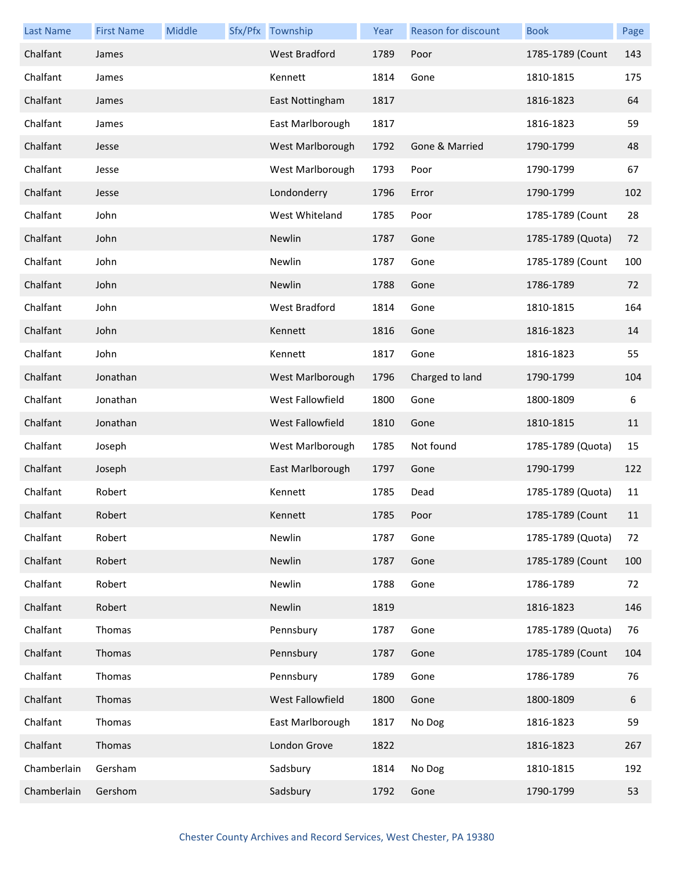| <b>Last Name</b> | <b>First Name</b> | Middle | Sfx/Pfx Township     | Year | Reason for discount | <b>Book</b>       | Page |
|------------------|-------------------|--------|----------------------|------|---------------------|-------------------|------|
| Chalfant         | James             |        | <b>West Bradford</b> | 1789 | Poor                | 1785-1789 (Count  | 143  |
| Chalfant         | James             |        | Kennett              | 1814 | Gone                | 1810-1815         | 175  |
| Chalfant         | James             |        | East Nottingham      | 1817 |                     | 1816-1823         | 64   |
| Chalfant         | James             |        | East Marlborough     | 1817 |                     | 1816-1823         | 59   |
| Chalfant         | Jesse             |        | West Marlborough     | 1792 | Gone & Married      | 1790-1799         | 48   |
| Chalfant         | Jesse             |        | West Marlborough     | 1793 | Poor                | 1790-1799         | 67   |
| Chalfant         | Jesse             |        | Londonderry          | 1796 | Error               | 1790-1799         | 102  |
| Chalfant         | John              |        | West Whiteland       | 1785 | Poor                | 1785-1789 (Count  | 28   |
| Chalfant         | John              |        | Newlin               | 1787 | Gone                | 1785-1789 (Quota) | 72   |
| Chalfant         | John              |        | Newlin               | 1787 | Gone                | 1785-1789 (Count  | 100  |
| Chalfant         | John              |        | Newlin               | 1788 | Gone                | 1786-1789         | 72   |
| Chalfant         | John              |        | West Bradford        | 1814 | Gone                | 1810-1815         | 164  |
| Chalfant         | John              |        | Kennett              | 1816 | Gone                | 1816-1823         | 14   |
| Chalfant         | John              |        | Kennett              | 1817 | Gone                | 1816-1823         | 55   |
| Chalfant         | Jonathan          |        | West Marlborough     | 1796 | Charged to land     | 1790-1799         | 104  |
| Chalfant         | Jonathan          |        | West Fallowfield     | 1800 | Gone                | 1800-1809         | 6    |
| Chalfant         | Jonathan          |        | West Fallowfield     | 1810 | Gone                | 1810-1815         | 11   |
| Chalfant         | Joseph            |        | West Marlborough     | 1785 | Not found           | 1785-1789 (Quota) | 15   |
| Chalfant         | Joseph            |        | East Marlborough     | 1797 | Gone                | 1790-1799         | 122  |
| Chalfant         | Robert            |        | Kennett              | 1785 | Dead                | 1785-1789 (Quota) | 11   |
| Chalfant         | Robert            |        | Kennett              | 1785 | Poor                | 1785-1789 (Count  | 11   |
| Chalfant         | Robert            |        | Newlin               | 1787 | Gone                | 1785-1789 (Quota) | 72   |
| Chalfant         | Robert            |        | Newlin               | 1787 | Gone                | 1785-1789 (Count  | 100  |
| Chalfant         | Robert            |        | Newlin               | 1788 | Gone                | 1786-1789         | 72   |
| Chalfant         | Robert            |        | Newlin               | 1819 |                     | 1816-1823         | 146  |
| Chalfant         | Thomas            |        | Pennsbury            | 1787 | Gone                | 1785-1789 (Quota) | 76   |
| Chalfant         | Thomas            |        | Pennsbury            | 1787 | Gone                | 1785-1789 (Count  | 104  |
| Chalfant         | Thomas            |        | Pennsbury            | 1789 | Gone                | 1786-1789         | 76   |
| Chalfant         | Thomas            |        | West Fallowfield     | 1800 | Gone                | 1800-1809         | 6    |
| Chalfant         | Thomas            |        | East Marlborough     | 1817 | No Dog              | 1816-1823         | 59   |
| Chalfant         | Thomas            |        | London Grove         | 1822 |                     | 1816-1823         | 267  |
| Chamberlain      | Gersham           |        | Sadsbury             | 1814 | No Dog              | 1810-1815         | 192  |
| Chamberlain      | Gershom           |        | Sadsbury             | 1792 | Gone                | 1790-1799         | 53   |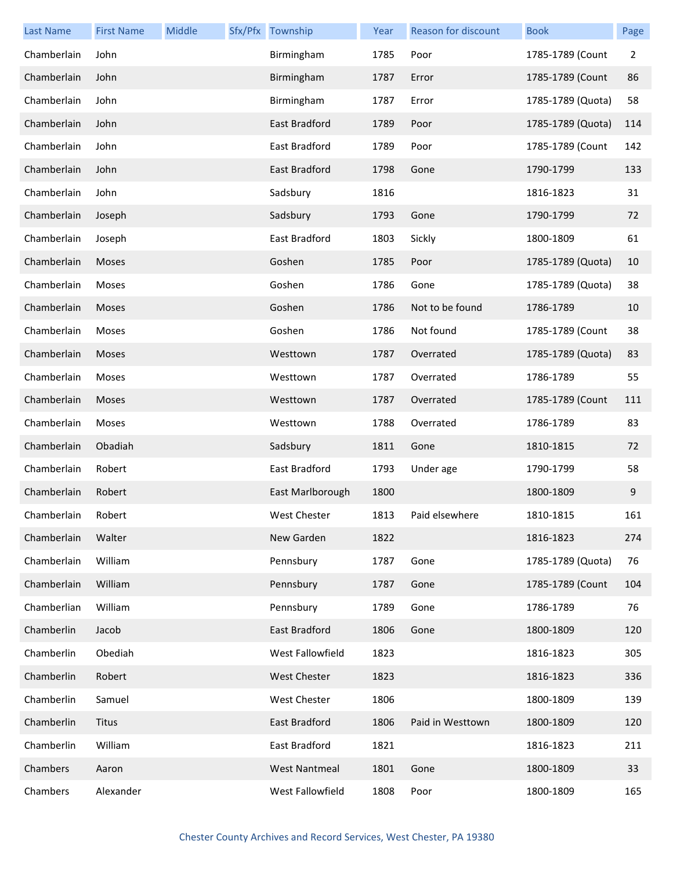| <b>Last Name</b> | <b>First Name</b> | Middle | Sfx/Pfx Township     | Year | <b>Reason for discount</b> | <b>Book</b>       | Page |
|------------------|-------------------|--------|----------------------|------|----------------------------|-------------------|------|
| Chamberlain      | John              |        | Birmingham           | 1785 | Poor                       | 1785-1789 (Count  | 2    |
| Chamberlain      | John              |        | Birmingham           | 1787 | Error                      | 1785-1789 (Count  | 86   |
| Chamberlain      | John              |        | Birmingham           | 1787 | Error                      | 1785-1789 (Quota) | 58   |
| Chamberlain      | John              |        | East Bradford        | 1789 | Poor                       | 1785-1789 (Quota) | 114  |
| Chamberlain      | John              |        | East Bradford        | 1789 | Poor                       | 1785-1789 (Count  | 142  |
| Chamberlain      | John              |        | East Bradford        | 1798 | Gone                       | 1790-1799         | 133  |
| Chamberlain      | John              |        | Sadsbury             | 1816 |                            | 1816-1823         | 31   |
| Chamberlain      | Joseph            |        | Sadsbury             | 1793 | Gone                       | 1790-1799         | 72   |
| Chamberlain      | Joseph            |        | East Bradford        | 1803 | Sickly                     | 1800-1809         | 61   |
| Chamberlain      | Moses             |        | Goshen               | 1785 | Poor                       | 1785-1789 (Quota) | 10   |
| Chamberlain      | Moses             |        | Goshen               | 1786 | Gone                       | 1785-1789 (Quota) | 38   |
| Chamberlain      | Moses             |        | Goshen               | 1786 | Not to be found            | 1786-1789         | 10   |
| Chamberlain      | Moses             |        | Goshen               | 1786 | Not found                  | 1785-1789 (Count  | 38   |
| Chamberlain      | Moses             |        | Westtown             | 1787 | Overrated                  | 1785-1789 (Quota) | 83   |
| Chamberlain      | Moses             |        | Westtown             | 1787 | Overrated                  | 1786-1789         | 55   |
| Chamberlain      | Moses             |        | Westtown             | 1787 | Overrated                  | 1785-1789 (Count  | 111  |
| Chamberlain      | Moses             |        | Westtown             | 1788 | Overrated                  | 1786-1789         | 83   |
| Chamberlain      | Obadiah           |        | Sadsbury             | 1811 | Gone                       | 1810-1815         | 72   |
| Chamberlain      | Robert            |        | East Bradford        | 1793 | Under age                  | 1790-1799         | 58   |
| Chamberlain      | Robert            |        | East Marlborough     | 1800 |                            | 1800-1809         | 9    |
| Chamberlain      | Robert            |        | West Chester         | 1813 | Paid elsewhere             | 1810-1815         | 161  |
| Chamberlain      | Walter            |        | New Garden           | 1822 |                            | 1816-1823         | 274  |
| Chamberlain      | William           |        | Pennsbury            | 1787 | Gone                       | 1785-1789 (Quota) | 76   |
| Chamberlain      | William           |        | Pennsbury            | 1787 | Gone                       | 1785-1789 (Count  | 104  |
| Chamberlian      | William           |        | Pennsbury            | 1789 | Gone                       | 1786-1789         | 76   |
| Chamberlin       | Jacob             |        | East Bradford        | 1806 | Gone                       | 1800-1809         | 120  |
| Chamberlin       | Obediah           |        | West Fallowfield     | 1823 |                            | 1816-1823         | 305  |
| Chamberlin       | Robert            |        | <b>West Chester</b>  | 1823 |                            | 1816-1823         | 336  |
| Chamberlin       | Samuel            |        | West Chester         | 1806 |                            | 1800-1809         | 139  |
| Chamberlin       | Titus             |        | East Bradford        | 1806 | Paid in Westtown           | 1800-1809         | 120  |
| Chamberlin       | William           |        | East Bradford        | 1821 |                            | 1816-1823         | 211  |
| Chambers         | Aaron             |        | <b>West Nantmeal</b> | 1801 | Gone                       | 1800-1809         | 33   |
| Chambers         | Alexander         |        | West Fallowfield     | 1808 | Poor                       | 1800-1809         | 165  |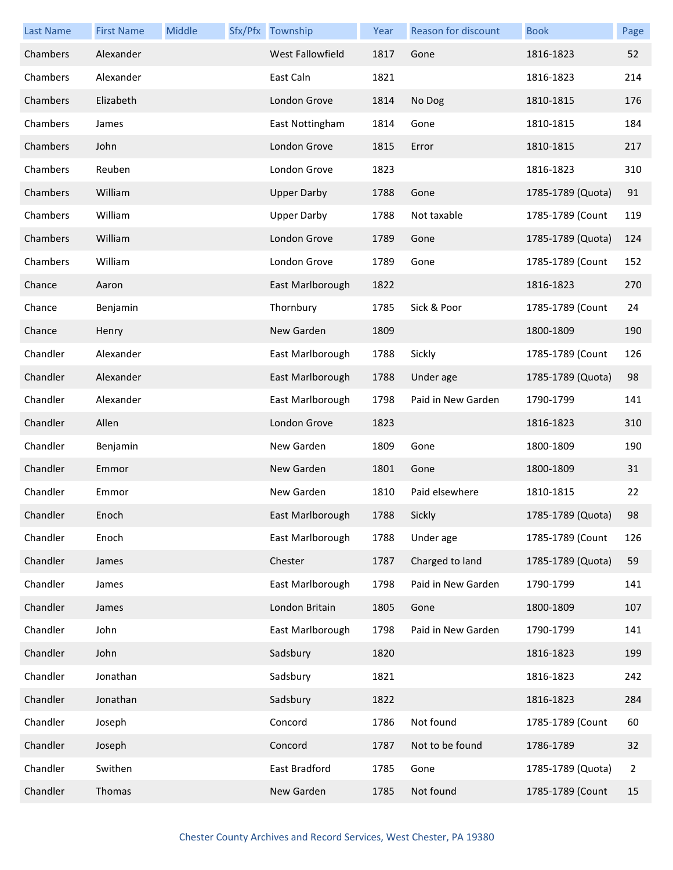| <b>Last Name</b> | <b>First Name</b> | Middle | Sfx/Pfx Township   | Year | Reason for discount | <b>Book</b>       | Page |
|------------------|-------------------|--------|--------------------|------|---------------------|-------------------|------|
| Chambers         | Alexander         |        | West Fallowfield   | 1817 | Gone                | 1816-1823         | 52   |
| Chambers         | Alexander         |        | East Caln          | 1821 |                     | 1816-1823         | 214  |
| Chambers         | Elizabeth         |        | London Grove       | 1814 | No Dog              | 1810-1815         | 176  |
| Chambers         | James             |        | East Nottingham    | 1814 | Gone                | 1810-1815         | 184  |
| Chambers         | John              |        | London Grove       | 1815 | Error               | 1810-1815         | 217  |
| Chambers         | Reuben            |        | London Grove       | 1823 |                     | 1816-1823         | 310  |
| Chambers         | William           |        | <b>Upper Darby</b> | 1788 | Gone                | 1785-1789 (Quota) | 91   |
| Chambers         | William           |        | <b>Upper Darby</b> | 1788 | Not taxable         | 1785-1789 (Count  | 119  |
| Chambers         | William           |        | London Grove       | 1789 | Gone                | 1785-1789 (Quota) | 124  |
| Chambers         | William           |        | London Grove       | 1789 | Gone                | 1785-1789 (Count  | 152  |
| Chance           | Aaron             |        | East Marlborough   | 1822 |                     | 1816-1823         | 270  |
| Chance           | Benjamin          |        | Thornbury          | 1785 | Sick & Poor         | 1785-1789 (Count  | 24   |
| Chance           | Henry             |        | New Garden         | 1809 |                     | 1800-1809         | 190  |
| Chandler         | Alexander         |        | East Marlborough   | 1788 | Sickly              | 1785-1789 (Count  | 126  |
| Chandler         | Alexander         |        | East Marlborough   | 1788 | Under age           | 1785-1789 (Quota) | 98   |
| Chandler         | Alexander         |        | East Marlborough   | 1798 | Paid in New Garden  | 1790-1799         | 141  |
| Chandler         | Allen             |        | London Grove       | 1823 |                     | 1816-1823         | 310  |
| Chandler         | Benjamin          |        | New Garden         | 1809 | Gone                | 1800-1809         | 190  |
| Chandler         | Emmor             |        | New Garden         | 1801 | Gone                | 1800-1809         | 31   |
| Chandler         | Emmor             |        | New Garden         | 1810 | Paid elsewhere      | 1810-1815         | 22   |
| Chandler         | Enoch             |        | East Marlborough   | 1788 | Sickly              | 1785-1789 (Quota) | 98   |
| Chandler         | Enoch             |        | East Marlborough   | 1788 | Under age           | 1785-1789 (Count  | 126  |
| Chandler         | James             |        | Chester            | 1787 | Charged to land     | 1785-1789 (Quota) | 59   |
| Chandler         | James             |        | East Marlborough   | 1798 | Paid in New Garden  | 1790-1799         | 141  |
| Chandler         | James             |        | London Britain     | 1805 | Gone                | 1800-1809         | 107  |
| Chandler         | John              |        | East Marlborough   | 1798 | Paid in New Garden  | 1790-1799         | 141  |
| Chandler         | John              |        | Sadsbury           | 1820 |                     | 1816-1823         | 199  |
| Chandler         | Jonathan          |        | Sadsbury           | 1821 |                     | 1816-1823         | 242  |
| Chandler         | Jonathan          |        | Sadsbury           | 1822 |                     | 1816-1823         | 284  |
| Chandler         | Joseph            |        | Concord            | 1786 | Not found           | 1785-1789 (Count  | 60   |
| Chandler         | Joseph            |        | Concord            | 1787 | Not to be found     | 1786-1789         | 32   |
| Chandler         | Swithen           |        | East Bradford      | 1785 | Gone                | 1785-1789 (Quota) | 2    |
| Chandler         | Thomas            |        | New Garden         | 1785 | Not found           | 1785-1789 (Count  | 15   |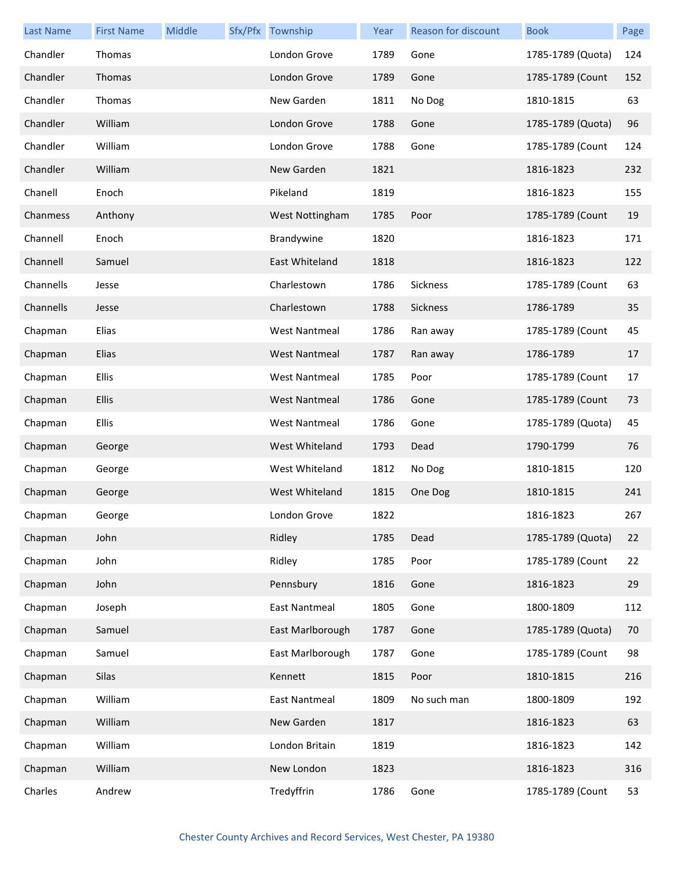| <b>Last Name</b> | <b>First Name</b> | Middle | Sfx/Pfx Township     | Year | Reason for discount | <b>Book</b>       | Page |
|------------------|-------------------|--------|----------------------|------|---------------------|-------------------|------|
| Chandler         | Thomas            |        | London Grove         | 1789 | Gone                | 1785-1789 (Quota) | 124  |
| Chandler         | Thomas            |        | London Grove         | 1789 | Gone                | 1785-1789 (Count  | 152  |
| Chandler         | Thomas            |        | New Garden           | 1811 | No Dog              | 1810-1815         | 63   |
| Chandler         | William           |        | London Grove         | 1788 | Gone                | 1785-1789 (Quota) | 96   |
| Chandler         | William           |        | London Grove         | 1788 | Gone                | 1785-1789 (Count  | 124  |
| Chandler         | William           |        | New Garden           | 1821 |                     | 1816-1823         | 232  |
| Chanell          | Enoch             |        | Pikeland             | 1819 |                     | 1816-1823         | 155  |
| Chanmess         | Anthony           |        | West Nottingham      | 1785 | Poor                | 1785-1789 (Count  | 19   |
| Channell         | Enoch             |        | Brandywine           | 1820 |                     | 1816-1823         | 171  |
| Channell         | Samuel            |        | East Whiteland       | 1818 |                     | 1816-1823         | 122  |
| Channells        | Jesse             |        | Charlestown          | 1786 | Sickness            | 1785-1789 (Count  | 63   |
| Channells        | Jesse             |        | Charlestown          | 1788 | Sickness            | 1786-1789         | 35   |
| Chapman          | Elias             |        | <b>West Nantmeal</b> | 1786 | Ran away            | 1785-1789 (Count  | 45   |
| Chapman          | Elias             |        | <b>West Nantmeal</b> | 1787 | Ran away            | 1786-1789         | 17   |
| Chapman          | Ellis             |        | <b>West Nantmeal</b> | 1785 | Poor                | 1785-1789 (Count  | 17   |
| Chapman          | Ellis             |        | <b>West Nantmeal</b> | 1786 | Gone                | 1785-1789 (Count  | 73   |
| Chapman          | Ellis             |        | <b>West Nantmeal</b> | 1786 | Gone                | 1785-1789 (Quota) | 45   |
| Chapman          | George            |        | West Whiteland       | 1793 | Dead                | 1790-1799         | 76   |
| Chapman          | George            |        | West Whiteland       | 1812 | No Dog              | 1810-1815         | 120  |
| Chapman          | George            |        | West Whiteland       | 1815 | One Dog             | 1810-1815         | 241  |
| Chapman          | George            |        | London Grove         | 1822 |                     | 1816-1823         | 267  |
| Chapman          | John              |        | Ridley               | 1785 | Dead                | 1785-1789 (Quota) | 22   |
| Chapman          | John              |        | Ridley               | 1785 | Poor                | 1785-1789 (Count  | 22   |
| Chapman          | John              |        | Pennsbury            | 1816 | Gone                | 1816-1823         | 29   |
| Chapman          | Joseph            |        | <b>East Nantmeal</b> | 1805 | Gone                | 1800-1809         | 112  |
| Chapman          | Samuel            |        | East Marlborough     | 1787 | Gone                | 1785-1789 (Quota) | 70   |
| Chapman          | Samuel            |        | East Marlborough     | 1787 | Gone                | 1785-1789 (Count  | 98   |
| Chapman          | Silas             |        | Kennett              | 1815 | Poor                | 1810-1815         | 216  |
| Chapman          | William           |        | <b>East Nantmeal</b> | 1809 | No such man         | 1800-1809         | 192  |
| Chapman          | William           |        | New Garden           | 1817 |                     | 1816-1823         | 63   |
| Chapman          | William           |        | London Britain       | 1819 |                     | 1816-1823         | 142  |
| Chapman          | William           |        | New London           | 1823 |                     | 1816-1823         | 316  |
| Charles          | Andrew            |        | Tredyffrin           | 1786 | Gone                | 1785-1789 (Count  | 53   |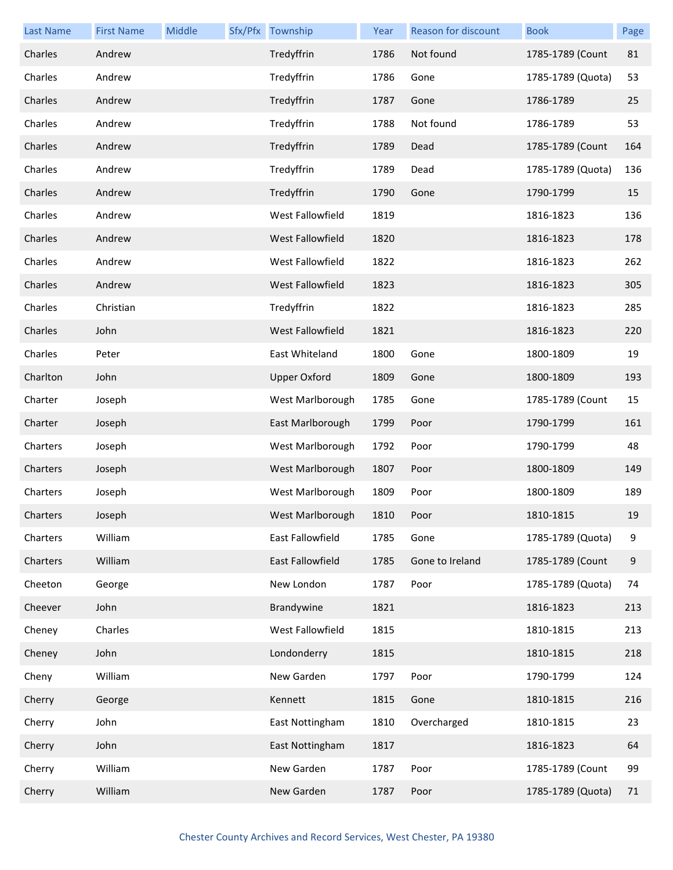| <b>Last Name</b> | <b>First Name</b> | Middle | Sfx/Pfx Township        | Year | <b>Reason for discount</b> | <b>Book</b>       | Page  |
|------------------|-------------------|--------|-------------------------|------|----------------------------|-------------------|-------|
| Charles          | Andrew            |        | Tredyffrin              | 1786 | Not found                  | 1785-1789 (Count  | 81    |
| Charles          | Andrew            |        | Tredyffrin              | 1786 | Gone                       | 1785-1789 (Quota) | 53    |
| Charles          | Andrew            |        | Tredyffrin              | 1787 | Gone                       | 1786-1789         | 25    |
| Charles          | Andrew            |        | Tredyffrin              | 1788 | Not found                  | 1786-1789         | 53    |
| Charles          | Andrew            |        | Tredyffrin              | 1789 | Dead                       | 1785-1789 (Count  | 164   |
| Charles          | Andrew            |        | Tredyffrin              | 1789 | Dead                       | 1785-1789 (Quota) | 136   |
| Charles          | Andrew            |        | Tredyffrin              | 1790 | Gone                       | 1790-1799         | 15    |
| Charles          | Andrew            |        | <b>West Fallowfield</b> | 1819 |                            | 1816-1823         | 136   |
| Charles          | Andrew            |        | West Fallowfield        | 1820 |                            | 1816-1823         | 178   |
| Charles          | Andrew            |        | West Fallowfield        | 1822 |                            | 1816-1823         | 262   |
| Charles          | Andrew            |        | <b>West Fallowfield</b> | 1823 |                            | 1816-1823         | 305   |
| Charles          | Christian         |        | Tredyffrin              | 1822 |                            | 1816-1823         | 285   |
| Charles          | John              |        | West Fallowfield        | 1821 |                            | 1816-1823         | 220   |
| Charles          | Peter             |        | East Whiteland          | 1800 | Gone                       | 1800-1809         | 19    |
| Charlton         | John              |        | <b>Upper Oxford</b>     | 1809 | Gone                       | 1800-1809         | 193   |
| Charter          | Joseph            |        | West Marlborough        | 1785 | Gone                       | 1785-1789 (Count  | 15    |
| Charter          | Joseph            |        | East Marlborough        | 1799 | Poor                       | 1790-1799         | 161   |
| Charters         | Joseph            |        | West Marlborough        | 1792 | Poor                       | 1790-1799         | 48    |
| Charters         | Joseph            |        | West Marlborough        | 1807 | Poor                       | 1800-1809         | 149   |
| Charters         | Joseph            |        | West Marlborough        | 1809 | Poor                       | 1800-1809         | 189   |
| Charters         | Joseph            |        | West Marlborough        | 1810 | Poor                       | 1810-1815         | 19    |
| Charters         | William           |        | East Fallowfield        | 1785 | Gone                       | 1785-1789 (Quota) | 9     |
| Charters         | William           |        | East Fallowfield        | 1785 | Gone to Ireland            | 1785-1789 (Count  | $9\,$ |
| Cheeton          | George            |        | New London              | 1787 | Poor                       | 1785-1789 (Quota) | 74    |
| Cheever          | John              |        | Brandywine              | 1821 |                            | 1816-1823         | 213   |
| Cheney           | Charles           |        | West Fallowfield        | 1815 |                            | 1810-1815         | 213   |
| Cheney           | John              |        | Londonderry             | 1815 |                            | 1810-1815         | 218   |
| Cheny            | William           |        | New Garden              | 1797 | Poor                       | 1790-1799         | 124   |
| Cherry           | George            |        | Kennett                 | 1815 | Gone                       | 1810-1815         | 216   |
| Cherry           | John              |        | East Nottingham         | 1810 | Overcharged                | 1810-1815         | 23    |
| Cherry           | John              |        | East Nottingham         | 1817 |                            | 1816-1823         | 64    |
| Cherry           | William           |        | New Garden              | 1787 | Poor                       | 1785-1789 (Count  | 99    |
| Cherry           | William           |        | New Garden              | 1787 | Poor                       | 1785-1789 (Quota) | 71    |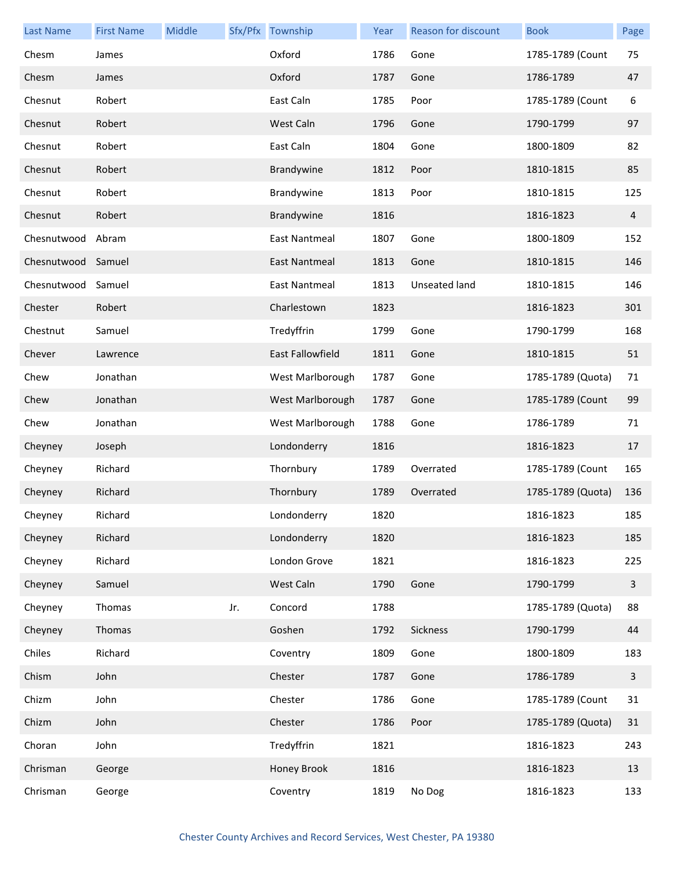| <b>Last Name</b>   | <b>First Name</b> | Middle |     | Sfx/Pfx Township        | Year | <b>Reason for discount</b> | <b>Book</b>       | Page         |
|--------------------|-------------------|--------|-----|-------------------------|------|----------------------------|-------------------|--------------|
| Chesm              | James             |        |     | Oxford                  | 1786 | Gone                       | 1785-1789 (Count  | 75           |
| Chesm              | James             |        |     | Oxford                  | 1787 | Gone                       | 1786-1789         | 47           |
| Chesnut            | Robert            |        |     | East Caln               | 1785 | Poor                       | 1785-1789 (Count  | 6            |
| Chesnut            | Robert            |        |     | West Caln               | 1796 | Gone                       | 1790-1799         | 97           |
| Chesnut            | Robert            |        |     | East Caln               | 1804 | Gone                       | 1800-1809         | 82           |
| Chesnut            | Robert            |        |     | Brandywine              | 1812 | Poor                       | 1810-1815         | 85           |
| Chesnut            | Robert            |        |     | Brandywine              | 1813 | Poor                       | 1810-1815         | 125          |
| Chesnut            | Robert            |        |     | Brandywine              | 1816 |                            | 1816-1823         | 4            |
| Chesnutwood        | Abram             |        |     | East Nantmeal           | 1807 | Gone                       | 1800-1809         | 152          |
| Chesnutwood Samuel |                   |        |     | East Nantmeal           | 1813 | Gone                       | 1810-1815         | 146          |
| Chesnutwood        | Samuel            |        |     | East Nantmeal           | 1813 | <b>Unseated land</b>       | 1810-1815         | 146          |
| Chester            | Robert            |        |     | Charlestown             | 1823 |                            | 1816-1823         | 301          |
| Chestnut           | Samuel            |        |     | Tredyffrin              | 1799 | Gone                       | 1790-1799         | 168          |
| Chever             | Lawrence          |        |     | <b>East Fallowfield</b> | 1811 | Gone                       | 1810-1815         | 51           |
| Chew               | Jonathan          |        |     | West Marlborough        | 1787 | Gone                       | 1785-1789 (Quota) | 71           |
| Chew               | Jonathan          |        |     | West Marlborough        | 1787 | Gone                       | 1785-1789 (Count  | 99           |
| Chew               | Jonathan          |        |     | West Marlborough        | 1788 | Gone                       | 1786-1789         | 71           |
| Cheyney            | Joseph            |        |     | Londonderry             | 1816 |                            | 1816-1823         | 17           |
| Cheyney            | Richard           |        |     | Thornbury               | 1789 | Overrated                  | 1785-1789 (Count  | 165          |
| Cheyney            | Richard           |        |     | Thornbury               | 1789 | Overrated                  | 1785-1789 (Quota) | 136          |
| Cheyney            | Richard           |        |     | Londonderry             | 1820 |                            | 1816-1823         | 185          |
| Cheyney            | Richard           |        |     | Londonderry             | 1820 |                            | 1816-1823         | 185          |
| Cheyney            | Richard           |        |     | London Grove            | 1821 |                            | 1816-1823         | 225          |
| Cheyney            | Samuel            |        |     | West Caln               | 1790 | Gone                       | 1790-1799         | 3            |
| Cheyney            | Thomas            |        | Jr. | Concord                 | 1788 |                            | 1785-1789 (Quota) | 88           |
| Cheyney            | Thomas            |        |     | Goshen                  | 1792 | Sickness                   | 1790-1799         | 44           |
| Chiles             | Richard           |        |     | Coventry                | 1809 | Gone                       | 1800-1809         | 183          |
| Chism              | John              |        |     | Chester                 | 1787 | Gone                       | 1786-1789         | $\mathbf{3}$ |
| Chizm              | John              |        |     | Chester                 | 1786 | Gone                       | 1785-1789 (Count  | 31           |
| Chizm              | John              |        |     | Chester                 | 1786 | Poor                       | 1785-1789 (Quota) | 31           |
| Choran             | John              |        |     | Tredyffrin              | 1821 |                            | 1816-1823         | 243          |
| Chrisman           | George            |        |     | Honey Brook             | 1816 |                            | 1816-1823         | 13           |
| Chrisman           | George            |        |     | Coventry                | 1819 | No Dog                     | 1816-1823         | 133          |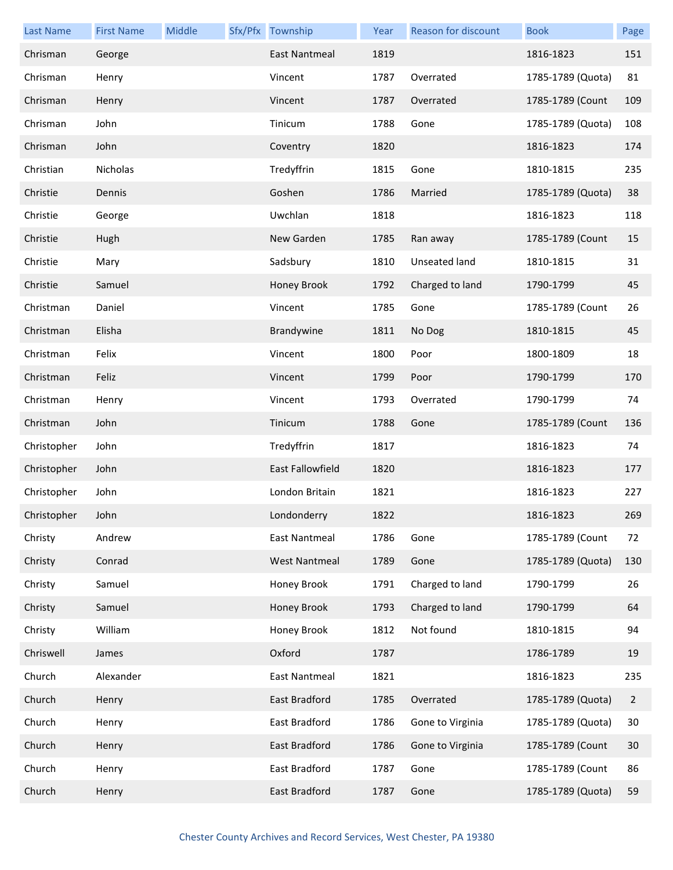| <b>Last Name</b> | <b>First Name</b> | <b>Middle</b> | Sfx/Pfx Township     | Year | Reason for discount  | <b>Book</b>       | Page           |
|------------------|-------------------|---------------|----------------------|------|----------------------|-------------------|----------------|
| Chrisman         | George            |               | <b>East Nantmeal</b> | 1819 |                      | 1816-1823         | 151            |
| Chrisman         | Henry             |               | Vincent              | 1787 | Overrated            | 1785-1789 (Quota) | 81             |
| Chrisman         | Henry             |               | Vincent              | 1787 | Overrated            | 1785-1789 (Count  | 109            |
| Chrisman         | John              |               | Tinicum              | 1788 | Gone                 | 1785-1789 (Quota) | 108            |
| Chrisman         | John              |               | Coventry             | 1820 |                      | 1816-1823         | 174            |
| Christian        | Nicholas          |               | Tredyffrin           | 1815 | Gone                 | 1810-1815         | 235            |
| Christie         | Dennis            |               | Goshen               | 1786 | Married              | 1785-1789 (Quota) | 38             |
| Christie         | George            |               | Uwchlan              | 1818 |                      | 1816-1823         | 118            |
| Christie         | Hugh              |               | New Garden           | 1785 | Ran away             | 1785-1789 (Count  | 15             |
| Christie         | Mary              |               | Sadsbury             | 1810 | <b>Unseated land</b> | 1810-1815         | 31             |
| Christie         | Samuel            |               | Honey Brook          | 1792 | Charged to land      | 1790-1799         | 45             |
| Christman        | Daniel            |               | Vincent              | 1785 | Gone                 | 1785-1789 (Count  | 26             |
| Christman        | Elisha            |               | Brandywine           | 1811 | No Dog               | 1810-1815         | 45             |
| Christman        | Felix             |               | Vincent              | 1800 | Poor                 | 1800-1809         | 18             |
| Christman        | Feliz             |               | Vincent              | 1799 | Poor                 | 1790-1799         | 170            |
| Christman        | Henry             |               | Vincent              | 1793 | Overrated            | 1790-1799         | 74             |
| Christman        | John              |               | Tinicum              | 1788 | Gone                 | 1785-1789 (Count  | 136            |
| Christopher      | John              |               | Tredyffrin           | 1817 |                      | 1816-1823         | 74             |
| Christopher      | John              |               | East Fallowfield     | 1820 |                      | 1816-1823         | 177            |
| Christopher      | John              |               | London Britain       | 1821 |                      | 1816-1823         | 227            |
| Christopher      | John              |               | Londonderry          | 1822 |                      | 1816-1823         | 269            |
| Christy          | Andrew            |               | <b>East Nantmeal</b> | 1786 | Gone                 | 1785-1789 (Count  | 72             |
| Christy          | Conrad            |               | <b>West Nantmeal</b> | 1789 | Gone                 | 1785-1789 (Quota) | 130            |
| Christy          | Samuel            |               | Honey Brook          | 1791 | Charged to land      | 1790-1799         | 26             |
| Christy          | Samuel            |               | Honey Brook          | 1793 | Charged to land      | 1790-1799         | 64             |
| Christy          | William           |               | Honey Brook          | 1812 | Not found            | 1810-1815         | 94             |
| Chriswell        | James             |               | Oxford               | 1787 |                      | 1786-1789         | 19             |
| Church           | Alexander         |               | <b>East Nantmeal</b> | 1821 |                      | 1816-1823         | 235            |
| Church           | Henry             |               | East Bradford        | 1785 | Overrated            | 1785-1789 (Quota) | $\overline{2}$ |
| Church           | Henry             |               | East Bradford        | 1786 | Gone to Virginia     | 1785-1789 (Quota) | 30             |
| Church           | Henry             |               | East Bradford        | 1786 | Gone to Virginia     | 1785-1789 (Count  | 30             |
| Church           | Henry             |               | East Bradford        | 1787 | Gone                 | 1785-1789 (Count  | 86             |
| Church           | Henry             |               | East Bradford        | 1787 | Gone                 | 1785-1789 (Quota) | 59             |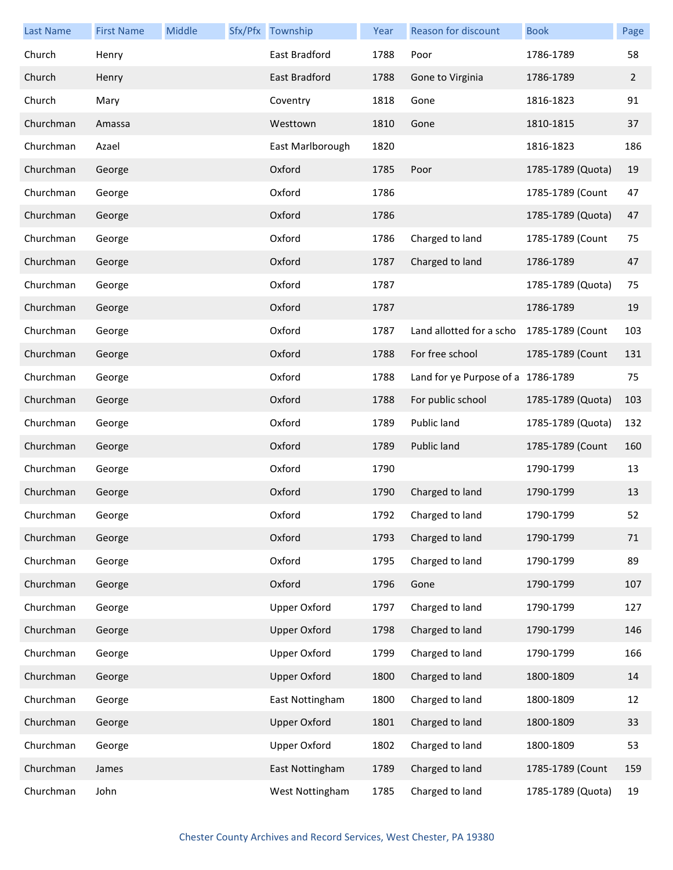| <b>Last Name</b> | <b>First Name</b> | Middle | Sfx/Pfx Township    | Year | Reason for discount                | <b>Book</b>       | Page |
|------------------|-------------------|--------|---------------------|------|------------------------------------|-------------------|------|
| Church           | Henry             |        | East Bradford       | 1788 | Poor                               | 1786-1789         | 58   |
| Church           | Henry             |        | East Bradford       | 1788 | Gone to Virginia                   | 1786-1789         | 2    |
| Church           | Mary              |        | Coventry            | 1818 | Gone                               | 1816-1823         | 91   |
| Churchman        | Amassa            |        | Westtown            | 1810 | Gone                               | 1810-1815         | 37   |
| Churchman        | Azael             |        | East Marlborough    | 1820 |                                    | 1816-1823         | 186  |
| Churchman        | George            |        | Oxford              | 1785 | Poor                               | 1785-1789 (Quota) | 19   |
| Churchman        | George            |        | Oxford              | 1786 |                                    | 1785-1789 (Count  | 47   |
| Churchman        | George            |        | Oxford              | 1786 |                                    | 1785-1789 (Quota) | 47   |
| Churchman        | George            |        | Oxford              | 1786 | Charged to land                    | 1785-1789 (Count  | 75   |
| Churchman        | George            |        | Oxford              | 1787 | Charged to land                    | 1786-1789         | 47   |
| Churchman        | George            |        | Oxford              | 1787 |                                    | 1785-1789 (Quota) | 75   |
| Churchman        | George            |        | Oxford              | 1787 |                                    | 1786-1789         | 19   |
| Churchman        | George            |        | Oxford              | 1787 | Land allotted for a scho           | 1785-1789 (Count  | 103  |
| Churchman        | George            |        | Oxford              | 1788 | For free school                    | 1785-1789 (Count  | 131  |
| Churchman        | George            |        | Oxford              | 1788 | Land for ye Purpose of a 1786-1789 |                   | 75   |
| Churchman        | George            |        | Oxford              | 1788 | For public school                  | 1785-1789 (Quota) | 103  |
| Churchman        | George            |        | Oxford              | 1789 | Public land                        | 1785-1789 (Quota) | 132  |
| Churchman        | George            |        | Oxford              | 1789 | Public land                        | 1785-1789 (Count  | 160  |
| Churchman        | George            |        | Oxford              | 1790 |                                    | 1790-1799         | 13   |
| Churchman        | George            |        | Oxford              | 1790 | Charged to land                    | 1790-1799         | 13   |
| Churchman        | George            |        | Oxford              | 1792 | Charged to land                    | 1790-1799         | 52   |
| Churchman        | George            |        | Oxford              | 1793 | Charged to land                    | 1790-1799         | 71   |
| Churchman        | George            |        | Oxford              | 1795 | Charged to land                    | 1790-1799         | 89   |
| Churchman        | George            |        | Oxford              | 1796 | Gone                               | 1790-1799         | 107  |
| Churchman        | George            |        | <b>Upper Oxford</b> | 1797 | Charged to land                    | 1790-1799         | 127  |
| Churchman        | George            |        | <b>Upper Oxford</b> | 1798 | Charged to land                    | 1790-1799         | 146  |
| Churchman        | George            |        | <b>Upper Oxford</b> | 1799 | Charged to land                    | 1790-1799         | 166  |
| Churchman        | George            |        | <b>Upper Oxford</b> | 1800 | Charged to land                    | 1800-1809         | 14   |
| Churchman        | George            |        | East Nottingham     | 1800 | Charged to land                    | 1800-1809         | 12   |
| Churchman        | George            |        | <b>Upper Oxford</b> | 1801 | Charged to land                    | 1800-1809         | 33   |
| Churchman        | George            |        | <b>Upper Oxford</b> | 1802 | Charged to land                    | 1800-1809         | 53   |
| Churchman        | James             |        | East Nottingham     | 1789 | Charged to land                    | 1785-1789 (Count  | 159  |
| Churchman        | John              |        | West Nottingham     | 1785 | Charged to land                    | 1785-1789 (Quota) | 19   |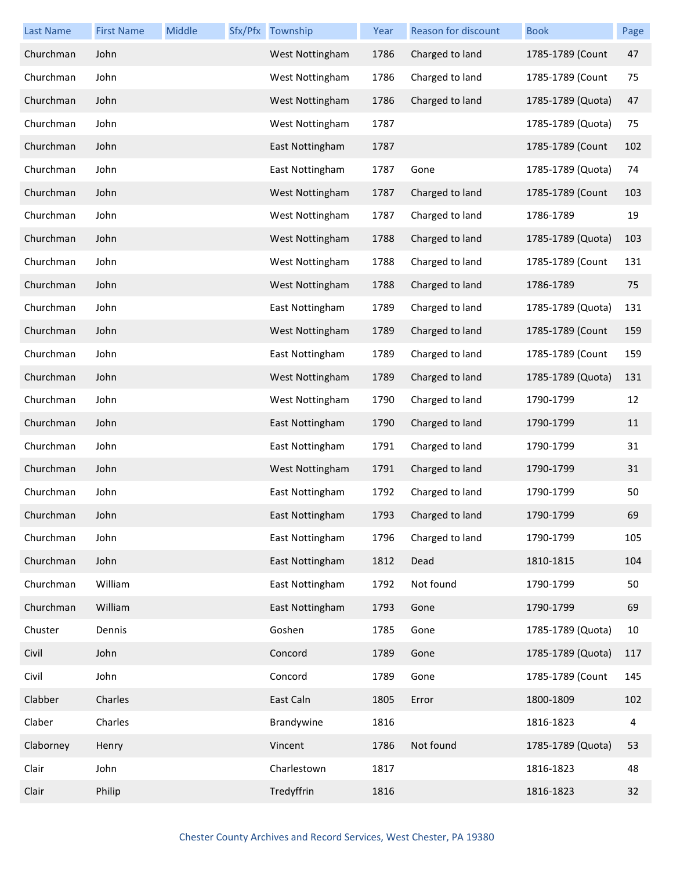| <b>Last Name</b> | <b>First Name</b> | Middle | Sfx/Pfx Township | Year | Reason for discount | <b>Book</b>       | Page |
|------------------|-------------------|--------|------------------|------|---------------------|-------------------|------|
| Churchman        | John              |        | West Nottingham  | 1786 | Charged to land     | 1785-1789 (Count  | 47   |
| Churchman        | John              |        | West Nottingham  | 1786 | Charged to land     | 1785-1789 (Count  | 75   |
| Churchman        | John              |        | West Nottingham  | 1786 | Charged to land     | 1785-1789 (Quota) | 47   |
| Churchman        | John              |        | West Nottingham  | 1787 |                     | 1785-1789 (Quota) | 75   |
| Churchman        | John              |        | East Nottingham  | 1787 |                     | 1785-1789 (Count  | 102  |
| Churchman        | John              |        | East Nottingham  | 1787 | Gone                | 1785-1789 (Quota) | 74   |
| Churchman        | John              |        | West Nottingham  | 1787 | Charged to land     | 1785-1789 (Count  | 103  |
| Churchman        | John              |        | West Nottingham  | 1787 | Charged to land     | 1786-1789         | 19   |
| Churchman        | John              |        | West Nottingham  | 1788 | Charged to land     | 1785-1789 (Quota) | 103  |
| Churchman        | John              |        | West Nottingham  | 1788 | Charged to land     | 1785-1789 (Count  | 131  |
| Churchman        | John              |        | West Nottingham  | 1788 | Charged to land     | 1786-1789         | 75   |
| Churchman        | John              |        | East Nottingham  | 1789 | Charged to land     | 1785-1789 (Quota) | 131  |
| Churchman        | John              |        | West Nottingham  | 1789 | Charged to land     | 1785-1789 (Count  | 159  |
| Churchman        | John              |        | East Nottingham  | 1789 | Charged to land     | 1785-1789 (Count  | 159  |
| Churchman        | John              |        | West Nottingham  | 1789 | Charged to land     | 1785-1789 (Quota) | 131  |
| Churchman        | John              |        | West Nottingham  | 1790 | Charged to land     | 1790-1799         | 12   |
| Churchman        | John              |        | East Nottingham  | 1790 | Charged to land     | 1790-1799         | 11   |
| Churchman        | John              |        | East Nottingham  | 1791 | Charged to land     | 1790-1799         | 31   |
| Churchman        | John              |        | West Nottingham  | 1791 | Charged to land     | 1790-1799         | 31   |
| Churchman        | John              |        | East Nottingham  | 1792 | Charged to land     | 1790-1799         | 50   |
| Churchman        | John              |        | East Nottingham  | 1793 | Charged to land     | 1790-1799         | 69   |
| Churchman        | John              |        | East Nottingham  | 1796 | Charged to land     | 1790-1799         | 105  |
| Churchman        | John              |        | East Nottingham  | 1812 | Dead                | 1810-1815         | 104  |
| Churchman        | William           |        | East Nottingham  | 1792 | Not found           | 1790-1799         | 50   |
| Churchman        | William           |        | East Nottingham  | 1793 | Gone                | 1790-1799         | 69   |
| Chuster          | Dennis            |        | Goshen           | 1785 | Gone                | 1785-1789 (Quota) | 10   |
| Civil            | John              |        | Concord          | 1789 | Gone                | 1785-1789 (Quota) | 117  |
| Civil            | John              |        | Concord          | 1789 | Gone                | 1785-1789 (Count  | 145  |
| Clabber          | Charles           |        | East Caln        | 1805 | Error               | 1800-1809         | 102  |
| Claber           | Charles           |        | Brandywine       | 1816 |                     | 1816-1823         | 4    |
| Claborney        | Henry             |        | Vincent          | 1786 | Not found           | 1785-1789 (Quota) | 53   |
| Clair            | John              |        | Charlestown      | 1817 |                     | 1816-1823         | 48   |
| Clair            | Philip            |        | Tredyffrin       | 1816 |                     | 1816-1823         | 32   |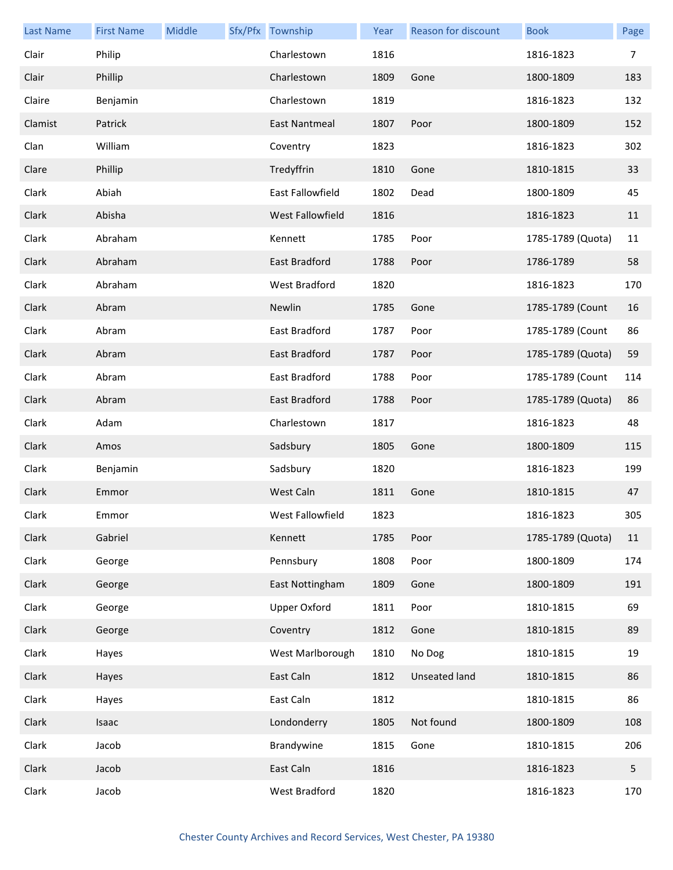| <b>Last Name</b> | <b>First Name</b> | Middle | Sfx/Pfx Township    | Year | Reason for discount | <b>Book</b>       | Page |
|------------------|-------------------|--------|---------------------|------|---------------------|-------------------|------|
| Clair            | Philip            |        | Charlestown         | 1816 |                     | 1816-1823         | 7    |
| Clair            | Phillip           |        | Charlestown         | 1809 | Gone                | 1800-1809         | 183  |
| Claire           | Benjamin          |        | Charlestown         | 1819 |                     | 1816-1823         | 132  |
| Clamist          | Patrick           |        | East Nantmeal       | 1807 | Poor                | 1800-1809         | 152  |
| Clan             | William           |        | Coventry            | 1823 |                     | 1816-1823         | 302  |
| Clare            | Phillip           |        | Tredyffrin          | 1810 | Gone                | 1810-1815         | 33   |
| Clark            | Abiah             |        | East Fallowfield    | 1802 | Dead                | 1800-1809         | 45   |
| Clark            | Abisha            |        | West Fallowfield    | 1816 |                     | 1816-1823         | 11   |
| Clark            | Abraham           |        | Kennett             | 1785 | Poor                | 1785-1789 (Quota) | 11   |
| Clark            | Abraham           |        | East Bradford       | 1788 | Poor                | 1786-1789         | 58   |
| Clark            | Abraham           |        | West Bradford       | 1820 |                     | 1816-1823         | 170  |
| Clark            | Abram             |        | Newlin              | 1785 | Gone                | 1785-1789 (Count  | 16   |
| Clark            | Abram             |        | East Bradford       | 1787 | Poor                | 1785-1789 (Count  | 86   |
| Clark            | Abram             |        | East Bradford       | 1787 | Poor                | 1785-1789 (Quota) | 59   |
| Clark            | Abram             |        | East Bradford       | 1788 | Poor                | 1785-1789 (Count  | 114  |
| Clark            | Abram             |        | East Bradford       | 1788 | Poor                | 1785-1789 (Quota) | 86   |
| Clark            | Adam              |        | Charlestown         | 1817 |                     | 1816-1823         | 48   |
| Clark            | Amos              |        | Sadsbury            | 1805 | Gone                | 1800-1809         | 115  |
| Clark            | Benjamin          |        | Sadsbury            | 1820 |                     | 1816-1823         | 199  |
| Clark            | Emmor             |        | West Caln           | 1811 | Gone                | 1810-1815         | 47   |
| Clark            | Emmor             |        | West Fallowfield    | 1823 |                     | 1816-1823         | 305  |
| Clark            | Gabriel           |        | Kennett             | 1785 | Poor                | 1785-1789 (Quota) | 11   |
| Clark            | George            |        | Pennsbury           | 1808 | Poor                | 1800-1809         | 174  |
| Clark            | George            |        | East Nottingham     | 1809 | Gone                | 1800-1809         | 191  |
| Clark            | George            |        | <b>Upper Oxford</b> | 1811 | Poor                | 1810-1815         | 69   |
| Clark            | George            |        | Coventry            | 1812 | Gone                | 1810-1815         | 89   |
| Clark            | Hayes             |        | West Marlborough    | 1810 | No Dog              | 1810-1815         | 19   |
| Clark            | Hayes             |        | East Caln           | 1812 | Unseated land       | 1810-1815         | 86   |
| Clark            | Hayes             |        | East Caln           | 1812 |                     | 1810-1815         | 86   |
| Clark            | Isaac             |        | Londonderry         | 1805 | Not found           | 1800-1809         | 108  |
| Clark            | Jacob             |        | Brandywine          | 1815 | Gone                | 1810-1815         | 206  |
| Clark            | Jacob             |        | East Caln           | 1816 |                     | 1816-1823         | 5    |
| Clark            | Jacob             |        | West Bradford       | 1820 |                     | 1816-1823         | 170  |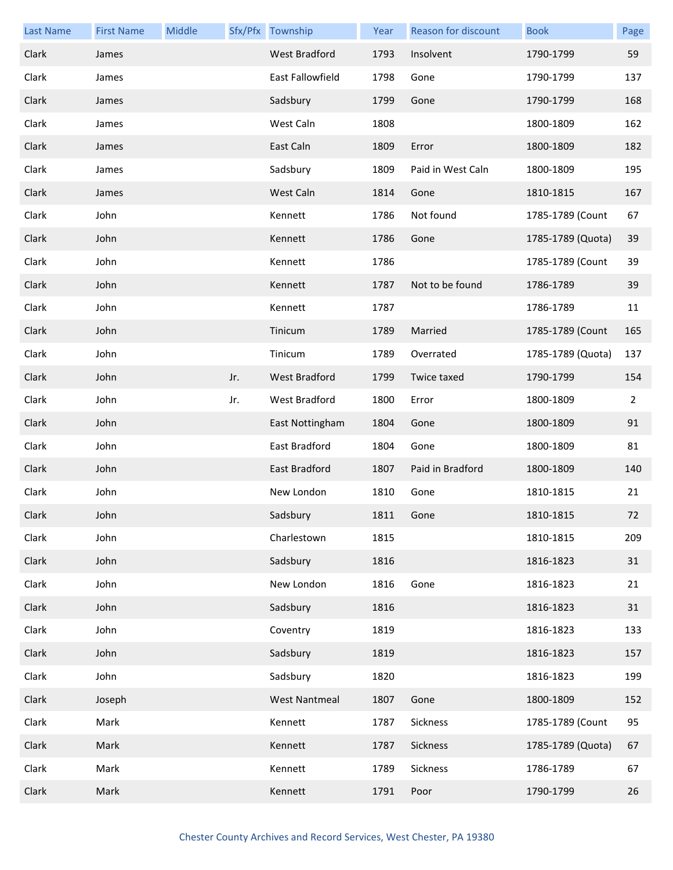| <b>Last Name</b> | <b>First Name</b> | Middle |     | Sfx/Pfx Township     | Year | Reason for discount | <b>Book</b>       | Page           |
|------------------|-------------------|--------|-----|----------------------|------|---------------------|-------------------|----------------|
| Clark            | James             |        |     | <b>West Bradford</b> | 1793 | Insolvent           | 1790-1799         | 59             |
| Clark            | James             |        |     | East Fallowfield     | 1798 | Gone                | 1790-1799         | 137            |
| Clark            | James             |        |     | Sadsbury             | 1799 | Gone                | 1790-1799         | 168            |
| Clark            | James             |        |     | West Caln            | 1808 |                     | 1800-1809         | 162            |
| Clark            | James             |        |     | East Caln            | 1809 | Error               | 1800-1809         | 182            |
| Clark            | James             |        |     | Sadsbury             | 1809 | Paid in West Caln   | 1800-1809         | 195            |
| Clark            | James             |        |     | West Caln            | 1814 | Gone                | 1810-1815         | 167            |
| Clark            | John              |        |     | Kennett              | 1786 | Not found           | 1785-1789 (Count  | 67             |
| Clark            | John              |        |     | Kennett              | 1786 | Gone                | 1785-1789 (Quota) | 39             |
| Clark            | John              |        |     | Kennett              | 1786 |                     | 1785-1789 (Count  | 39             |
| Clark            | John              |        |     | Kennett              | 1787 | Not to be found     | 1786-1789         | 39             |
| Clark            | John              |        |     | Kennett              | 1787 |                     | 1786-1789         | 11             |
| Clark            | John              |        |     | Tinicum              | 1789 | Married             | 1785-1789 (Count  | 165            |
| Clark            | John              |        |     | Tinicum              | 1789 | Overrated           | 1785-1789 (Quota) | 137            |
| Clark            | John              |        | Jr. | West Bradford        | 1799 | Twice taxed         | 1790-1799         | 154            |
| Clark            | John              |        | Jr. | West Bradford        | 1800 | Error               | 1800-1809         | $\overline{2}$ |
| Clark            | John              |        |     | East Nottingham      | 1804 | Gone                | 1800-1809         | 91             |
| Clark            | John              |        |     | East Bradford        | 1804 | Gone                | 1800-1809         | 81             |
| Clark            | John              |        |     | East Bradford        | 1807 | Paid in Bradford    | 1800-1809         | 140            |
| Clark            | John              |        |     | New London           | 1810 | Gone                | 1810-1815         | 21             |
| Clark            | John              |        |     | Sadsbury             | 1811 | Gone                | 1810-1815         | 72             |
| Clark            | John              |        |     | Charlestown          | 1815 |                     | 1810-1815         | 209            |
| Clark            | John              |        |     | Sadsbury             | 1816 |                     | 1816-1823         | 31             |
| Clark            | John              |        |     | New London           | 1816 | Gone                | 1816-1823         | 21             |
| Clark            | John              |        |     | Sadsbury             | 1816 |                     | 1816-1823         | 31             |
| Clark            | John              |        |     | Coventry             | 1819 |                     | 1816-1823         | 133            |
| Clark            | John              |        |     | Sadsbury             | 1819 |                     | 1816-1823         | 157            |
| Clark            | John              |        |     | Sadsbury             | 1820 |                     | 1816-1823         | 199            |
| Clark            | Joseph            |        |     | <b>West Nantmeal</b> | 1807 | Gone                | 1800-1809         | 152            |
| Clark            | Mark              |        |     | Kennett              | 1787 | Sickness            | 1785-1789 (Count  | 95             |
| Clark            | Mark              |        |     | Kennett              | 1787 | Sickness            | 1785-1789 (Quota) | 67             |
| Clark            | Mark              |        |     | Kennett              | 1789 | Sickness            | 1786-1789         | 67             |
| Clark            | Mark              |        |     | Kennett              | 1791 | Poor                | 1790-1799         | 26             |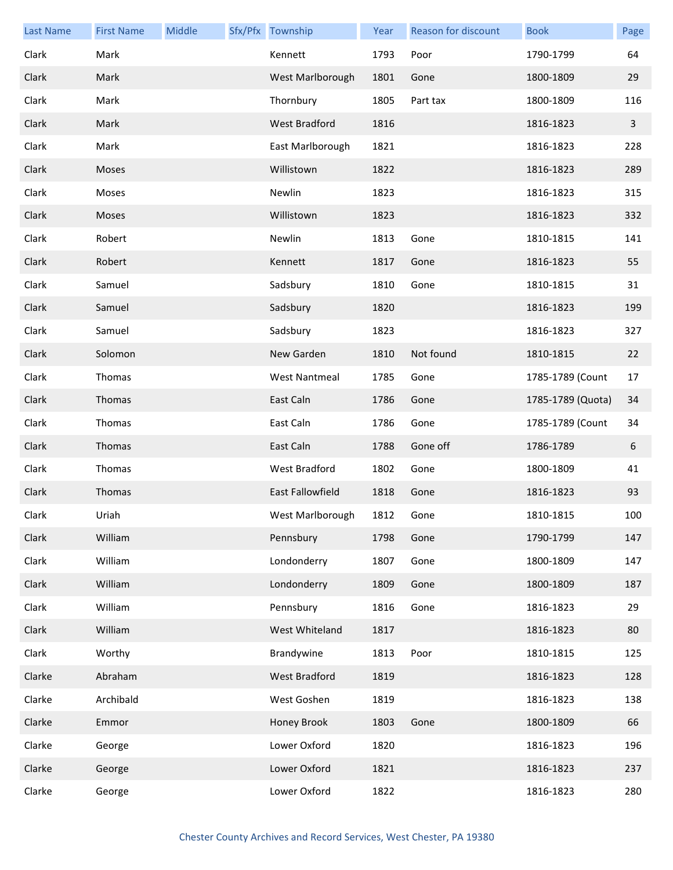| <b>Last Name</b> | <b>First Name</b> | Middle | Sfx/Pfx Township     | Year | Reason for discount | <b>Book</b>       | Page         |
|------------------|-------------------|--------|----------------------|------|---------------------|-------------------|--------------|
| Clark            | Mark              |        | Kennett              | 1793 | Poor                | 1790-1799         | 64           |
| Clark            | Mark              |        | West Marlborough     | 1801 | Gone                | 1800-1809         | 29           |
| Clark            | Mark              |        | Thornbury            | 1805 | Part tax            | 1800-1809         | 116          |
| Clark            | Mark              |        | <b>West Bradford</b> | 1816 |                     | 1816-1823         | $\mathbf{3}$ |
| Clark            | Mark              |        | East Marlborough     | 1821 |                     | 1816-1823         | 228          |
| Clark            | Moses             |        | Willistown           | 1822 |                     | 1816-1823         | 289          |
| Clark            | Moses             |        | Newlin               | 1823 |                     | 1816-1823         | 315          |
| Clark            | Moses             |        | Willistown           | 1823 |                     | 1816-1823         | 332          |
| Clark            | Robert            |        | Newlin               | 1813 | Gone                | 1810-1815         | 141          |
| Clark            | Robert            |        | Kennett              | 1817 | Gone                | 1816-1823         | 55           |
| Clark            | Samuel            |        | Sadsbury             | 1810 | Gone                | 1810-1815         | 31           |
| Clark            | Samuel            |        | Sadsbury             | 1820 |                     | 1816-1823         | 199          |
| Clark            | Samuel            |        | Sadsbury             | 1823 |                     | 1816-1823         | 327          |
| Clark            | Solomon           |        | New Garden           | 1810 | Not found           | 1810-1815         | 22           |
| Clark            | Thomas            |        | <b>West Nantmeal</b> | 1785 | Gone                | 1785-1789 (Count  | 17           |
| Clark            | Thomas            |        | East Caln            | 1786 | Gone                | 1785-1789 (Quota) | 34           |
| Clark            | Thomas            |        | East Caln            | 1786 | Gone                | 1785-1789 (Count  | 34           |
| Clark            | Thomas            |        | East Caln            | 1788 | Gone off            | 1786-1789         | 6            |
| Clark            | Thomas            |        | West Bradford        | 1802 | Gone                | 1800-1809         | 41           |
| Clark            | Thomas            |        | East Fallowfield     | 1818 | Gone                | 1816-1823         | 93           |
| Clark            | Uriah             |        | West Marlborough     | 1812 | Gone                | 1810-1815         | 100          |
| Clark            | William           |        | Pennsbury            | 1798 | Gone                | 1790-1799         | 147          |
| Clark            | William           |        | Londonderry          | 1807 | Gone                | 1800-1809         | 147          |
| Clark            | William           |        | Londonderry          | 1809 | Gone                | 1800-1809         | 187          |
| Clark            | William           |        | Pennsbury            | 1816 | Gone                | 1816-1823         | 29           |
| Clark            | William           |        | West Whiteland       | 1817 |                     | 1816-1823         | 80           |
| Clark            | Worthy            |        | Brandywine           | 1813 | Poor                | 1810-1815         | 125          |
| Clarke           | Abraham           |        | <b>West Bradford</b> | 1819 |                     | 1816-1823         | 128          |
| Clarke           | Archibald         |        | West Goshen          | 1819 |                     | 1816-1823         | 138          |
| Clarke           | Emmor             |        | Honey Brook          | 1803 | Gone                | 1800-1809         | 66           |
| Clarke           | George            |        | Lower Oxford         | 1820 |                     | 1816-1823         | 196          |
| Clarke           | George            |        | Lower Oxford         | 1821 |                     | 1816-1823         | 237          |
| Clarke           | George            |        | Lower Oxford         | 1822 |                     | 1816-1823         | 280          |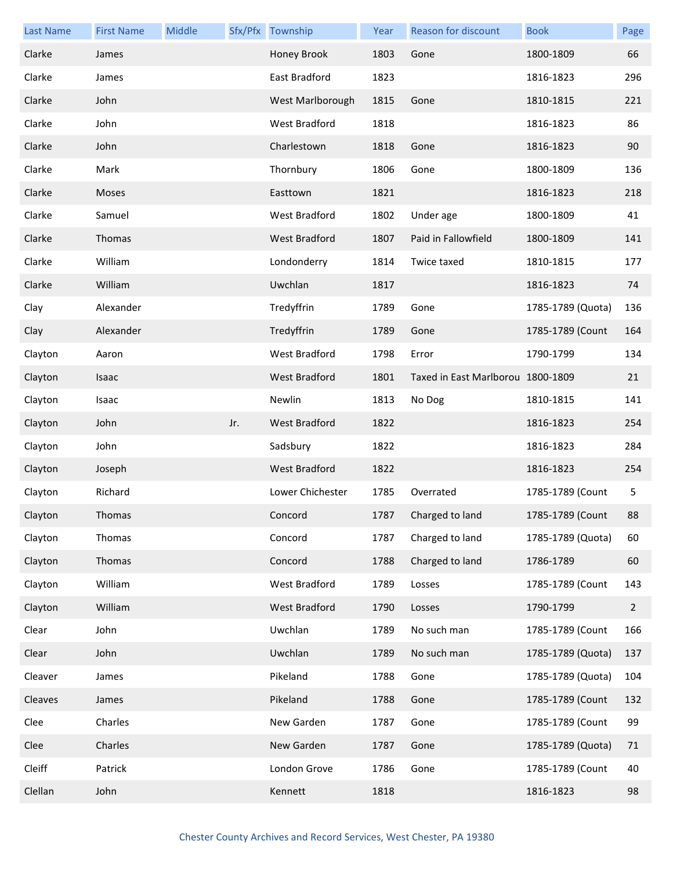| <b>Last Name</b> | <b>First Name</b> | Middle |     | Sfx/Pfx Township     | Year | <b>Reason for discount</b>        | <b>Book</b>       | Page         |
|------------------|-------------------|--------|-----|----------------------|------|-----------------------------------|-------------------|--------------|
| Clarke           | James             |        |     | Honey Brook          | 1803 | Gone                              | 1800-1809         | 66           |
| Clarke           | James             |        |     | East Bradford        | 1823 |                                   | 1816-1823         | 296          |
| Clarke           | John              |        |     | West Marlborough     | 1815 | Gone                              | 1810-1815         | 221          |
| Clarke           | John              |        |     | West Bradford        | 1818 |                                   | 1816-1823         | 86           |
| Clarke           | John              |        |     | Charlestown          | 1818 | Gone                              | 1816-1823         | 90           |
| Clarke           | Mark              |        |     | Thornbury            | 1806 | Gone                              | 1800-1809         | 136          |
| Clarke           | Moses             |        |     | Easttown             | 1821 |                                   | 1816-1823         | 218          |
| Clarke           | Samuel            |        |     | West Bradford        | 1802 | Under age                         | 1800-1809         | 41           |
| Clarke           | Thomas            |        |     | <b>West Bradford</b> | 1807 | Paid in Fallowfield               | 1800-1809         | 141          |
| Clarke           | William           |        |     | Londonderry          | 1814 | Twice taxed                       | 1810-1815         | 177          |
| Clarke           | William           |        |     | Uwchlan              | 1817 |                                   | 1816-1823         | 74           |
| Clay             | Alexander         |        |     | Tredyffrin           | 1789 | Gone                              | 1785-1789 (Quota) | 136          |
| Clay             | Alexander         |        |     | Tredyffrin           | 1789 | Gone                              | 1785-1789 (Count  | 164          |
| Clayton          | Aaron             |        |     | West Bradford        | 1798 | Error                             | 1790-1799         | 134          |
| Clayton          | Isaac             |        |     | <b>West Bradford</b> | 1801 | Taxed in East Marlborou 1800-1809 |                   | 21           |
| Clayton          | Isaac             |        |     | Newlin               | 1813 | No Dog                            | 1810-1815         | 141          |
| Clayton          | John              |        | Jr. | West Bradford        | 1822 |                                   | 1816-1823         | 254          |
| Clayton          | John              |        |     | Sadsbury             | 1822 |                                   | 1816-1823         | 284          |
| Clayton          | Joseph            |        |     | <b>West Bradford</b> | 1822 |                                   | 1816-1823         | 254          |
| Clayton          | Richard           |        |     | Lower Chichester     | 1785 | Overrated                         | 1785-1789 (Count  | 5            |
| Clayton          | Thomas            |        |     | Concord              | 1787 | Charged to land                   | 1785-1789 (Count  | 88           |
| Clayton          | Thomas            |        |     | Concord              | 1787 | Charged to land                   | 1785-1789 (Quota) | 60           |
| Clayton          | Thomas            |        |     | Concord              | 1788 | Charged to land                   | 1786-1789         | 60           |
| Clayton          | William           |        |     | West Bradford        | 1789 | Losses                            | 1785-1789 (Count  | 143          |
| Clayton          | William           |        |     | West Bradford        | 1790 | Losses                            | 1790-1799         | $\mathbf{2}$ |
| Clear            | John              |        |     | Uwchlan              | 1789 | No such man                       | 1785-1789 (Count  | 166          |
| Clear            | John              |        |     | Uwchlan              | 1789 | No such man                       | 1785-1789 (Quota) | 137          |
| Cleaver          | James             |        |     | Pikeland             | 1788 | Gone                              | 1785-1789 (Quota) | 104          |
| Cleaves          | James             |        |     | Pikeland             | 1788 | Gone                              | 1785-1789 (Count  | 132          |
| Clee             | Charles           |        |     | New Garden           | 1787 | Gone                              | 1785-1789 (Count  | 99           |
| Clee             | Charles           |        |     | New Garden           | 1787 | Gone                              | 1785-1789 (Quota) | 71           |
| Cleiff           | Patrick           |        |     | London Grove         | 1786 | Gone                              | 1785-1789 (Count  | 40           |
| Clellan          | John              |        |     | Kennett              | 1818 |                                   | 1816-1823         | 98           |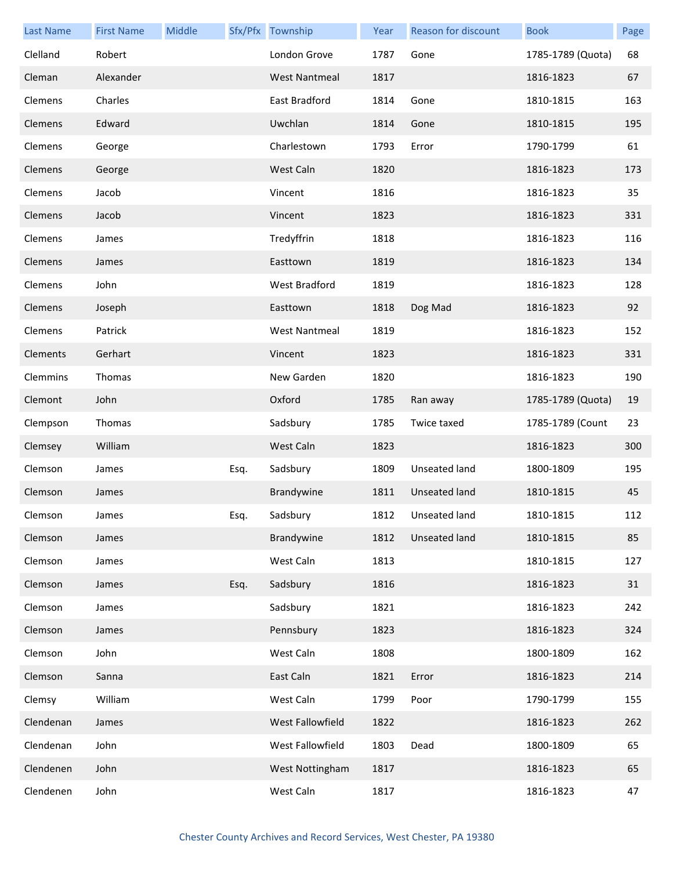| <b>Last Name</b> | <b>First Name</b> | Middle |      | Sfx/Pfx Township     | Year | Reason for discount  | <b>Book</b>       | Page |
|------------------|-------------------|--------|------|----------------------|------|----------------------|-------------------|------|
| Clelland         | Robert            |        |      | London Grove         | 1787 | Gone                 | 1785-1789 (Quota) | 68   |
| Cleman           | Alexander         |        |      | <b>West Nantmeal</b> | 1817 |                      | 1816-1823         | 67   |
| Clemens          | Charles           |        |      | East Bradford        | 1814 | Gone                 | 1810-1815         | 163  |
| Clemens          | Edward            |        |      | Uwchlan              | 1814 | Gone                 | 1810-1815         | 195  |
| Clemens          | George            |        |      | Charlestown          | 1793 | Error                | 1790-1799         | 61   |
| Clemens          | George            |        |      | West Caln            | 1820 |                      | 1816-1823         | 173  |
| Clemens          | Jacob             |        |      | Vincent              | 1816 |                      | 1816-1823         | 35   |
| Clemens          | Jacob             |        |      | Vincent              | 1823 |                      | 1816-1823         | 331  |
| Clemens          | James             |        |      | Tredyffrin           | 1818 |                      | 1816-1823         | 116  |
| Clemens          | James             |        |      | Easttown             | 1819 |                      | 1816-1823         | 134  |
| Clemens          | John              |        |      | West Bradford        | 1819 |                      | 1816-1823         | 128  |
| Clemens          | Joseph            |        |      | Easttown             | 1818 | Dog Mad              | 1816-1823         | 92   |
| Clemens          | Patrick           |        |      | <b>West Nantmeal</b> | 1819 |                      | 1816-1823         | 152  |
| Clements         | Gerhart           |        |      | Vincent              | 1823 |                      | 1816-1823         | 331  |
| Clemmins         | Thomas            |        |      | New Garden           | 1820 |                      | 1816-1823         | 190  |
| Clemont          | John              |        |      | Oxford               | 1785 | Ran away             | 1785-1789 (Quota) | 19   |
| Clempson         | Thomas            |        |      | Sadsbury             | 1785 | Twice taxed          | 1785-1789 (Count  | 23   |
| Clemsey          | William           |        |      | West Caln            | 1823 |                      | 1816-1823         | 300  |
| Clemson          | James             |        | Esq. | Sadsbury             | 1809 | Unseated land        | 1800-1809         | 195  |
| Clemson          | James             |        |      | Brandywine           | 1811 | <b>Unseated land</b> | 1810-1815         | 45   |
| Clemson          | James             |        | Esq. | Sadsbury             | 1812 | Unseated land        | 1810-1815         | 112  |
| Clemson          | James             |        |      | Brandywine           | 1812 | Unseated land        | 1810-1815         | 85   |
| Clemson          | James             |        |      | West Caln            | 1813 |                      | 1810-1815         | 127  |
| Clemson          | James             |        | Esq. | Sadsbury             | 1816 |                      | 1816-1823         | 31   |
| Clemson          | James             |        |      | Sadsbury             | 1821 |                      | 1816-1823         | 242  |
| Clemson          | James             |        |      | Pennsbury            | 1823 |                      | 1816-1823         | 324  |
| Clemson          | John              |        |      | West Caln            | 1808 |                      | 1800-1809         | 162  |
| Clemson          | Sanna             |        |      | East Caln            | 1821 | Error                | 1816-1823         | 214  |
| Clemsy           | William           |        |      | West Caln            | 1799 | Poor                 | 1790-1799         | 155  |
| Clendenan        | James             |        |      | West Fallowfield     | 1822 |                      | 1816-1823         | 262  |
| Clendenan        | John              |        |      | West Fallowfield     | 1803 | Dead                 | 1800-1809         | 65   |
| Clendenen        | John              |        |      | West Nottingham      | 1817 |                      | 1816-1823         | 65   |
| Clendenen        | John              |        |      | West Caln            | 1817 |                      | 1816-1823         | 47   |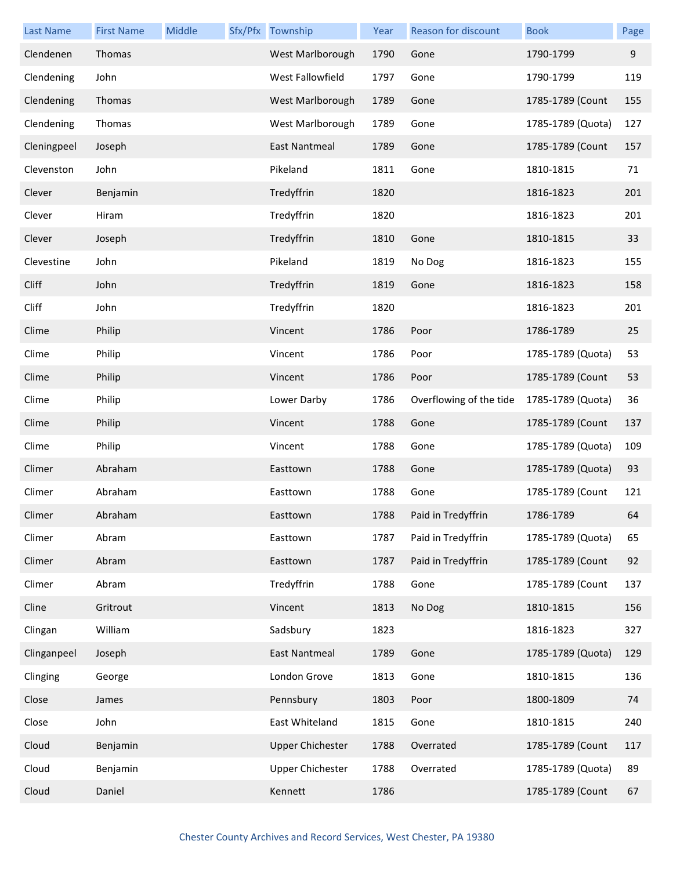| <b>Last Name</b> | <b>First Name</b> | Middle | Sfx/Pfx Township        | Year | Reason for discount     | <b>Book</b>       | Page |
|------------------|-------------------|--------|-------------------------|------|-------------------------|-------------------|------|
| Clendenen        | Thomas            |        | West Marlborough        | 1790 | Gone                    | 1790-1799         | 9    |
| Clendening       | John              |        | West Fallowfield        | 1797 | Gone                    | 1790-1799         | 119  |
| Clendening       | Thomas            |        | West Marlborough        | 1789 | Gone                    | 1785-1789 (Count  | 155  |
| Clendening       | Thomas            |        | West Marlborough        | 1789 | Gone                    | 1785-1789 (Quota) | 127  |
| Cleningpeel      | Joseph            |        | <b>East Nantmeal</b>    | 1789 | Gone                    | 1785-1789 (Count  | 157  |
| Clevenston       | John              |        | Pikeland                | 1811 | Gone                    | 1810-1815         | 71   |
| Clever           | Benjamin          |        | Tredyffrin              | 1820 |                         | 1816-1823         | 201  |
| Clever           | Hiram             |        | Tredyffrin              | 1820 |                         | 1816-1823         | 201  |
| Clever           | Joseph            |        | Tredyffrin              | 1810 | Gone                    | 1810-1815         | 33   |
| Clevestine       | John              |        | Pikeland                | 1819 | No Dog                  | 1816-1823         | 155  |
| Cliff            | John              |        | Tredyffrin              | 1819 | Gone                    | 1816-1823         | 158  |
| Cliff            | John              |        | Tredyffrin              | 1820 |                         | 1816-1823         | 201  |
| Clime            | Philip            |        | Vincent                 | 1786 | Poor                    | 1786-1789         | 25   |
| Clime            | Philip            |        | Vincent                 | 1786 | Poor                    | 1785-1789 (Quota) | 53   |
| Clime            | Philip            |        | Vincent                 | 1786 | Poor                    | 1785-1789 (Count  | 53   |
| Clime            | Philip            |        | Lower Darby             | 1786 | Overflowing of the tide | 1785-1789 (Quota) | 36   |
| Clime            | Philip            |        | Vincent                 | 1788 | Gone                    | 1785-1789 (Count  | 137  |
| Clime            | Philip            |        | Vincent                 | 1788 | Gone                    | 1785-1789 (Quota) | 109  |
| Climer           | Abraham           |        | Easttown                | 1788 | Gone                    | 1785-1789 (Quota) | 93   |
| Climer           | Abraham           |        | Easttown                | 1788 | Gone                    | 1785-1789 (Count  | 121  |
| Climer           | Abraham           |        | Easttown                | 1788 | Paid in Tredyffrin      | 1786-1789         | 64   |
| Climer           | Abram             |        | Easttown                | 1787 | Paid in Tredyffrin      | 1785-1789 (Quota) | 65   |
| Climer           | Abram             |        | Easttown                | 1787 | Paid in Tredyffrin      | 1785-1789 (Count  | 92   |
| Climer           | Abram             |        | Tredyffrin              | 1788 | Gone                    | 1785-1789 (Count  | 137  |
| Cline            | Gritrout          |        | Vincent                 | 1813 | No Dog                  | 1810-1815         | 156  |
| Clingan          | William           |        | Sadsbury                | 1823 |                         | 1816-1823         | 327  |
| Clinganpeel      | Joseph            |        | East Nantmeal           | 1789 | Gone                    | 1785-1789 (Quota) | 129  |
| Clinging         | George            |        | London Grove            | 1813 | Gone                    | 1810-1815         | 136  |
| Close            | James             |        | Pennsbury               | 1803 | Poor                    | 1800-1809         | 74   |
| Close            | John              |        | East Whiteland          | 1815 | Gone                    | 1810-1815         | 240  |
| Cloud            | Benjamin          |        | <b>Upper Chichester</b> | 1788 | Overrated               | 1785-1789 (Count  | 117  |
| Cloud            | Benjamin          |        | <b>Upper Chichester</b> | 1788 | Overrated               | 1785-1789 (Quota) | 89   |
| Cloud            | Daniel            |        | Kennett                 | 1786 |                         | 1785-1789 (Count  | 67   |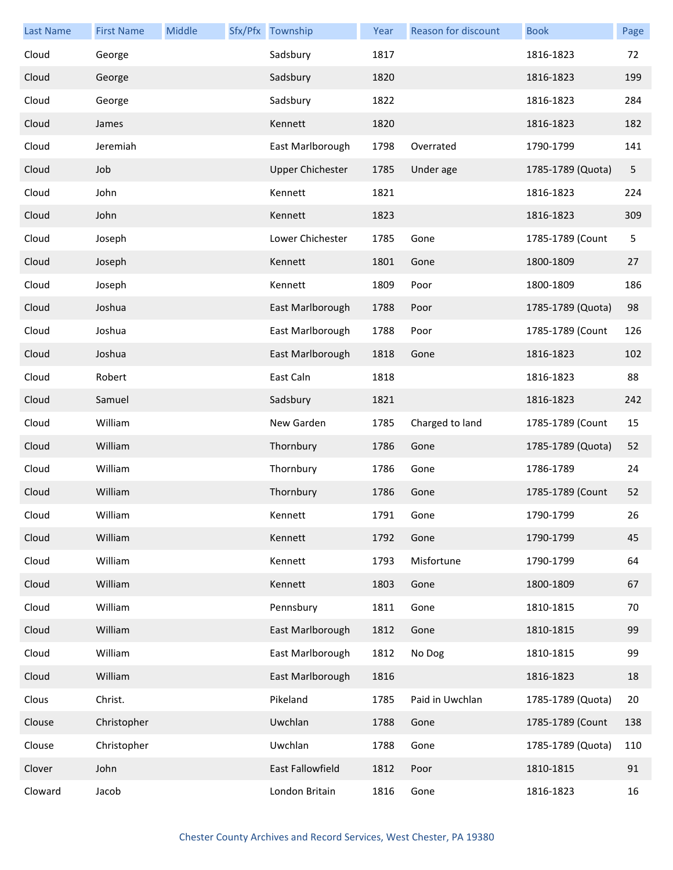| <b>Last Name</b> | <b>First Name</b> | Middle | Sfx/Pfx Township        | Year | Reason for discount | <b>Book</b>       | Page |
|------------------|-------------------|--------|-------------------------|------|---------------------|-------------------|------|
| Cloud            | George            |        | Sadsbury                | 1817 |                     | 1816-1823         | 72   |
| Cloud            | George            |        | Sadsbury                | 1820 |                     | 1816-1823         | 199  |
| Cloud            | George            |        | Sadsbury                | 1822 |                     | 1816-1823         | 284  |
| Cloud            | James             |        | Kennett                 | 1820 |                     | 1816-1823         | 182  |
| Cloud            | Jeremiah          |        | East Marlborough        | 1798 | Overrated           | 1790-1799         | 141  |
| Cloud            | Job               |        | <b>Upper Chichester</b> | 1785 | Under age           | 1785-1789 (Quota) | 5    |
| Cloud            | John              |        | Kennett                 | 1821 |                     | 1816-1823         | 224  |
| Cloud            | John              |        | Kennett                 | 1823 |                     | 1816-1823         | 309  |
| Cloud            | Joseph            |        | Lower Chichester        | 1785 | Gone                | 1785-1789 (Count  | 5    |
| Cloud            | Joseph            |        | Kennett                 | 1801 | Gone                | 1800-1809         | 27   |
| Cloud            | Joseph            |        | Kennett                 | 1809 | Poor                | 1800-1809         | 186  |
| Cloud            | Joshua            |        | East Marlborough        | 1788 | Poor                | 1785-1789 (Quota) | 98   |
| Cloud            | Joshua            |        | East Marlborough        | 1788 | Poor                | 1785-1789 (Count  | 126  |
| Cloud            | Joshua            |        | East Marlborough        | 1818 | Gone                | 1816-1823         | 102  |
| Cloud            | Robert            |        | East Caln               | 1818 |                     | 1816-1823         | 88   |
| Cloud            | Samuel            |        | Sadsbury                | 1821 |                     | 1816-1823         | 242  |
| Cloud            | William           |        | New Garden              | 1785 | Charged to land     | 1785-1789 (Count  | 15   |
| Cloud            | William           |        | Thornbury               | 1786 | Gone                | 1785-1789 (Quota) | 52   |
| Cloud            | William           |        | Thornbury               | 1786 | Gone                | 1786-1789         | 24   |
| Cloud            | William           |        | Thornbury               | 1786 | Gone                | 1785-1789 (Count  | 52   |
| Cloud            | William           |        | Kennett                 | 1791 | Gone                | 1790-1799         | 26   |
| Cloud            | William           |        | Kennett                 | 1792 | Gone                | 1790-1799         | 45   |
| Cloud            | William           |        | Kennett                 | 1793 | Misfortune          | 1790-1799         | 64   |
| Cloud            | William           |        | Kennett                 | 1803 | Gone                | 1800-1809         | 67   |
| Cloud            | William           |        | Pennsbury               | 1811 | Gone                | 1810-1815         | 70   |
| Cloud            | William           |        | East Marlborough        | 1812 | Gone                | 1810-1815         | 99   |
| Cloud            | William           |        | East Marlborough        | 1812 | No Dog              | 1810-1815         | 99   |
| Cloud            | William           |        | East Marlborough        | 1816 |                     | 1816-1823         | 18   |
| Clous            | Christ.           |        | Pikeland                | 1785 | Paid in Uwchlan     | 1785-1789 (Quota) | 20   |
| Clouse           | Christopher       |        | Uwchlan                 | 1788 | Gone                | 1785-1789 (Count  | 138  |
| Clouse           | Christopher       |        | Uwchlan                 | 1788 | Gone                | 1785-1789 (Quota) | 110  |
| Clover           | John              |        | East Fallowfield        | 1812 | Poor                | 1810-1815         | 91   |
| Cloward          | Jacob             |        | London Britain          | 1816 | Gone                | 1816-1823         | 16   |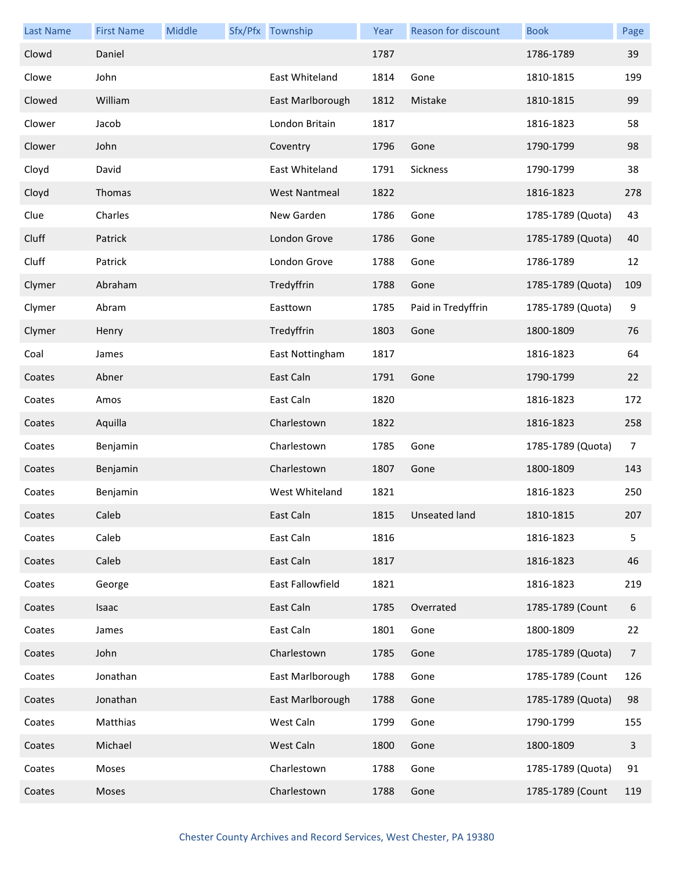| <b>Last Name</b> | <b>First Name</b> | Middle | Sfx/Pfx Township     | Year | Reason for discount | <b>Book</b>       | Page           |
|------------------|-------------------|--------|----------------------|------|---------------------|-------------------|----------------|
| Clowd            | Daniel            |        |                      | 1787 |                     | 1786-1789         | 39             |
| Clowe            | John              |        | East Whiteland       | 1814 | Gone                | 1810-1815         | 199            |
| Clowed           | William           |        | East Marlborough     | 1812 | Mistake             | 1810-1815         | 99             |
| Clower           | Jacob             |        | London Britain       | 1817 |                     | 1816-1823         | 58             |
| Clower           | John              |        | Coventry             | 1796 | Gone                | 1790-1799         | 98             |
| Cloyd            | David             |        | East Whiteland       | 1791 | Sickness            | 1790-1799         | 38             |
| Cloyd            | Thomas            |        | <b>West Nantmeal</b> | 1822 |                     | 1816-1823         | 278            |
| Clue             | Charles           |        | New Garden           | 1786 | Gone                | 1785-1789 (Quota) | 43             |
| Cluff            | Patrick           |        | London Grove         | 1786 | Gone                | 1785-1789 (Quota) | 40             |
| Cluff            | Patrick           |        | London Grove         | 1788 | Gone                | 1786-1789         | 12             |
| Clymer           | Abraham           |        | Tredyffrin           | 1788 | Gone                | 1785-1789 (Quota) | 109            |
| Clymer           | Abram             |        | Easttown             | 1785 | Paid in Tredyffrin  | 1785-1789 (Quota) | 9              |
| Clymer           | Henry             |        | Tredyffrin           | 1803 | Gone                | 1800-1809         | 76             |
| Coal             | James             |        | East Nottingham      | 1817 |                     | 1816-1823         | 64             |
| Coates           | Abner             |        | East Caln            | 1791 | Gone                | 1790-1799         | 22             |
| Coates           | Amos              |        | East Caln            | 1820 |                     | 1816-1823         | 172            |
| Coates           | Aquilla           |        | Charlestown          | 1822 |                     | 1816-1823         | 258            |
| Coates           | Benjamin          |        | Charlestown          | 1785 | Gone                | 1785-1789 (Quota) | $\overline{7}$ |
| Coates           | Benjamin          |        | Charlestown          | 1807 | Gone                | 1800-1809         | 143            |
| Coates           | Benjamin          |        | West Whiteland       | 1821 |                     | 1816-1823         | 250            |
| Coates           | Caleb             |        | East Caln            |      | 1815 Unseated land  | 1810-1815         | 207            |
| Coates           | Caleb             |        | East Caln            | 1816 |                     | 1816-1823         | 5              |
| Coates           | Caleb             |        | East Caln            | 1817 |                     | 1816-1823         | 46             |
| Coates           | George            |        | East Fallowfield     | 1821 |                     | 1816-1823         | 219            |
| Coates           | Isaac             |        | East Caln            | 1785 | Overrated           | 1785-1789 (Count  | 6              |
| Coates           | James             |        | East Caln            | 1801 | Gone                | 1800-1809         | 22             |
| Coates           | John              |        | Charlestown          | 1785 | Gone                | 1785-1789 (Quota) | 7              |
| Coates           | Jonathan          |        | East Marlborough     | 1788 | Gone                | 1785-1789 (Count  | 126            |
| Coates           | Jonathan          |        | East Marlborough     | 1788 | Gone                | 1785-1789 (Quota) | 98             |
| Coates           | Matthias          |        | West Caln            | 1799 | Gone                | 1790-1799         | 155            |
| Coates           | Michael           |        | West Caln            | 1800 | Gone                | 1800-1809         | 3              |
| Coates           | Moses             |        | Charlestown          | 1788 | Gone                | 1785-1789 (Quota) | 91             |
| Coates           | Moses             |        | Charlestown          | 1788 | Gone                | 1785-1789 (Count  | 119            |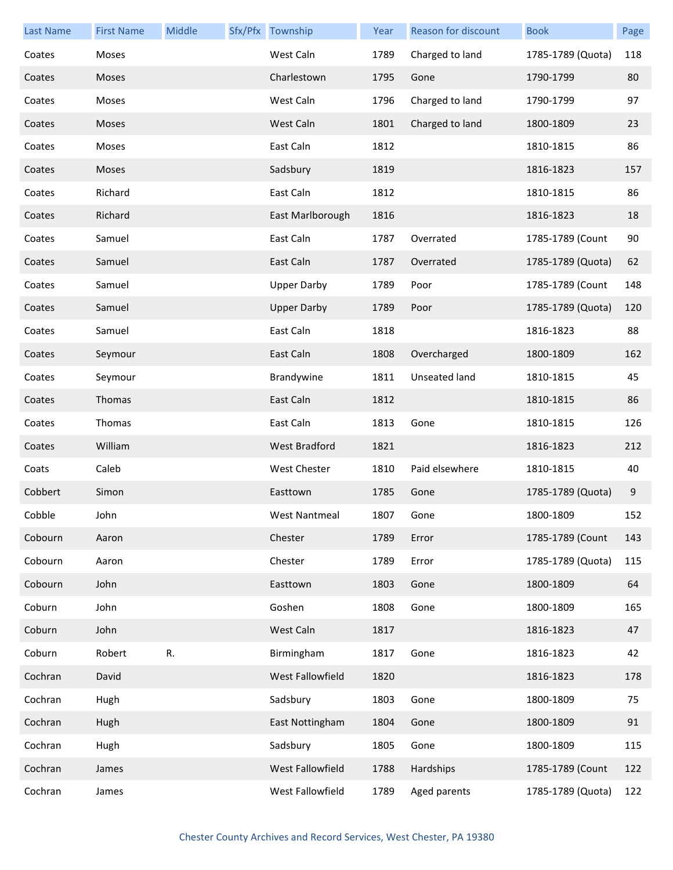| <b>Last Name</b> | <b>First Name</b> | Middle | Sfx/Pfx Township     | Year | Reason for discount | <b>Book</b>       | Page |
|------------------|-------------------|--------|----------------------|------|---------------------|-------------------|------|
| Coates           | Moses             |        | West Caln            | 1789 | Charged to land     | 1785-1789 (Quota) | 118  |
| Coates           | Moses             |        | Charlestown          | 1795 | Gone                | 1790-1799         | 80   |
| Coates           | Moses             |        | West Caln            | 1796 | Charged to land     | 1790-1799         | 97   |
| Coates           | Moses             |        | West Caln            | 1801 | Charged to land     | 1800-1809         | 23   |
| Coates           | Moses             |        | East Caln            | 1812 |                     | 1810-1815         | 86   |
| Coates           | Moses             |        | Sadsbury             | 1819 |                     | 1816-1823         | 157  |
| Coates           | Richard           |        | East Caln            | 1812 |                     | 1810-1815         | 86   |
| Coates           | Richard           |        | East Marlborough     | 1816 |                     | 1816-1823         | 18   |
| Coates           | Samuel            |        | East Caln            | 1787 | Overrated           | 1785-1789 (Count  | 90   |
| Coates           | Samuel            |        | East Caln            | 1787 | Overrated           | 1785-1789 (Quota) | 62   |
| Coates           | Samuel            |        | <b>Upper Darby</b>   | 1789 | Poor                | 1785-1789 (Count  | 148  |
| Coates           | Samuel            |        | <b>Upper Darby</b>   | 1789 | Poor                | 1785-1789 (Quota) | 120  |
| Coates           | Samuel            |        | East Caln            | 1818 |                     | 1816-1823         | 88   |
| Coates           | Seymour           |        | East Caln            | 1808 | Overcharged         | 1800-1809         | 162  |
| Coates           | Seymour           |        | Brandywine           | 1811 | Unseated land       | 1810-1815         | 45   |
| Coates           | Thomas            |        | East Caln            | 1812 |                     | 1810-1815         | 86   |
| Coates           | Thomas            |        | East Caln            | 1813 | Gone                | 1810-1815         | 126  |
| Coates           | William           |        | <b>West Bradford</b> | 1821 |                     | 1816-1823         | 212  |
| Coats            | Caleb             |        | West Chester         | 1810 | Paid elsewhere      | 1810-1815         | 40   |
| Cobbert          | Simon             |        | Easttown             | 1785 | Gone                | 1785-1789 (Quota) | 9    |
| Cobble           | John              |        | West Nantmeal        | 1807 | Gone                | 1800-1809         | 152  |
| Cobourn          | Aaron             |        | Chester              | 1789 | Error               | 1785-1789 (Count  | 143  |
| Cobourn          | Aaron             |        | Chester              | 1789 | Error               | 1785-1789 (Quota) | 115  |
| Cobourn          | John              |        | Easttown             | 1803 | Gone                | 1800-1809         | 64   |
| Coburn           | John              |        | Goshen               | 1808 | Gone                | 1800-1809         | 165  |
| Coburn           | John              |        | West Caln            | 1817 |                     | 1816-1823         | 47   |
| Coburn           | Robert            | R.     | Birmingham           | 1817 | Gone                | 1816-1823         | 42   |
| Cochran          | David             |        | West Fallowfield     | 1820 |                     | 1816-1823         | 178  |
| Cochran          | Hugh              |        | Sadsbury             | 1803 | Gone                | 1800-1809         | 75   |
| Cochran          | Hugh              |        | East Nottingham      | 1804 | Gone                | 1800-1809         | 91   |
| Cochran          | Hugh              |        | Sadsbury             | 1805 | Gone                | 1800-1809         | 115  |
| Cochran          | James             |        | West Fallowfield     | 1788 | Hardships           | 1785-1789 (Count  | 122  |
| Cochran          | James             |        | West Fallowfield     | 1789 | Aged parents        | 1785-1789 (Quota) | 122  |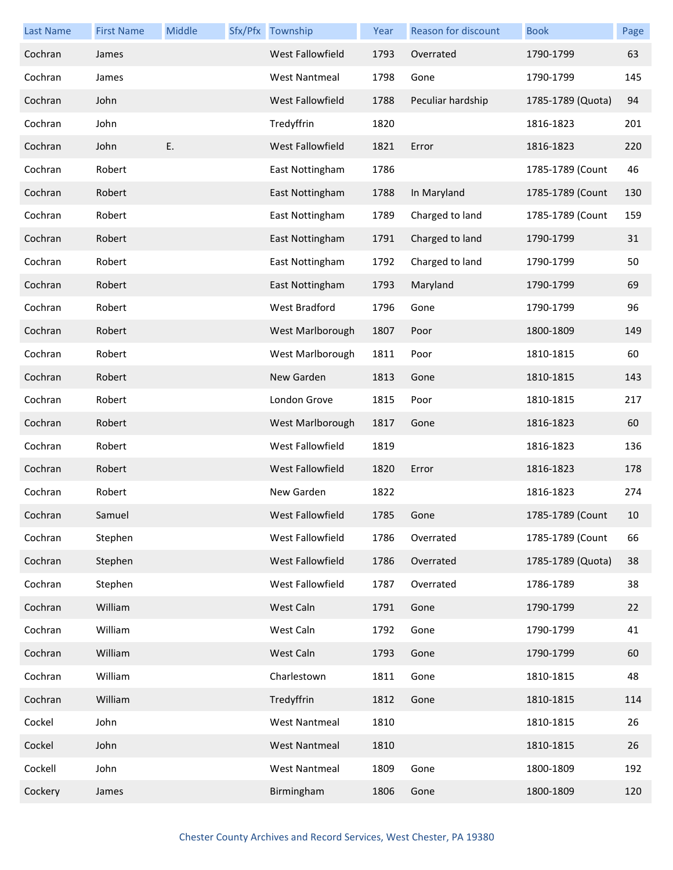| <b>Last Name</b> | <b>First Name</b> | Middle | Sfx/Pfx Township        | Year | Reason for discount | <b>Book</b>       | Page |
|------------------|-------------------|--------|-------------------------|------|---------------------|-------------------|------|
| Cochran          | James             |        | West Fallowfield        | 1793 | Overrated           | 1790-1799         | 63   |
| Cochran          | James             |        | <b>West Nantmeal</b>    | 1798 | Gone                | 1790-1799         | 145  |
| Cochran          | John              |        | West Fallowfield        | 1788 | Peculiar hardship   | 1785-1789 (Quota) | 94   |
| Cochran          | John              |        | Tredyffrin              | 1820 |                     | 1816-1823         | 201  |
| Cochran          | John              | Ε.     | <b>West Fallowfield</b> | 1821 | Error               | 1816-1823         | 220  |
| Cochran          | Robert            |        | East Nottingham         | 1786 |                     | 1785-1789 (Count  | 46   |
| Cochran          | Robert            |        | East Nottingham         | 1788 | In Maryland         | 1785-1789 (Count  | 130  |
| Cochran          | Robert            |        | East Nottingham         | 1789 | Charged to land     | 1785-1789 (Count  | 159  |
| Cochran          | Robert            |        | East Nottingham         | 1791 | Charged to land     | 1790-1799         | 31   |
| Cochran          | Robert            |        | East Nottingham         | 1792 | Charged to land     | 1790-1799         | 50   |
| Cochran          | Robert            |        | East Nottingham         | 1793 | Maryland            | 1790-1799         | 69   |
| Cochran          | Robert            |        | West Bradford           | 1796 | Gone                | 1790-1799         | 96   |
| Cochran          | Robert            |        | West Marlborough        | 1807 | Poor                | 1800-1809         | 149  |
| Cochran          | Robert            |        | West Marlborough        | 1811 | Poor                | 1810-1815         | 60   |
| Cochran          | Robert            |        | New Garden              | 1813 | Gone                | 1810-1815         | 143  |
| Cochran          | Robert            |        | London Grove            | 1815 | Poor                | 1810-1815         | 217  |
| Cochran          | Robert            |        | West Marlborough        | 1817 | Gone                | 1816-1823         | 60   |
| Cochran          | Robert            |        | West Fallowfield        | 1819 |                     | 1816-1823         | 136  |
| Cochran          | Robert            |        | West Fallowfield        | 1820 | Error               | 1816-1823         | 178  |
| Cochran          | Robert            |        | New Garden              | 1822 |                     | 1816-1823         | 274  |
| Cochran          | Samuel            |        | West Fallowfield        | 1785 | Gone                | 1785-1789 (Count  | 10   |
| Cochran          | Stephen           |        | West Fallowfield        | 1786 | Overrated           | 1785-1789 (Count  | 66   |
| Cochran          | Stephen           |        | West Fallowfield        | 1786 | Overrated           | 1785-1789 (Quota) | 38   |
| Cochran          | Stephen           |        | West Fallowfield        | 1787 | Overrated           | 1786-1789         | 38   |
| Cochran          | William           |        | West Caln               | 1791 | Gone                | 1790-1799         | 22   |
| Cochran          | William           |        | West Caln               | 1792 | Gone                | 1790-1799         | 41   |
| Cochran          | William           |        | West Caln               | 1793 | Gone                | 1790-1799         | 60   |
| Cochran          | William           |        | Charlestown             | 1811 | Gone                | 1810-1815         | 48   |
| Cochran          | William           |        | Tredyffrin              | 1812 | Gone                | 1810-1815         | 114  |
| Cockel           | John              |        | <b>West Nantmeal</b>    | 1810 |                     | 1810-1815         | 26   |
| Cockel           | John              |        | <b>West Nantmeal</b>    | 1810 |                     | 1810-1815         | 26   |
| Cockell          | John              |        | <b>West Nantmeal</b>    | 1809 | Gone                | 1800-1809         | 192  |
| Cockery          | James             |        | Birmingham              | 1806 | Gone                | 1800-1809         | 120  |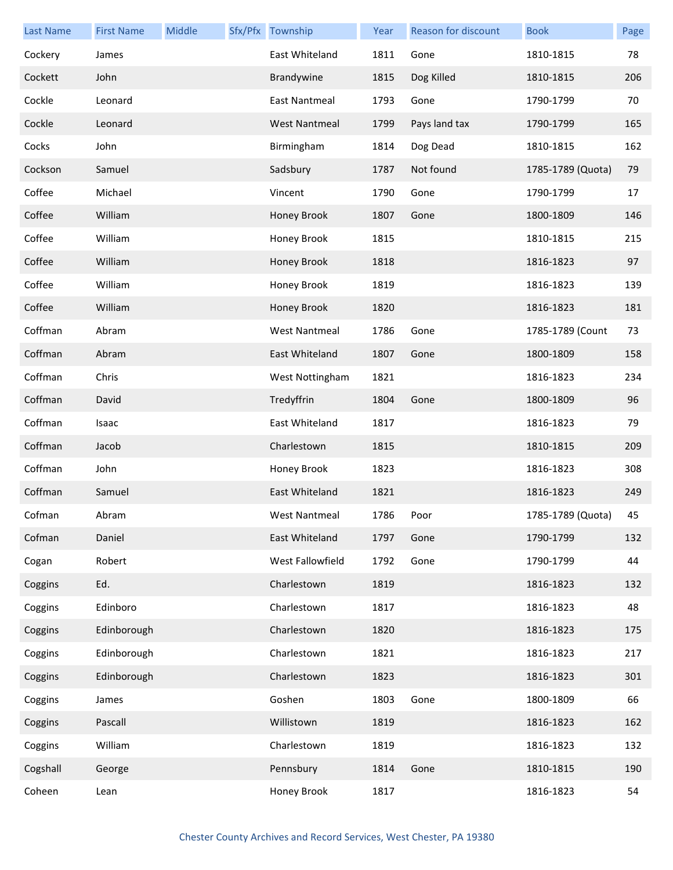| <b>Last Name</b> | <b>First Name</b> | Middle | Sfx/Pfx Township     | Year | Reason for discount | <b>Book</b>       | Page |
|------------------|-------------------|--------|----------------------|------|---------------------|-------------------|------|
| Cockery          | James             |        | East Whiteland       | 1811 | Gone                | 1810-1815         | 78   |
| Cockett          | John              |        | Brandywine           | 1815 | Dog Killed          | 1810-1815         | 206  |
| Cockle           | Leonard           |        | East Nantmeal        | 1793 | Gone                | 1790-1799         | 70   |
| Cockle           | Leonard           |        | <b>West Nantmeal</b> | 1799 | Pays land tax       | 1790-1799         | 165  |
| Cocks            | John              |        | Birmingham           | 1814 | Dog Dead            | 1810-1815         | 162  |
| Cockson          | Samuel            |        | Sadsbury             | 1787 | Not found           | 1785-1789 (Quota) | 79   |
| Coffee           | Michael           |        | Vincent              | 1790 | Gone                | 1790-1799         | 17   |
| Coffee           | William           |        | Honey Brook          | 1807 | Gone                | 1800-1809         | 146  |
| Coffee           | William           |        | Honey Brook          | 1815 |                     | 1810-1815         | 215  |
| Coffee           | William           |        | Honey Brook          | 1818 |                     | 1816-1823         | 97   |
| Coffee           | William           |        | Honey Brook          | 1819 |                     | 1816-1823         | 139  |
| Coffee           | William           |        | Honey Brook          | 1820 |                     | 1816-1823         | 181  |
| Coffman          | Abram             |        | <b>West Nantmeal</b> | 1786 | Gone                | 1785-1789 (Count  | 73   |
| Coffman          | Abram             |        | East Whiteland       | 1807 | Gone                | 1800-1809         | 158  |
| Coffman          | Chris             |        | West Nottingham      | 1821 |                     | 1816-1823         | 234  |
| Coffman          | David             |        | Tredyffrin           | 1804 | Gone                | 1800-1809         | 96   |
| Coffman          | Isaac             |        | East Whiteland       | 1817 |                     | 1816-1823         | 79   |
| Coffman          | Jacob             |        | Charlestown          | 1815 |                     | 1810-1815         | 209  |
| Coffman          | John              |        | Honey Brook          | 1823 |                     | 1816-1823         | 308  |
| Coffman          | Samuel            |        | East Whiteland       | 1821 |                     | 1816-1823         | 249  |
| Cofman           | Abram             |        | West Nantmeal        | 1786 | Poor                | 1785-1789 (Quota) | 45   |
| Cofman           | Daniel            |        | East Whiteland       | 1797 | Gone                | 1790-1799         | 132  |
| Cogan            | Robert            |        | West Fallowfield     | 1792 | Gone                | 1790-1799         | 44   |
| Coggins          | Ed.               |        | Charlestown          | 1819 |                     | 1816-1823         | 132  |
| Coggins          | Edinboro          |        | Charlestown          | 1817 |                     | 1816-1823         | 48   |
| Coggins          | Edinborough       |        | Charlestown          | 1820 |                     | 1816-1823         | 175  |
| Coggins          | Edinborough       |        | Charlestown          | 1821 |                     | 1816-1823         | 217  |
| Coggins          | Edinborough       |        | Charlestown          | 1823 |                     | 1816-1823         | 301  |
| Coggins          | James             |        | Goshen               | 1803 | Gone                | 1800-1809         | 66   |
| Coggins          | Pascall           |        | Willistown           | 1819 |                     | 1816-1823         | 162  |
| Coggins          | William           |        | Charlestown          | 1819 |                     | 1816-1823         | 132  |
| Cogshall         | George            |        | Pennsbury            | 1814 | Gone                | 1810-1815         | 190  |
| Coheen           | Lean              |        | Honey Brook          | 1817 |                     | 1816-1823         | 54   |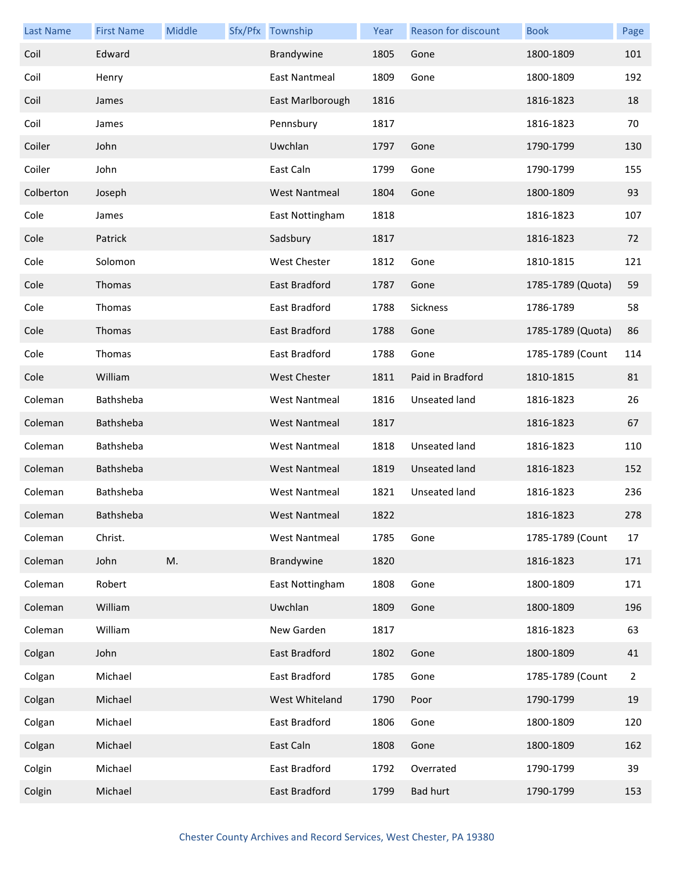| <b>Last Name</b> | <b>First Name</b> | Middle | Sfx/Pfx Township     | Year | <b>Reason for discount</b> | <b>Book</b>       | Page           |
|------------------|-------------------|--------|----------------------|------|----------------------------|-------------------|----------------|
| Coil             | Edward            |        | Brandywine           | 1805 | Gone                       | 1800-1809         | 101            |
| Coil             | Henry             |        | East Nantmeal        | 1809 | Gone                       | 1800-1809         | 192            |
| Coil             | James             |        | East Marlborough     | 1816 |                            | 1816-1823         | 18             |
| Coil             | James             |        | Pennsbury            | 1817 |                            | 1816-1823         | 70             |
| Coiler           | John              |        | Uwchlan              | 1797 | Gone                       | 1790-1799         | 130            |
| Coiler           | John              |        | East Caln            | 1799 | Gone                       | 1790-1799         | 155            |
| Colberton        | Joseph            |        | <b>West Nantmeal</b> | 1804 | Gone                       | 1800-1809         | 93             |
| Cole             | James             |        | East Nottingham      | 1818 |                            | 1816-1823         | 107            |
| Cole             | Patrick           |        | Sadsbury             | 1817 |                            | 1816-1823         | 72             |
| Cole             | Solomon           |        | <b>West Chester</b>  | 1812 | Gone                       | 1810-1815         | 121            |
| Cole             | <b>Thomas</b>     |        | East Bradford        | 1787 | Gone                       | 1785-1789 (Quota) | 59             |
| Cole             | Thomas            |        | East Bradford        | 1788 | Sickness                   | 1786-1789         | 58             |
| Cole             | <b>Thomas</b>     |        | East Bradford        | 1788 | Gone                       | 1785-1789 (Quota) | 86             |
| Cole             | Thomas            |        | East Bradford        | 1788 | Gone                       | 1785-1789 (Count  | 114            |
| Cole             | William           |        | West Chester         | 1811 | Paid in Bradford           | 1810-1815         | 81             |
| Coleman          | Bathsheba         |        | <b>West Nantmeal</b> | 1816 | Unseated land              | 1816-1823         | 26             |
| Coleman          | Bathsheba         |        | <b>West Nantmeal</b> | 1817 |                            | 1816-1823         | 67             |
| Coleman          | Bathsheba         |        | <b>West Nantmeal</b> | 1818 | Unseated land              | 1816-1823         | 110            |
| Coleman          | Bathsheba         |        | <b>West Nantmeal</b> | 1819 | Unseated land              | 1816-1823         | 152            |
| Coleman          | Bathsheba         |        | <b>West Nantmeal</b> | 1821 | Unseated land              | 1816-1823         | 236            |
| Coleman          | Bathsheba         |        | West Nantmeal        | 1822 |                            | 1816-1823         | 278            |
| Coleman          | Christ.           |        | <b>West Nantmeal</b> | 1785 | Gone                       | 1785-1789 (Count  | 17             |
| Coleman          | John              | M.     | Brandywine           | 1820 |                            | 1816-1823         | 171            |
| Coleman          | Robert            |        | East Nottingham      | 1808 | Gone                       | 1800-1809         | 171            |
| Coleman          | William           |        | Uwchlan              | 1809 | Gone                       | 1800-1809         | 196            |
| Coleman          | William           |        | New Garden           | 1817 |                            | 1816-1823         | 63             |
| Colgan           | John              |        | East Bradford        | 1802 | Gone                       | 1800-1809         | 41             |
| Colgan           | Michael           |        | East Bradford        | 1785 | Gone                       | 1785-1789 (Count  | $\overline{2}$ |
| Colgan           | Michael           |        | West Whiteland       | 1790 | Poor                       | 1790-1799         | 19             |
| Colgan           | Michael           |        | East Bradford        | 1806 | Gone                       | 1800-1809         | 120            |
| Colgan           | Michael           |        | East Caln            | 1808 | Gone                       | 1800-1809         | 162            |
| Colgin           | Michael           |        | East Bradford        | 1792 | Overrated                  | 1790-1799         | 39             |
| Colgin           | Michael           |        | East Bradford        | 1799 | <b>Bad hurt</b>            | 1790-1799         | 153            |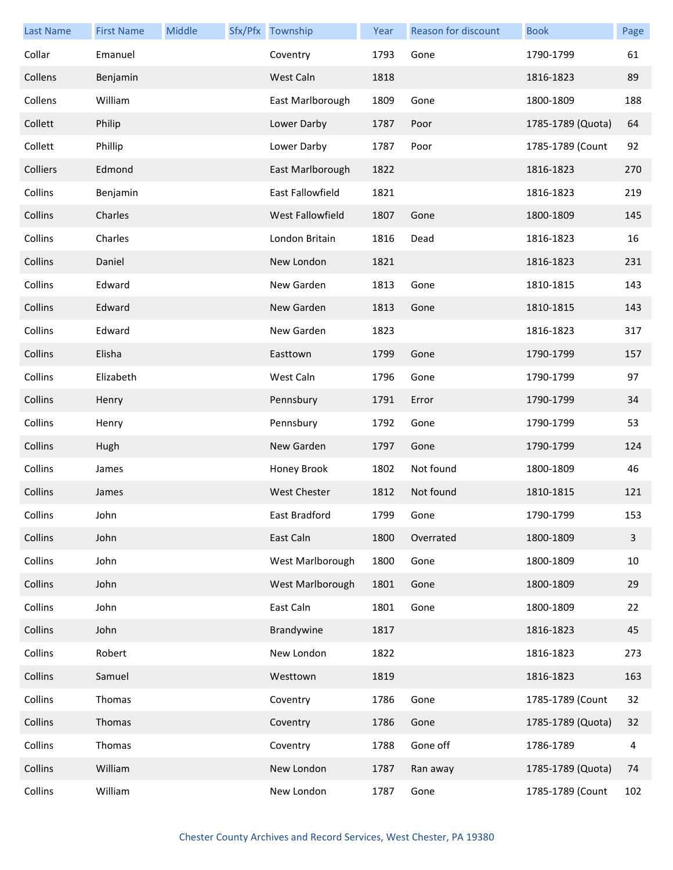| <b>Last Name</b> | <b>First Name</b> | Middle | Sfx/Pfx Township        | Year | Reason for discount | <b>Book</b>       | Page           |
|------------------|-------------------|--------|-------------------------|------|---------------------|-------------------|----------------|
| Collar           | Emanuel           |        | Coventry                | 1793 | Gone                | 1790-1799         | 61             |
| Collens          | Benjamin          |        | West Caln               | 1818 |                     | 1816-1823         | 89             |
| Collens          | William           |        | East Marlborough        | 1809 | Gone                | 1800-1809         | 188            |
| Collett          | Philip            |        | Lower Darby             | 1787 | Poor                | 1785-1789 (Quota) | 64             |
| Collett          | Phillip           |        | Lower Darby             | 1787 | Poor                | 1785-1789 (Count  | 92             |
| Colliers         | Edmond            |        | East Marlborough        | 1822 |                     | 1816-1823         | 270            |
| Collins          | Benjamin          |        | East Fallowfield        | 1821 |                     | 1816-1823         | 219            |
| Collins          | Charles           |        | <b>West Fallowfield</b> | 1807 | Gone                | 1800-1809         | 145            |
| Collins          | Charles           |        | London Britain          | 1816 | Dead                | 1816-1823         | 16             |
| Collins          | Daniel            |        | New London              | 1821 |                     | 1816-1823         | 231            |
| Collins          | Edward            |        | New Garden              | 1813 | Gone                | 1810-1815         | 143            |
| Collins          | Edward            |        | New Garden              | 1813 | Gone                | 1810-1815         | 143            |
| Collins          | Edward            |        | New Garden              | 1823 |                     | 1816-1823         | 317            |
| Collins          | Elisha            |        | Easttown                | 1799 | Gone                | 1790-1799         | 157            |
| Collins          | Elizabeth         |        | West Caln               | 1796 | Gone                | 1790-1799         | 97             |
| Collins          | Henry             |        | Pennsbury               | 1791 | Error               | 1790-1799         | 34             |
| Collins          | Henry             |        | Pennsbury               | 1792 | Gone                | 1790-1799         | 53             |
| Collins          | Hugh              |        | New Garden              | 1797 | Gone                | 1790-1799         | 124            |
| Collins          | James             |        | Honey Brook             | 1802 | Not found           | 1800-1809         | 46             |
| Collins          | James             |        | <b>West Chester</b>     | 1812 | Not found           | 1810-1815         | 121            |
| Collins          | John              |        | East Bradford           | 1799 | Gone                | 1790-1799         | 153            |
| Collins          | John              |        | East Caln               | 1800 | Overrated           | 1800-1809         | $\overline{3}$ |
| Collins          | John              |        | West Marlborough        | 1800 | Gone                | 1800-1809         | 10             |
| Collins          | John              |        | West Marlborough        | 1801 | Gone                | 1800-1809         | 29             |
| Collins          | John              |        | East Caln               | 1801 | Gone                | 1800-1809         | 22             |
| Collins          | John              |        | Brandywine              | 1817 |                     | 1816-1823         | 45             |
| Collins          | Robert            |        | New London              | 1822 |                     | 1816-1823         | 273            |
| Collins          | Samuel            |        | Westtown                | 1819 |                     | 1816-1823         | 163            |
| Collins          | Thomas            |        | Coventry                | 1786 | Gone                | 1785-1789 (Count  | 32             |
| Collins          | Thomas            |        | Coventry                | 1786 | Gone                | 1785-1789 (Quota) | 32             |
| Collins          | Thomas            |        | Coventry                | 1788 | Gone off            | 1786-1789         | 4              |
| Collins          | William           |        | New London              | 1787 | Ran away            | 1785-1789 (Quota) | 74             |
| Collins          | William           |        | New London              | 1787 | Gone                | 1785-1789 (Count  | 102            |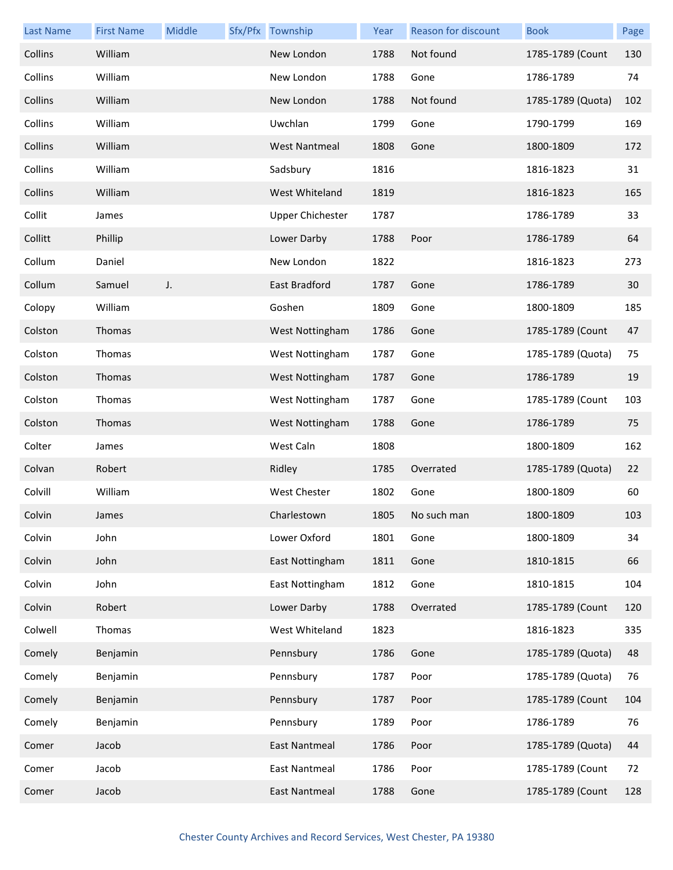| <b>Last Name</b> | <b>First Name</b> | Middle | Sfx/Pfx Township        | Year | <b>Reason for discount</b> | <b>Book</b>       | Page |
|------------------|-------------------|--------|-------------------------|------|----------------------------|-------------------|------|
| Collins          | William           |        | New London              | 1788 | Not found                  | 1785-1789 (Count  | 130  |
| Collins          | William           |        | New London              | 1788 | Gone                       | 1786-1789         | 74   |
| Collins          | William           |        | New London              | 1788 | Not found                  | 1785-1789 (Quota) | 102  |
| Collins          | William           |        | Uwchlan                 | 1799 | Gone                       | 1790-1799         | 169  |
| Collins          | William           |        | <b>West Nantmeal</b>    | 1808 | Gone                       | 1800-1809         | 172  |
| Collins          | William           |        | Sadsbury                | 1816 |                            | 1816-1823         | 31   |
| Collins          | William           |        | West Whiteland          | 1819 |                            | 1816-1823         | 165  |
| Collit           | James             |        | <b>Upper Chichester</b> | 1787 |                            | 1786-1789         | 33   |
| Collitt          | Phillip           |        | Lower Darby             | 1788 | Poor                       | 1786-1789         | 64   |
| Collum           | Daniel            |        | New London              | 1822 |                            | 1816-1823         | 273  |
| Collum           | Samuel            | J.     | East Bradford           | 1787 | Gone                       | 1786-1789         | 30   |
| Colopy           | William           |        | Goshen                  | 1809 | Gone                       | 1800-1809         | 185  |
| Colston          | Thomas            |        | West Nottingham         | 1786 | Gone                       | 1785-1789 (Count  | 47   |
| Colston          | Thomas            |        | West Nottingham         | 1787 | Gone                       | 1785-1789 (Quota) | 75   |
| Colston          | Thomas            |        | West Nottingham         | 1787 | Gone                       | 1786-1789         | 19   |
| Colston          | Thomas            |        | West Nottingham         | 1787 | Gone                       | 1785-1789 (Count  | 103  |
| Colston          | Thomas            |        | West Nottingham         | 1788 | Gone                       | 1786-1789         | 75   |
| Colter           | James             |        | West Caln               | 1808 |                            | 1800-1809         | 162  |
| Colvan           | Robert            |        | Ridley                  | 1785 | Overrated                  | 1785-1789 (Quota) | 22   |
| Colvill          | William           |        | West Chester            | 1802 | Gone                       | 1800-1809         | 60   |
| Colvin           | James             |        | Charlestown             | 1805 | No such man                | 1800-1809         | 103  |
| Colvin           | John              |        | Lower Oxford            | 1801 | Gone                       | 1800-1809         | 34   |
| Colvin           | John              |        | East Nottingham         | 1811 | Gone                       | 1810-1815         | 66   |
| Colvin           | John              |        | East Nottingham         | 1812 | Gone                       | 1810-1815         | 104  |
| Colvin           | Robert            |        | Lower Darby             | 1788 | Overrated                  | 1785-1789 (Count  | 120  |
| Colwell          | Thomas            |        | West Whiteland          | 1823 |                            | 1816-1823         | 335  |
| Comely           | Benjamin          |        | Pennsbury               | 1786 | Gone                       | 1785-1789 (Quota) | 48   |
| Comely           | Benjamin          |        | Pennsbury               | 1787 | Poor                       | 1785-1789 (Quota) | 76   |
| Comely           | Benjamin          |        | Pennsbury               | 1787 | Poor                       | 1785-1789 (Count  | 104  |
| Comely           | Benjamin          |        | Pennsbury               | 1789 | Poor                       | 1786-1789         | 76   |
| Comer            | Jacob             |        | <b>East Nantmeal</b>    | 1786 | Poor                       | 1785-1789 (Quota) | 44   |
| Comer            | Jacob             |        | <b>East Nantmeal</b>    | 1786 | Poor                       | 1785-1789 (Count  | 72   |
| Comer            | Jacob             |        | <b>East Nantmeal</b>    | 1788 | Gone                       | 1785-1789 (Count  | 128  |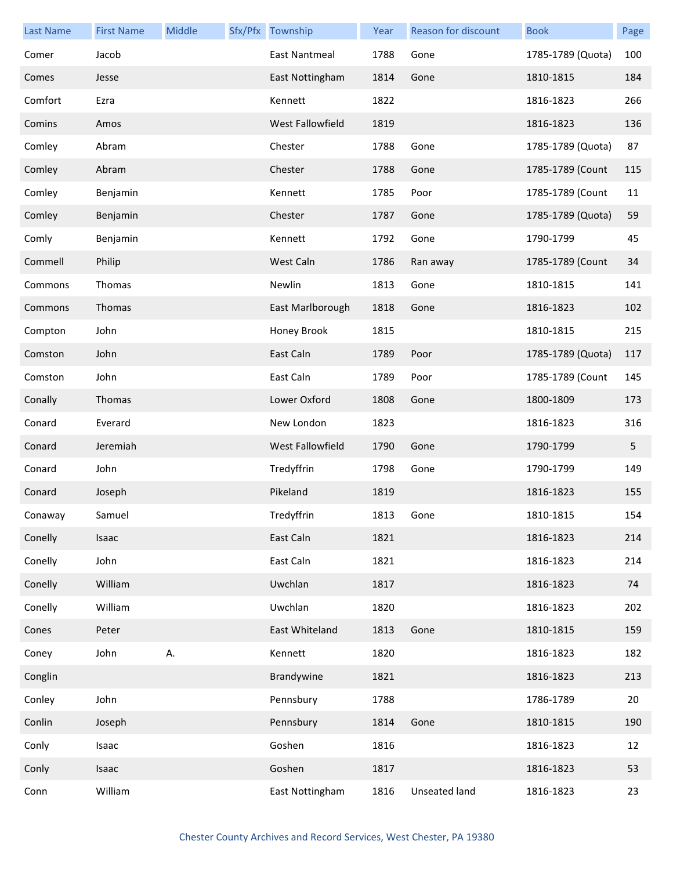| <b>Last Name</b> | <b>First Name</b> | Middle | Sfx/Pfx Township     | Year | Reason for discount | <b>Book</b>       | Page |
|------------------|-------------------|--------|----------------------|------|---------------------|-------------------|------|
| Comer            | Jacob             |        | <b>East Nantmeal</b> | 1788 | Gone                | 1785-1789 (Quota) | 100  |
| Comes            | Jesse             |        | East Nottingham      | 1814 | Gone                | 1810-1815         | 184  |
| Comfort          | Ezra              |        | Kennett              | 1822 |                     | 1816-1823         | 266  |
| Comins           | Amos              |        | West Fallowfield     | 1819 |                     | 1816-1823         | 136  |
| Comley           | Abram             |        | Chester              | 1788 | Gone                | 1785-1789 (Quota) | 87   |
| Comley           | Abram             |        | Chester              | 1788 | Gone                | 1785-1789 (Count  | 115  |
| Comley           | Benjamin          |        | Kennett              | 1785 | Poor                | 1785-1789 (Count  | 11   |
| Comley           | Benjamin          |        | Chester              | 1787 | Gone                | 1785-1789 (Quota) | 59   |
| Comly            | Benjamin          |        | Kennett              | 1792 | Gone                | 1790-1799         | 45   |
| Commell          | Philip            |        | West Caln            | 1786 | Ran away            | 1785-1789 (Count  | 34   |
| Commons          | Thomas            |        | Newlin               | 1813 | Gone                | 1810-1815         | 141  |
| Commons          | Thomas            |        | East Marlborough     | 1818 | Gone                | 1816-1823         | 102  |
| Compton          | John              |        | Honey Brook          | 1815 |                     | 1810-1815         | 215  |
| Comston          | John              |        | East Caln            | 1789 | Poor                | 1785-1789 (Quota) | 117  |
| Comston          | John              |        | East Caln            | 1789 | Poor                | 1785-1789 (Count  | 145  |
| Conally          | Thomas            |        | Lower Oxford         | 1808 | Gone                | 1800-1809         | 173  |
| Conard           | Everard           |        | New London           | 1823 |                     | 1816-1823         | 316  |
| Conard           | Jeremiah          |        | West Fallowfield     | 1790 | Gone                | 1790-1799         | 5    |
| Conard           | John              |        | Tredyffrin           | 1798 | Gone                | 1790-1799         | 149  |
| Conard           | Joseph            |        | Pikeland             | 1819 |                     | 1816-1823         | 155  |
| Conaway          | Samuel            |        | Tredyffrin           | 1813 | Gone                | 1810-1815         | 154  |
| Conelly          | Isaac             |        | East Caln            | 1821 |                     | 1816-1823         | 214  |
| Conelly          | John              |        | East Caln            | 1821 |                     | 1816-1823         | 214  |
| Conelly          | William           |        | Uwchlan              | 1817 |                     | 1816-1823         | 74   |
| Conelly          | William           |        | Uwchlan              | 1820 |                     | 1816-1823         | 202  |
| Cones            | Peter             |        | East Whiteland       | 1813 | Gone                | 1810-1815         | 159  |
| Coney            | John              | Α.     | Kennett              | 1820 |                     | 1816-1823         | 182  |
| Conglin          |                   |        | Brandywine           | 1821 |                     | 1816-1823         | 213  |
| Conley           | John              |        | Pennsbury            | 1788 |                     | 1786-1789         | 20   |
| Conlin           | Joseph            |        | Pennsbury            | 1814 | Gone                | 1810-1815         | 190  |
| Conly            | Isaac             |        | Goshen               | 1816 |                     | 1816-1823         | 12   |
| Conly            | Isaac             |        | Goshen               | 1817 |                     | 1816-1823         | 53   |
| Conn             | William           |        | East Nottingham      | 1816 | Unseated land       | 1816-1823         | 23   |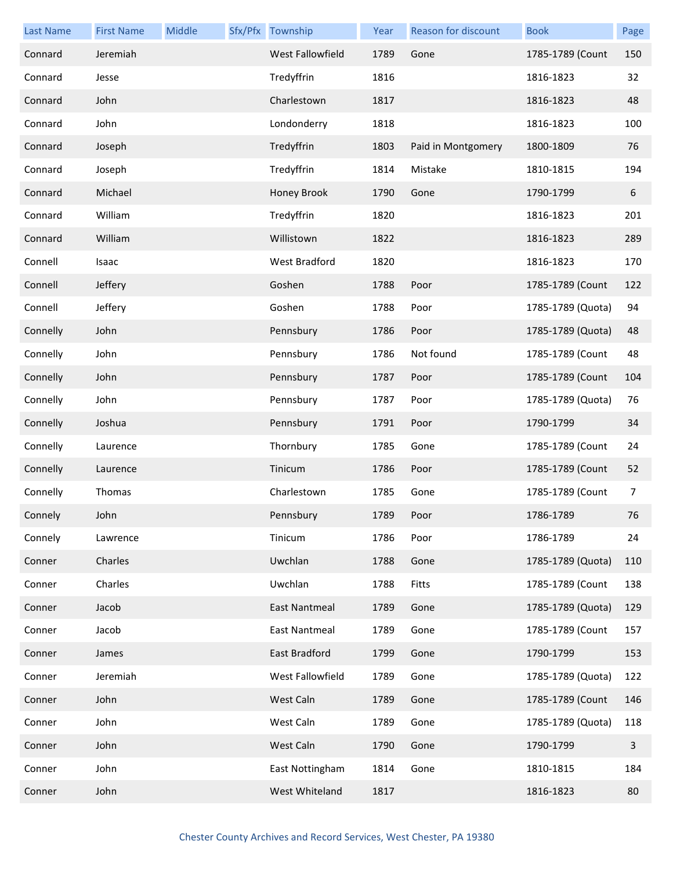| <b>Last Name</b> | <b>First Name</b> | Middle | Sfx/Pfx Township     | Year | <b>Reason for discount</b> | <b>Book</b>       | Page           |
|------------------|-------------------|--------|----------------------|------|----------------------------|-------------------|----------------|
| Connard          | Jeremiah          |        | West Fallowfield     | 1789 | Gone                       | 1785-1789 (Count  | 150            |
| Connard          | Jesse             |        | Tredyffrin           | 1816 |                            | 1816-1823         | 32             |
| Connard          | John              |        | Charlestown          | 1817 |                            | 1816-1823         | 48             |
| Connard          | John              |        | Londonderry          | 1818 |                            | 1816-1823         | 100            |
| Connard          | Joseph            |        | Tredyffrin           | 1803 | Paid in Montgomery         | 1800-1809         | 76             |
| Connard          | Joseph            |        | Tredyffrin           | 1814 | Mistake                    | 1810-1815         | 194            |
| Connard          | Michael           |        | Honey Brook          | 1790 | Gone                       | 1790-1799         | $6\,$          |
| Connard          | William           |        | Tredyffrin           | 1820 |                            | 1816-1823         | 201            |
| Connard          | William           |        | Willistown           | 1822 |                            | 1816-1823         | 289            |
| Connell          | Isaac             |        | <b>West Bradford</b> | 1820 |                            | 1816-1823         | 170            |
| Connell          | Jeffery           |        | Goshen               | 1788 | Poor                       | 1785-1789 (Count  | 122            |
| Connell          | Jeffery           |        | Goshen               | 1788 | Poor                       | 1785-1789 (Quota) | 94             |
| Connelly         | John              |        | Pennsbury            | 1786 | Poor                       | 1785-1789 (Quota) | 48             |
| Connelly         | John              |        | Pennsbury            | 1786 | Not found                  | 1785-1789 (Count  | 48             |
| Connelly         | John              |        | Pennsbury            | 1787 | Poor                       | 1785-1789 (Count  | 104            |
| Connelly         | John              |        | Pennsbury            | 1787 | Poor                       | 1785-1789 (Quota) | 76             |
| Connelly         | Joshua            |        | Pennsbury            | 1791 | Poor                       | 1790-1799         | 34             |
| Connelly         | Laurence          |        | Thornbury            | 1785 | Gone                       | 1785-1789 (Count  | 24             |
| Connelly         | Laurence          |        | Tinicum              | 1786 | Poor                       | 1785-1789 (Count  | 52             |
| Connelly         | Thomas            |        | Charlestown          | 1785 | Gone                       | 1785-1789 (Count  | $\overline{7}$ |
| Connely          | John              |        | Pennsbury            | 1789 | Poor                       | 1786-1789         | 76             |
| Connely          | Lawrence          |        | Tinicum              | 1786 | Poor                       | 1786-1789         | 24             |
| Conner           | Charles           |        | Uwchlan              | 1788 | Gone                       | 1785-1789 (Quota) | 110            |
| Conner           | Charles           |        | Uwchlan              | 1788 | Fitts                      | 1785-1789 (Count  | 138            |
| Conner           | Jacob             |        | <b>East Nantmeal</b> | 1789 | Gone                       | 1785-1789 (Quota) | 129            |
| Conner           | Jacob             |        | East Nantmeal        | 1789 | Gone                       | 1785-1789 (Count  | 157            |
| Conner           | James             |        | East Bradford        | 1799 | Gone                       | 1790-1799         | 153            |
| Conner           | Jeremiah          |        | West Fallowfield     | 1789 | Gone                       | 1785-1789 (Quota) | 122            |
| Conner           | John              |        | West Caln            | 1789 | Gone                       | 1785-1789 (Count  | 146            |
| Conner           | John              |        | West Caln            | 1789 | Gone                       | 1785-1789 (Quota) | 118            |
| Conner           | John              |        | West Caln            | 1790 | Gone                       | 1790-1799         | $\mathsf{3}$   |
| Conner           | John              |        | East Nottingham      | 1814 | Gone                       | 1810-1815         | 184            |
| Conner           | John              |        | West Whiteland       | 1817 |                            | 1816-1823         | 80             |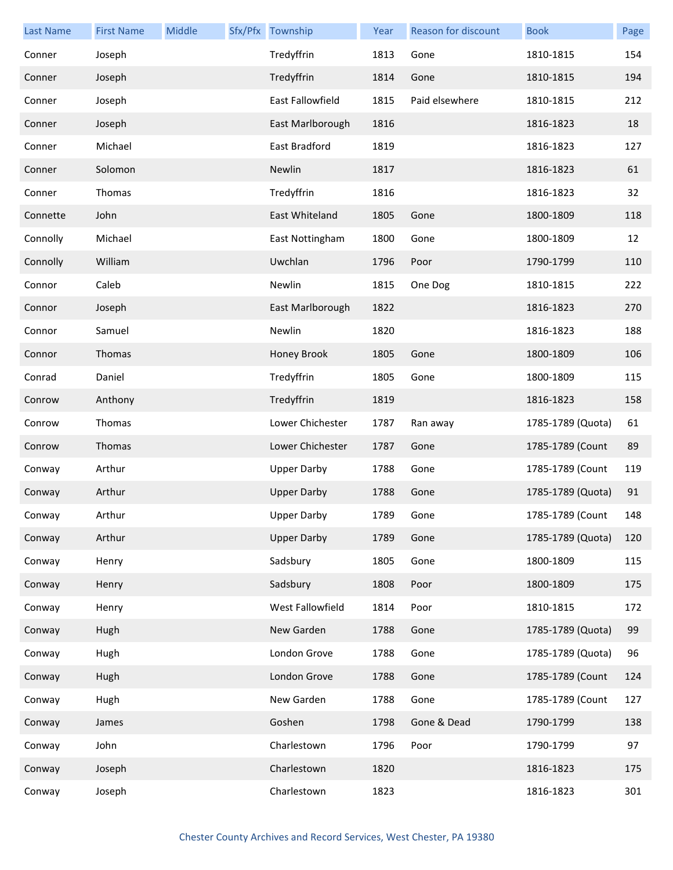| <b>Last Name</b> | <b>First Name</b> | Middle | Sfx/Pfx Township        | Year | <b>Reason for discount</b> | <b>Book</b>       | Page |
|------------------|-------------------|--------|-------------------------|------|----------------------------|-------------------|------|
| Conner           | Joseph            |        | Tredyffrin              | 1813 | Gone                       | 1810-1815         | 154  |
| Conner           | Joseph            |        | Tredyffrin              | 1814 | Gone                       | 1810-1815         | 194  |
| Conner           | Joseph            |        | <b>East Fallowfield</b> | 1815 | Paid elsewhere             | 1810-1815         | 212  |
| Conner           | Joseph            |        | East Marlborough        | 1816 |                            | 1816-1823         | 18   |
| Conner           | Michael           |        | East Bradford           | 1819 |                            | 1816-1823         | 127  |
| Conner           | Solomon           |        | Newlin                  | 1817 |                            | 1816-1823         | 61   |
| Conner           | Thomas            |        | Tredyffrin              | 1816 |                            | 1816-1823         | 32   |
| Connette         | John              |        | East Whiteland          | 1805 | Gone                       | 1800-1809         | 118  |
| Connolly         | Michael           |        | East Nottingham         | 1800 | Gone                       | 1800-1809         | 12   |
| Connolly         | William           |        | Uwchlan                 | 1796 | Poor                       | 1790-1799         | 110  |
| Connor           | Caleb             |        | Newlin                  | 1815 | One Dog                    | 1810-1815         | 222  |
| Connor           | Joseph            |        | East Marlborough        | 1822 |                            | 1816-1823         | 270  |
| Connor           | Samuel            |        | Newlin                  | 1820 |                            | 1816-1823         | 188  |
| Connor           | Thomas            |        | Honey Brook             | 1805 | Gone                       | 1800-1809         | 106  |
| Conrad           | Daniel            |        | Tredyffrin              | 1805 | Gone                       | 1800-1809         | 115  |
| Conrow           | Anthony           |        | Tredyffrin              | 1819 |                            | 1816-1823         | 158  |
| Conrow           | Thomas            |        | Lower Chichester        | 1787 | Ran away                   | 1785-1789 (Quota) | 61   |
| Conrow           | Thomas            |        | Lower Chichester        | 1787 | Gone                       | 1785-1789 (Count  | 89   |
| Conway           | Arthur            |        | <b>Upper Darby</b>      | 1788 | Gone                       | 1785-1789 (Count  | 119  |
| Conway           | Arthur            |        | <b>Upper Darby</b>      | 1788 | Gone                       | 1785-1789 (Quota) | 91   |
| Conway           | Arthur            |        | <b>Upper Darby</b>      | 1789 | Gone                       | 1785-1789 (Count  | 148  |
| Conway           | Arthur            |        | <b>Upper Darby</b>      | 1789 | Gone                       | 1785-1789 (Quota) | 120  |
| Conway           | Henry             |        | Sadsbury                | 1805 | Gone                       | 1800-1809         | 115  |
| Conway           | Henry             |        | Sadsbury                | 1808 | Poor                       | 1800-1809         | 175  |
| Conway           | Henry             |        | West Fallowfield        | 1814 | Poor                       | 1810-1815         | 172  |
| Conway           | Hugh              |        | New Garden              | 1788 | Gone                       | 1785-1789 (Quota) | 99   |
| Conway           | Hugh              |        | London Grove            | 1788 | Gone                       | 1785-1789 (Quota) | 96   |
| Conway           | Hugh              |        | London Grove            | 1788 | Gone                       | 1785-1789 (Count  | 124  |
| Conway           | Hugh              |        | New Garden              | 1788 | Gone                       | 1785-1789 (Count  | 127  |
| Conway           | James             |        | Goshen                  | 1798 | Gone & Dead                | 1790-1799         | 138  |
| Conway           | John              |        | Charlestown             | 1796 | Poor                       | 1790-1799         | 97   |
| Conway           | Joseph            |        | Charlestown             | 1820 |                            | 1816-1823         | 175  |
| Conway           | Joseph            |        | Charlestown             | 1823 |                            | 1816-1823         | 301  |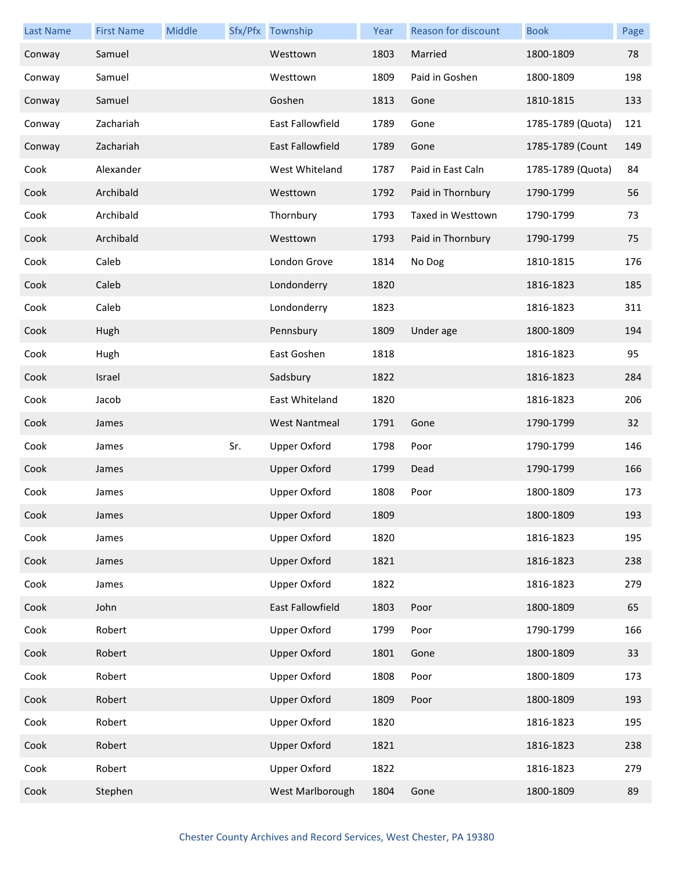| <b>Last Name</b> | <b>First Name</b> | Middle |     | Sfx/Pfx Township     | Year | Reason for discount | <b>Book</b>       | Page |
|------------------|-------------------|--------|-----|----------------------|------|---------------------|-------------------|------|
| Conway           | Samuel            |        |     | Westtown             | 1803 | Married             | 1800-1809         | 78   |
| Conway           | Samuel            |        |     | Westtown             | 1809 | Paid in Goshen      | 1800-1809         | 198  |
| Conway           | Samuel            |        |     | Goshen               | 1813 | Gone                | 1810-1815         | 133  |
| Conway           | Zachariah         |        |     | East Fallowfield     | 1789 | Gone                | 1785-1789 (Quota) | 121  |
| Conway           | Zachariah         |        |     | East Fallowfield     | 1789 | Gone                | 1785-1789 (Count  | 149  |
| Cook             | Alexander         |        |     | West Whiteland       | 1787 | Paid in East Caln   | 1785-1789 (Quota) | 84   |
| Cook             | Archibald         |        |     | Westtown             | 1792 | Paid in Thornbury   | 1790-1799         | 56   |
| Cook             | Archibald         |        |     | Thornbury            | 1793 | Taxed in Westtown   | 1790-1799         | 73   |
| Cook             | Archibald         |        |     | Westtown             | 1793 | Paid in Thornbury   | 1790-1799         | 75   |
| Cook             | Caleb             |        |     | London Grove         | 1814 | No Dog              | 1810-1815         | 176  |
| Cook             | Caleb             |        |     | Londonderry          | 1820 |                     | 1816-1823         | 185  |
| Cook             | Caleb             |        |     | Londonderry          | 1823 |                     | 1816-1823         | 311  |
| Cook             | Hugh              |        |     | Pennsbury            | 1809 | Under age           | 1800-1809         | 194  |
| Cook             | Hugh              |        |     | East Goshen          | 1818 |                     | 1816-1823         | 95   |
| Cook             | Israel            |        |     | Sadsbury             | 1822 |                     | 1816-1823         | 284  |
| Cook             | Jacob             |        |     | East Whiteland       | 1820 |                     | 1816-1823         | 206  |
| Cook             | James             |        |     | <b>West Nantmeal</b> | 1791 | Gone                | 1790-1799         | 32   |
| Cook             | James             |        | Sr. | <b>Upper Oxford</b>  | 1798 | Poor                | 1790-1799         | 146  |
| Cook             | James             |        |     | <b>Upper Oxford</b>  | 1799 | Dead                | 1790-1799         | 166  |
| Cook             | James             |        |     | <b>Upper Oxford</b>  | 1808 | Poor                | 1800-1809         | 173  |
| Cook             | James             |        |     | <b>Upper Oxford</b>  | 1809 |                     | 1800-1809         | 193  |
| Cook             | James             |        |     | <b>Upper Oxford</b>  | 1820 |                     | 1816-1823         | 195  |
| Cook             | James             |        |     | <b>Upper Oxford</b>  | 1821 |                     | 1816-1823         | 238  |
| Cook             | James             |        |     | <b>Upper Oxford</b>  | 1822 |                     | 1816-1823         | 279  |
| Cook             | John              |        |     | East Fallowfield     | 1803 | Poor                | 1800-1809         | 65   |
| Cook             | Robert            |        |     | <b>Upper Oxford</b>  | 1799 | Poor                | 1790-1799         | 166  |
| Cook             | Robert            |        |     | <b>Upper Oxford</b>  | 1801 | Gone                | 1800-1809         | 33   |
| Cook             | Robert            |        |     | <b>Upper Oxford</b>  | 1808 | Poor                | 1800-1809         | 173  |
| Cook             | Robert            |        |     | <b>Upper Oxford</b>  | 1809 | Poor                | 1800-1809         | 193  |
| Cook             | Robert            |        |     | <b>Upper Oxford</b>  | 1820 |                     | 1816-1823         | 195  |
| Cook             | Robert            |        |     | <b>Upper Oxford</b>  | 1821 |                     | 1816-1823         | 238  |
| Cook             | Robert            |        |     | <b>Upper Oxford</b>  | 1822 |                     | 1816-1823         | 279  |
| Cook             | Stephen           |        |     | West Marlborough     | 1804 | Gone                | 1800-1809         | 89   |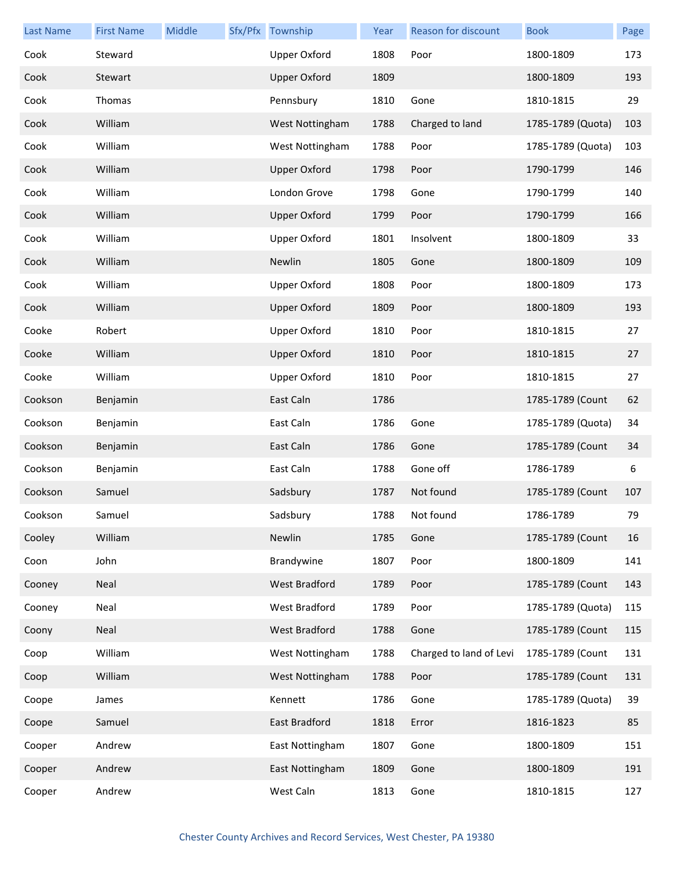| <b>Last Name</b> | <b>First Name</b> | Middle | Sfx/Pfx Township    | Year | <b>Reason for discount</b> | <b>Book</b>       | Page |
|------------------|-------------------|--------|---------------------|------|----------------------------|-------------------|------|
| Cook             | Steward           |        | <b>Upper Oxford</b> | 1808 | Poor                       | 1800-1809         | 173  |
| Cook             | Stewart           |        | <b>Upper Oxford</b> | 1809 |                            | 1800-1809         | 193  |
| Cook             | Thomas            |        | Pennsbury           | 1810 | Gone                       | 1810-1815         | 29   |
| Cook             | William           |        | West Nottingham     | 1788 | Charged to land            | 1785-1789 (Quota) | 103  |
| Cook             | William           |        | West Nottingham     | 1788 | Poor                       | 1785-1789 (Quota) | 103  |
| Cook             | William           |        | <b>Upper Oxford</b> | 1798 | Poor                       | 1790-1799         | 146  |
| Cook             | William           |        | London Grove        | 1798 | Gone                       | 1790-1799         | 140  |
| Cook             | William           |        | <b>Upper Oxford</b> | 1799 | Poor                       | 1790-1799         | 166  |
| Cook             | William           |        | <b>Upper Oxford</b> | 1801 | Insolvent                  | 1800-1809         | 33   |
| Cook             | William           |        | Newlin              | 1805 | Gone                       | 1800-1809         | 109  |
| Cook             | William           |        | <b>Upper Oxford</b> | 1808 | Poor                       | 1800-1809         | 173  |
| Cook             | William           |        | <b>Upper Oxford</b> | 1809 | Poor                       | 1800-1809         | 193  |
| Cooke            | Robert            |        | <b>Upper Oxford</b> | 1810 | Poor                       | 1810-1815         | 27   |
| Cooke            | William           |        | <b>Upper Oxford</b> | 1810 | Poor                       | 1810-1815         | 27   |
| Cooke            | William           |        | <b>Upper Oxford</b> | 1810 | Poor                       | 1810-1815         | 27   |
| Cookson          | Benjamin          |        | East Caln           | 1786 |                            | 1785-1789 (Count  | 62   |
| Cookson          | Benjamin          |        | East Caln           | 1786 | Gone                       | 1785-1789 (Quota) | 34   |
| Cookson          | Benjamin          |        | East Caln           | 1786 | Gone                       | 1785-1789 (Count  | 34   |
| Cookson          | Benjamin          |        | East Caln           | 1788 | Gone off                   | 1786-1789         | 6    |
| Cookson          | Samuel            |        | Sadsbury            | 1787 | Not found                  | 1785-1789 (Count  | 107  |
| Cookson          | Samuel            |        | Sadsbury            | 1788 | Not found                  | 1786-1789         | 79   |
| Cooley           | William           |        | Newlin              | 1785 | Gone                       | 1785-1789 (Count  | 16   |
| Coon             | John              |        | Brandywine          | 1807 | Poor                       | 1800-1809         | 141  |
| Cooney           | Neal              |        | West Bradford       | 1789 | Poor                       | 1785-1789 (Count  | 143  |
| Cooney           | Neal              |        | West Bradford       | 1789 | Poor                       | 1785-1789 (Quota) | 115  |
| Coony            | Neal              |        | West Bradford       | 1788 | Gone                       | 1785-1789 (Count  | 115  |
| Coop             | William           |        | West Nottingham     | 1788 | Charged to land of Levi    | 1785-1789 (Count  | 131  |
| Coop             | William           |        | West Nottingham     | 1788 | Poor                       | 1785-1789 (Count  | 131  |
| Coope            | James             |        | Kennett             | 1786 | Gone                       | 1785-1789 (Quota) | 39   |
| Coope            | Samuel            |        | East Bradford       | 1818 | Error                      | 1816-1823         | 85   |
| Cooper           | Andrew            |        | East Nottingham     | 1807 | Gone                       | 1800-1809         | 151  |
| Cooper           | Andrew            |        | East Nottingham     | 1809 | Gone                       | 1800-1809         | 191  |
| Cooper           | Andrew            |        | West Caln           | 1813 | Gone                       | 1810-1815         | 127  |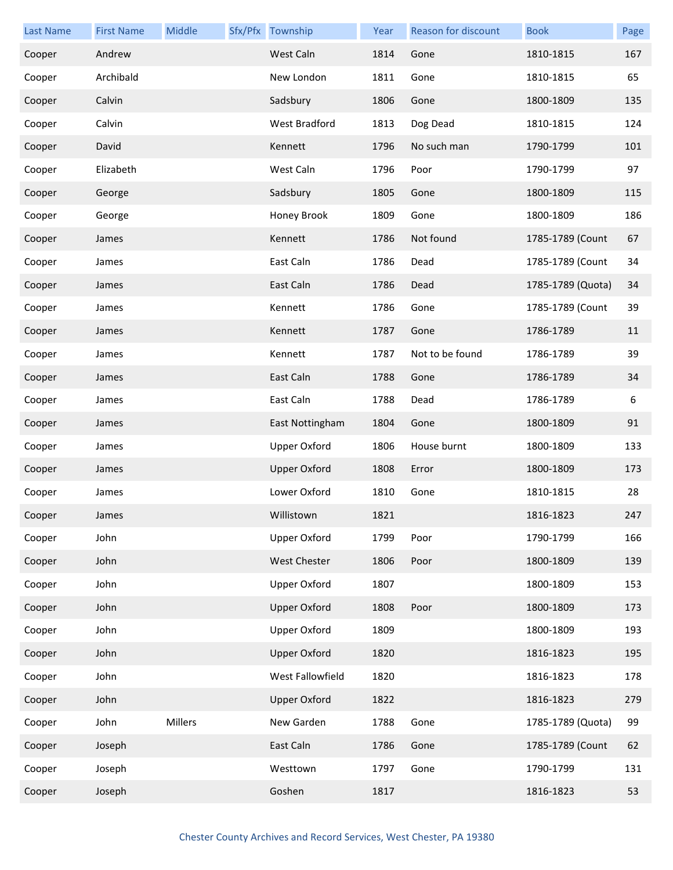| <b>Last Name</b> | <b>First Name</b> | Middle  | Sfx/Pfx Township     | Year | <b>Reason for discount</b> | <b>Book</b>       | Page |
|------------------|-------------------|---------|----------------------|------|----------------------------|-------------------|------|
| Cooper           | Andrew            |         | West Caln            | 1814 | Gone                       | 1810-1815         | 167  |
| Cooper           | Archibald         |         | New London           | 1811 | Gone                       | 1810-1815         | 65   |
| Cooper           | Calvin            |         | Sadsbury             | 1806 | Gone                       | 1800-1809         | 135  |
| Cooper           | Calvin            |         | <b>West Bradford</b> | 1813 | Dog Dead                   | 1810-1815         | 124  |
| Cooper           | David             |         | Kennett              | 1796 | No such man                | 1790-1799         | 101  |
| Cooper           | Elizabeth         |         | West Caln            | 1796 | Poor                       | 1790-1799         | 97   |
| Cooper           | George            |         | Sadsbury             | 1805 | Gone                       | 1800-1809         | 115  |
| Cooper           | George            |         | Honey Brook          | 1809 | Gone                       | 1800-1809         | 186  |
| Cooper           | James             |         | Kennett              | 1786 | Not found                  | 1785-1789 (Count  | 67   |
| Cooper           | James             |         | East Caln            | 1786 | Dead                       | 1785-1789 (Count  | 34   |
| Cooper           | James             |         | East Caln            | 1786 | Dead                       | 1785-1789 (Quota) | 34   |
| Cooper           | James             |         | Kennett              | 1786 | Gone                       | 1785-1789 (Count  | 39   |
| Cooper           | James             |         | Kennett              | 1787 | Gone                       | 1786-1789         | 11   |
| Cooper           | James             |         | Kennett              | 1787 | Not to be found            | 1786-1789         | 39   |
| Cooper           | James             |         | East Caln            | 1788 | Gone                       | 1786-1789         | 34   |
| Cooper           | James             |         | East Caln            | 1788 | Dead                       | 1786-1789         | 6    |
| Cooper           | James             |         | East Nottingham      | 1804 | Gone                       | 1800-1809         | 91   |
| Cooper           | James             |         | <b>Upper Oxford</b>  | 1806 | House burnt                | 1800-1809         | 133  |
| Cooper           | James             |         | <b>Upper Oxford</b>  | 1808 | Error                      | 1800-1809         | 173  |
| Cooper           | James             |         | Lower Oxford         | 1810 | Gone                       | 1810-1815         | 28   |
| Cooper           | James             |         | Willistown           | 1821 |                            | 1816-1823         | 247  |
| Cooper           | John              |         | <b>Upper Oxford</b>  | 1799 | Poor                       | 1790-1799         | 166  |
| Cooper           | John              |         | <b>West Chester</b>  | 1806 | Poor                       | 1800-1809         | 139  |
| Cooper           | John              |         | <b>Upper Oxford</b>  | 1807 |                            | 1800-1809         | 153  |
| Cooper           | John              |         | <b>Upper Oxford</b>  | 1808 | Poor                       | 1800-1809         | 173  |
| Cooper           | John              |         | <b>Upper Oxford</b>  | 1809 |                            | 1800-1809         | 193  |
| Cooper           | John              |         | <b>Upper Oxford</b>  | 1820 |                            | 1816-1823         | 195  |
| Cooper           | John              |         | West Fallowfield     | 1820 |                            | 1816-1823         | 178  |
| Cooper           | John              |         | <b>Upper Oxford</b>  | 1822 |                            | 1816-1823         | 279  |
| Cooper           | John              | Millers | New Garden           | 1788 | Gone                       | 1785-1789 (Quota) | 99   |
| Cooper           | Joseph            |         | East Caln            | 1786 | Gone                       | 1785-1789 (Count  | 62   |
| Cooper           | Joseph            |         | Westtown             | 1797 | Gone                       | 1790-1799         | 131  |
| Cooper           | Joseph            |         | Goshen               | 1817 |                            | 1816-1823         | 53   |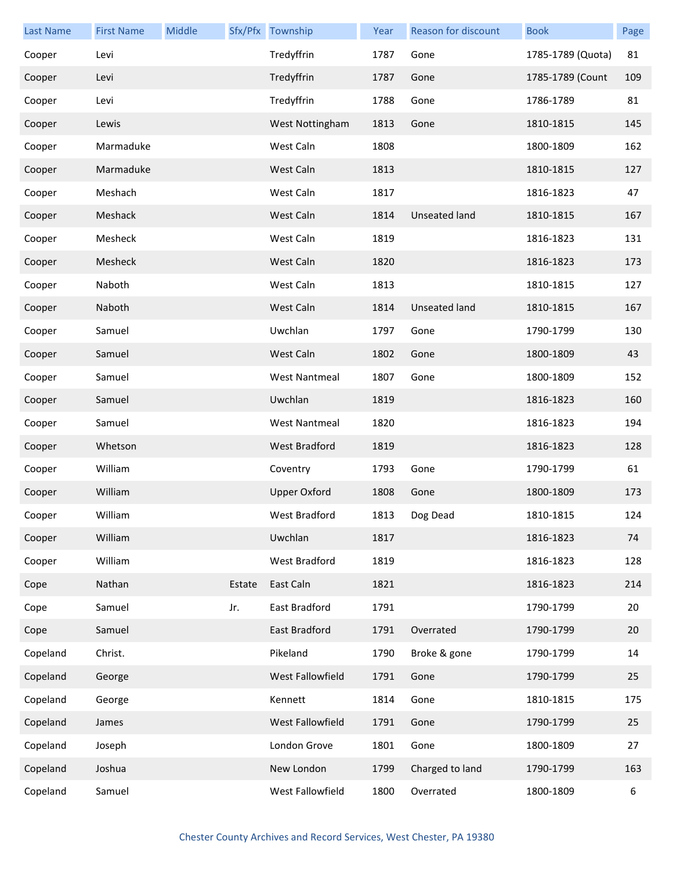| <b>Last Name</b> | <b>First Name</b> | Middle |        | Sfx/Pfx Township     | Year | Reason for discount | <b>Book</b>       | Page |
|------------------|-------------------|--------|--------|----------------------|------|---------------------|-------------------|------|
| Cooper           | Levi              |        |        | Tredyffrin           | 1787 | Gone                | 1785-1789 (Quota) | 81   |
| Cooper           | Levi              |        |        | Tredyffrin           | 1787 | Gone                | 1785-1789 (Count  | 109  |
| Cooper           | Levi              |        |        | Tredyffrin           | 1788 | Gone                | 1786-1789         | 81   |
| Cooper           | Lewis             |        |        | West Nottingham      | 1813 | Gone                | 1810-1815         | 145  |
| Cooper           | Marmaduke         |        |        | West Caln            | 1808 |                     | 1800-1809         | 162  |
| Cooper           | Marmaduke         |        |        | West Caln            | 1813 |                     | 1810-1815         | 127  |
| Cooper           | Meshach           |        |        | West Caln            | 1817 |                     | 1816-1823         | 47   |
| Cooper           | Meshack           |        |        | West Caln            | 1814 | Unseated land       | 1810-1815         | 167  |
| Cooper           | Mesheck           |        |        | West Caln            | 1819 |                     | 1816-1823         | 131  |
| Cooper           | Mesheck           |        |        | West Caln            | 1820 |                     | 1816-1823         | 173  |
| Cooper           | Naboth            |        |        | West Caln            | 1813 |                     | 1810-1815         | 127  |
| Cooper           | Naboth            |        |        | West Caln            | 1814 | Unseated land       | 1810-1815         | 167  |
| Cooper           | Samuel            |        |        | Uwchlan              | 1797 | Gone                | 1790-1799         | 130  |
| Cooper           | Samuel            |        |        | West Caln            | 1802 | Gone                | 1800-1809         | 43   |
| Cooper           | Samuel            |        |        | <b>West Nantmeal</b> | 1807 | Gone                | 1800-1809         | 152  |
| Cooper           | Samuel            |        |        | Uwchlan              | 1819 |                     | 1816-1823         | 160  |
| Cooper           | Samuel            |        |        | <b>West Nantmeal</b> | 1820 |                     | 1816-1823         | 194  |
| Cooper           | Whetson           |        |        | West Bradford        | 1819 |                     | 1816-1823         | 128  |
| Cooper           | William           |        |        | Coventry             | 1793 | Gone                | 1790-1799         | 61   |
| Cooper           | William           |        |        | <b>Upper Oxford</b>  | 1808 | Gone                | 1800-1809         | 173  |
| Cooper           | William           |        |        | West Bradford        | 1813 | Dog Dead            | 1810-1815         | 124  |
| Cooper           | William           |        |        | Uwchlan              | 1817 |                     | 1816-1823         | 74   |
| Cooper           | William           |        |        | West Bradford        | 1819 |                     | 1816-1823         | 128  |
| Cope             | Nathan            |        | Estate | East Caln            | 1821 |                     | 1816-1823         | 214  |
| Cope             | Samuel            |        | Jr.    | East Bradford        | 1791 |                     | 1790-1799         | 20   |
| Cope             | Samuel            |        |        | East Bradford        | 1791 | Overrated           | 1790-1799         | 20   |
| Copeland         | Christ.           |        |        | Pikeland             | 1790 | Broke & gone        | 1790-1799         | 14   |
| Copeland         | George            |        |        | West Fallowfield     | 1791 | Gone                | 1790-1799         | 25   |
| Copeland         | George            |        |        | Kennett              | 1814 | Gone                | 1810-1815         | 175  |
| Copeland         | James             |        |        | West Fallowfield     | 1791 | Gone                | 1790-1799         | 25   |
| Copeland         | Joseph            |        |        | London Grove         | 1801 | Gone                | 1800-1809         | 27   |
| Copeland         | Joshua            |        |        | New London           | 1799 | Charged to land     | 1790-1799         | 163  |
| Copeland         | Samuel            |        |        | West Fallowfield     | 1800 | Overrated           | 1800-1809         | 6    |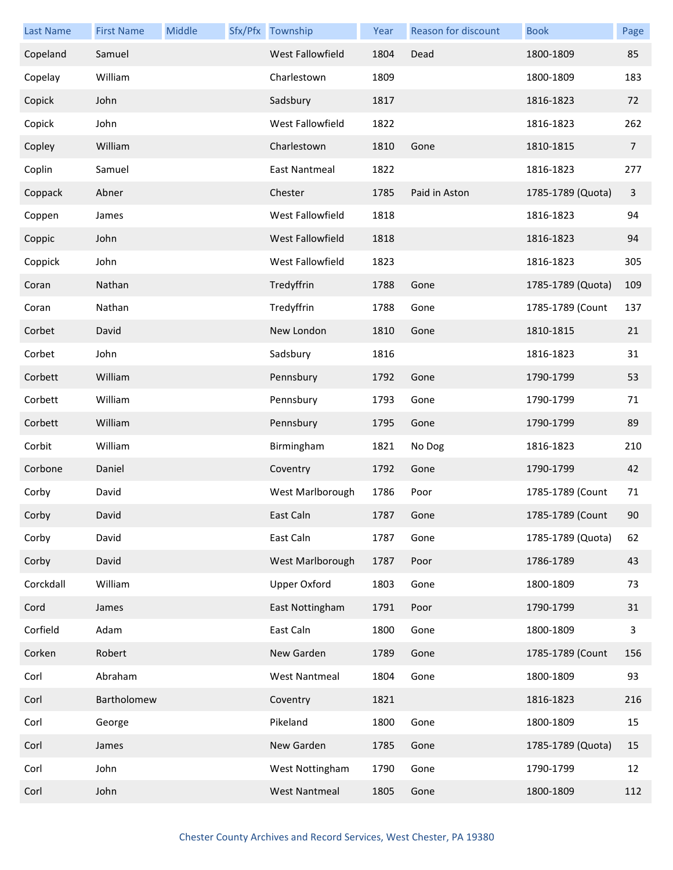| <b>Last Name</b> | <b>First Name</b> | Middle | Sfx/Pfx Township     | Year | <b>Reason for discount</b> | <b>Book</b>       | Page           |
|------------------|-------------------|--------|----------------------|------|----------------------------|-------------------|----------------|
| Copeland         | Samuel            |        | West Fallowfield     | 1804 | Dead                       | 1800-1809         | 85             |
| Copelay          | William           |        | Charlestown          | 1809 |                            | 1800-1809         | 183            |
| Copick           | John              |        | Sadsbury             | 1817 |                            | 1816-1823         | 72             |
| Copick           | John              |        | West Fallowfield     | 1822 |                            | 1816-1823         | 262            |
| Copley           | William           |        | Charlestown          | 1810 | Gone                       | 1810-1815         | $\overline{7}$ |
| Coplin           | Samuel            |        | East Nantmeal        | 1822 |                            | 1816-1823         | 277            |
| Coppack          | Abner             |        | Chester              | 1785 | Paid in Aston              | 1785-1789 (Quota) | 3              |
| Coppen           | James             |        | West Fallowfield     | 1818 |                            | 1816-1823         | 94             |
| Coppic           | John              |        | West Fallowfield     | 1818 |                            | 1816-1823         | 94             |
| Coppick          | John              |        | West Fallowfield     | 1823 |                            | 1816-1823         | 305            |
| Coran            | Nathan            |        | Tredyffrin           | 1788 | Gone                       | 1785-1789 (Quota) | 109            |
| Coran            | Nathan            |        | Tredyffrin           | 1788 | Gone                       | 1785-1789 (Count  | 137            |
| Corbet           | David             |        | New London           | 1810 | Gone                       | 1810-1815         | 21             |
| Corbet           | John              |        | Sadsbury             | 1816 |                            | 1816-1823         | 31             |
| Corbett          | William           |        | Pennsbury            | 1792 | Gone                       | 1790-1799         | 53             |
| Corbett          | William           |        | Pennsbury            | 1793 | Gone                       | 1790-1799         | 71             |
| Corbett          | William           |        | Pennsbury            | 1795 | Gone                       | 1790-1799         | 89             |
| Corbit           | William           |        | Birmingham           | 1821 | No Dog                     | 1816-1823         | 210            |
| Corbone          | Daniel            |        | Coventry             | 1792 | Gone                       | 1790-1799         | 42             |
| Corby            | David             |        | West Marlborough     | 1786 | Poor                       | 1785-1789 (Count  | 71             |
| Corby            | David             |        | East Caln            | 1787 | Gone                       | 1785-1789 (Count  | 90             |
| Corby            | David             |        | East Caln            | 1787 | Gone                       | 1785-1789 (Quota) | 62             |
| Corby            | David             |        | West Marlborough     | 1787 | Poor                       | 1786-1789         | 43             |
| Corckdall        | William           |        | <b>Upper Oxford</b>  | 1803 | Gone                       | 1800-1809         | 73             |
| Cord             | James             |        | East Nottingham      | 1791 | Poor                       | 1790-1799         | 31             |
| Corfield         | Adam              |        | East Caln            | 1800 | Gone                       | 1800-1809         | 3              |
| Corken           | Robert            |        | New Garden           | 1789 | Gone                       | 1785-1789 (Count  | 156            |
| Corl             | Abraham           |        | <b>West Nantmeal</b> | 1804 | Gone                       | 1800-1809         | 93             |
| Corl             | Bartholomew       |        | Coventry             | 1821 |                            | 1816-1823         | 216            |
| Corl             | George            |        | Pikeland             | 1800 | Gone                       | 1800-1809         | 15             |
| Corl             | James             |        | New Garden           | 1785 | Gone                       | 1785-1789 (Quota) | 15             |
| Corl             | John              |        | West Nottingham      | 1790 | Gone                       | 1790-1799         | 12             |
| Corl             | John              |        | <b>West Nantmeal</b> | 1805 | Gone                       | 1800-1809         | 112            |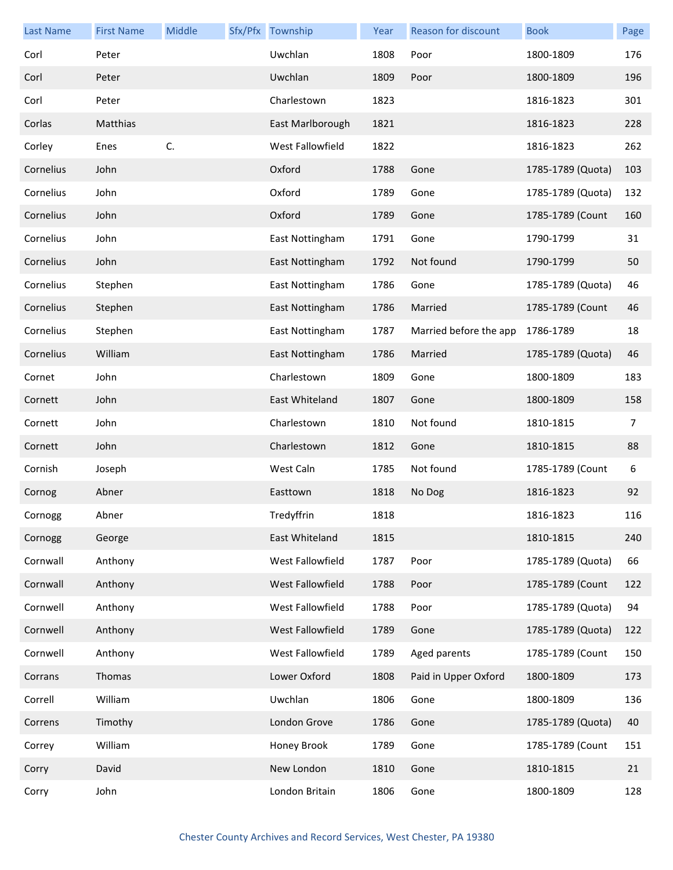| <b>Last Name</b> | <b>First Name</b> | Middle | Sfx/Pfx Township | Year | <b>Reason for discount</b> | <b>Book</b>       | Page |
|------------------|-------------------|--------|------------------|------|----------------------------|-------------------|------|
| Corl             | Peter             |        | Uwchlan          | 1808 | Poor                       | 1800-1809         | 176  |
| Corl             | Peter             |        | Uwchlan          | 1809 | Poor                       | 1800-1809         | 196  |
| Corl             | Peter             |        | Charlestown      | 1823 |                            | 1816-1823         | 301  |
| Corlas           | Matthias          |        | East Marlborough | 1821 |                            | 1816-1823         | 228  |
| Corley           | Enes              | C.     | West Fallowfield | 1822 |                            | 1816-1823         | 262  |
| Cornelius        | John              |        | Oxford           | 1788 | Gone                       | 1785-1789 (Quota) | 103  |
| Cornelius        | John              |        | Oxford           | 1789 | Gone                       | 1785-1789 (Quota) | 132  |
| Cornelius        | John              |        | Oxford           | 1789 | Gone                       | 1785-1789 (Count  | 160  |
| Cornelius        | John              |        | East Nottingham  | 1791 | Gone                       | 1790-1799         | 31   |
| Cornelius        | John              |        | East Nottingham  | 1792 | Not found                  | 1790-1799         | 50   |
| Cornelius        | Stephen           |        | East Nottingham  | 1786 | Gone                       | 1785-1789 (Quota) | 46   |
| Cornelius        | Stephen           |        | East Nottingham  | 1786 | Married                    | 1785-1789 (Count  | 46   |
| Cornelius        | Stephen           |        | East Nottingham  | 1787 | Married before the app     | 1786-1789         | 18   |
| Cornelius        | William           |        | East Nottingham  | 1786 | Married                    | 1785-1789 (Quota) | 46   |
| Cornet           | John              |        | Charlestown      | 1809 | Gone                       | 1800-1809         | 183  |
| Cornett          | John              |        | East Whiteland   | 1807 | Gone                       | 1800-1809         | 158  |
| Cornett          | John              |        | Charlestown      | 1810 | Not found                  | 1810-1815         | 7    |
| Cornett          | John              |        | Charlestown      | 1812 | Gone                       | 1810-1815         | 88   |
| Cornish          | Joseph            |        | West Caln        | 1785 | Not found                  | 1785-1789 (Count  | 6    |
| Cornog           | Abner             |        | Easttown         | 1818 | No Dog                     | 1816-1823         | 92   |
| Cornogg          | Abner             |        | Tredyffrin       | 1818 |                            | 1816-1823         | 116  |
| Cornogg          | George            |        | East Whiteland   | 1815 |                            | 1810-1815         | 240  |
| Cornwall         | Anthony           |        | West Fallowfield | 1787 | Poor                       | 1785-1789 (Quota) | 66   |
| Cornwall         | Anthony           |        | West Fallowfield | 1788 | Poor                       | 1785-1789 (Count  | 122  |
| Cornwell         | Anthony           |        | West Fallowfield | 1788 | Poor                       | 1785-1789 (Quota) | 94   |
| Cornwell         | Anthony           |        | West Fallowfield | 1789 | Gone                       | 1785-1789 (Quota) | 122  |
| Cornwell         | Anthony           |        | West Fallowfield | 1789 | Aged parents               | 1785-1789 (Count  | 150  |
| Corrans          | Thomas            |        | Lower Oxford     | 1808 | Paid in Upper Oxford       | 1800-1809         | 173  |
| Correll          | William           |        | Uwchlan          | 1806 | Gone                       | 1800-1809         | 136  |
| Correns          | Timothy           |        | London Grove     | 1786 | Gone                       | 1785-1789 (Quota) | 40   |
| Correy           | William           |        | Honey Brook      | 1789 | Gone                       | 1785-1789 (Count  | 151  |
| Corry            | David             |        | New London       | 1810 | Gone                       | 1810-1815         | 21   |
| Corry            | John              |        | London Britain   | 1806 | Gone                       | 1800-1809         | 128  |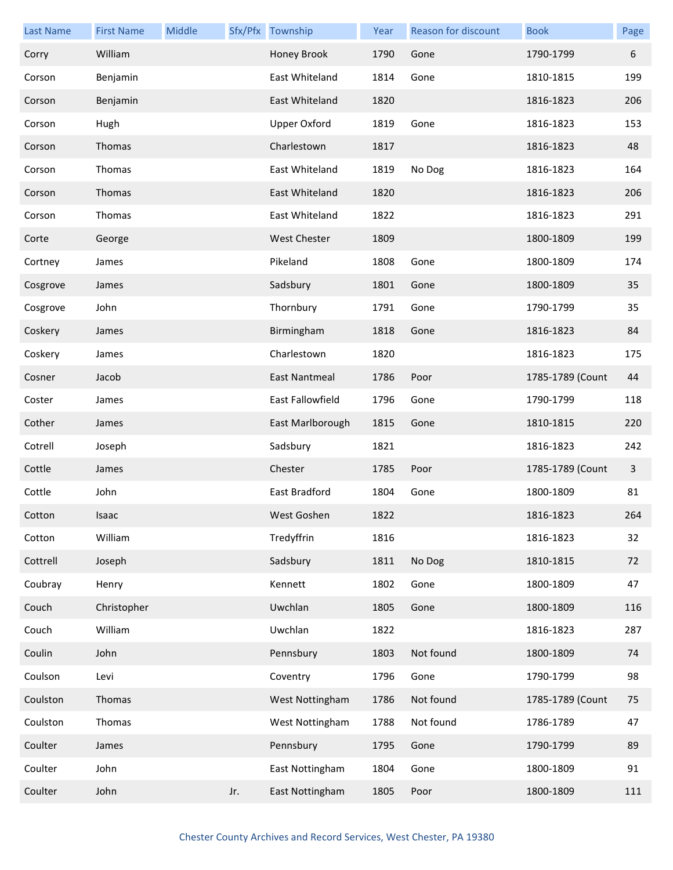| <b>Last Name</b> | <b>First Name</b> | Middle |     | Sfx/Pfx Township    | Year | Reason for discount | <b>Book</b>      | Page |
|------------------|-------------------|--------|-----|---------------------|------|---------------------|------------------|------|
| Corry            | William           |        |     | Honey Brook         | 1790 | Gone                | 1790-1799        | 6    |
| Corson           | Benjamin          |        |     | East Whiteland      | 1814 | Gone                | 1810-1815        | 199  |
| Corson           | Benjamin          |        |     | East Whiteland      | 1820 |                     | 1816-1823        | 206  |
| Corson           | Hugh              |        |     | <b>Upper Oxford</b> | 1819 | Gone                | 1816-1823        | 153  |
| Corson           | Thomas            |        |     | Charlestown         | 1817 |                     | 1816-1823        | 48   |
| Corson           | Thomas            |        |     | East Whiteland      | 1819 | No Dog              | 1816-1823        | 164  |
| Corson           | Thomas            |        |     | East Whiteland      | 1820 |                     | 1816-1823        | 206  |
| Corson           | Thomas            |        |     | East Whiteland      | 1822 |                     | 1816-1823        | 291  |
| Corte            | George            |        |     | <b>West Chester</b> | 1809 |                     | 1800-1809        | 199  |
| Cortney          | James             |        |     | Pikeland            | 1808 | Gone                | 1800-1809        | 174  |
| Cosgrove         | James             |        |     | Sadsbury            | 1801 | Gone                | 1800-1809        | 35   |
| Cosgrove         | John              |        |     | Thornbury           | 1791 | Gone                | 1790-1799        | 35   |
| Coskery          | James             |        |     | Birmingham          | 1818 | Gone                | 1816-1823        | 84   |
| Coskery          | James             |        |     | Charlestown         | 1820 |                     | 1816-1823        | 175  |
| Cosner           | Jacob             |        |     | East Nantmeal       | 1786 | Poor                | 1785-1789 (Count | 44   |
| Coster           | James             |        |     | East Fallowfield    | 1796 | Gone                | 1790-1799        | 118  |
| Cother           | James             |        |     | East Marlborough    | 1815 | Gone                | 1810-1815        | 220  |
| Cotrell          | Joseph            |        |     | Sadsbury            | 1821 |                     | 1816-1823        | 242  |
| Cottle           | James             |        |     | Chester             | 1785 | Poor                | 1785-1789 (Count | 3    |
| Cottle           | John              |        |     | East Bradford       | 1804 | Gone                | 1800-1809        | 81   |
| Cotton           | Isaac             |        |     | West Goshen         | 1822 |                     | 1816-1823        | 264  |
| Cotton           | William           |        |     | Tredyffrin          | 1816 |                     | 1816-1823        | 32   |
| Cottrell         | Joseph            |        |     | Sadsbury            | 1811 | No Dog              | 1810-1815        | 72   |
| Coubray          | Henry             |        |     | Kennett             | 1802 | Gone                | 1800-1809        | 47   |
| Couch            | Christopher       |        |     | Uwchlan             | 1805 | Gone                | 1800-1809        | 116  |
| Couch            | William           |        |     | Uwchlan             | 1822 |                     | 1816-1823        | 287  |
| Coulin           | John              |        |     | Pennsbury           | 1803 | Not found           | 1800-1809        | 74   |
| Coulson          | Levi              |        |     | Coventry            | 1796 | Gone                | 1790-1799        | 98   |
| Coulston         | Thomas            |        |     | West Nottingham     | 1786 | Not found           | 1785-1789 (Count | 75   |
| Coulston         | Thomas            |        |     | West Nottingham     | 1788 | Not found           | 1786-1789        | 47   |
| Coulter          | James             |        |     | Pennsbury           | 1795 | Gone                | 1790-1799        | 89   |
| Coulter          | John              |        |     | East Nottingham     | 1804 | Gone                | 1800-1809        | 91   |
| Coulter          | John              |        | Jr. | East Nottingham     | 1805 | Poor                | 1800-1809        | 111  |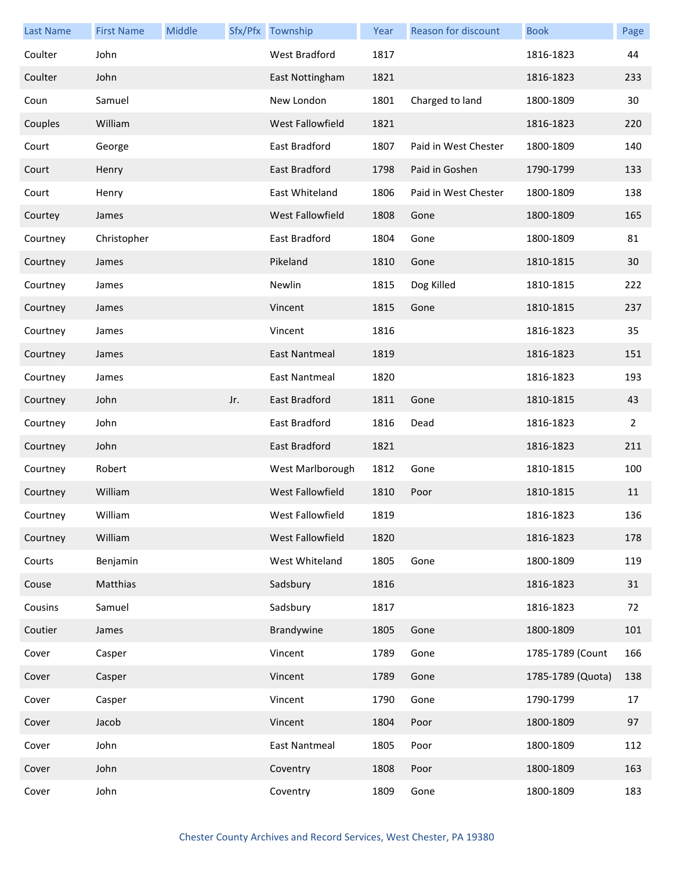| <b>Last Name</b> | <b>First Name</b> | Middle |     | Sfx/Pfx Township        | Year | <b>Reason for discount</b> | <b>Book</b>       | Page           |
|------------------|-------------------|--------|-----|-------------------------|------|----------------------------|-------------------|----------------|
| Coulter          | John              |        |     | West Bradford           | 1817 |                            | 1816-1823         | 44             |
| Coulter          | John              |        |     | East Nottingham         | 1821 |                            | 1816-1823         | 233            |
| Coun             | Samuel            |        |     | New London              | 1801 | Charged to land            | 1800-1809         | 30             |
| Couples          | William           |        |     | West Fallowfield        | 1821 |                            | 1816-1823         | 220            |
| Court            | George            |        |     | East Bradford           | 1807 | Paid in West Chester       | 1800-1809         | 140            |
| Court            | Henry             |        |     | <b>East Bradford</b>    | 1798 | Paid in Goshen             | 1790-1799         | 133            |
| Court            | Henry             |        |     | East Whiteland          | 1806 | Paid in West Chester       | 1800-1809         | 138            |
| Courtey          | James             |        |     | West Fallowfield        | 1808 | Gone                       | 1800-1809         | 165            |
| Courtney         | Christopher       |        |     | East Bradford           | 1804 | Gone                       | 1800-1809         | 81             |
| Courtney         | James             |        |     | Pikeland                | 1810 | Gone                       | 1810-1815         | 30             |
| Courtney         | James             |        |     | Newlin                  | 1815 | Dog Killed                 | 1810-1815         | 222            |
| Courtney         | James             |        |     | Vincent                 | 1815 | Gone                       | 1810-1815         | 237            |
| Courtney         | James             |        |     | Vincent                 | 1816 |                            | 1816-1823         | 35             |
| Courtney         | James             |        |     | East Nantmeal           | 1819 |                            | 1816-1823         | 151            |
| Courtney         | James             |        |     | East Nantmeal           | 1820 |                            | 1816-1823         | 193            |
| Courtney         | John              |        | Jr. | East Bradford           | 1811 | Gone                       | 1810-1815         | 43             |
| Courtney         | John              |        |     | East Bradford           | 1816 | Dead                       | 1816-1823         | $\overline{2}$ |
| Courtney         | John              |        |     | East Bradford           | 1821 |                            | 1816-1823         | 211            |
| Courtney         | Robert            |        |     | West Marlborough        | 1812 | Gone                       | 1810-1815         | 100            |
| Courtney         | William           |        |     | <b>West Fallowfield</b> | 1810 | Poor                       | 1810-1815         | 11             |
| Courtney         | William           |        |     | West Fallowfield        | 1819 |                            | 1816-1823         | 136            |
| Courtney         | William           |        |     | West Fallowfield        | 1820 |                            | 1816-1823         | 178            |
| Courts           | Benjamin          |        |     | West Whiteland          | 1805 | Gone                       | 1800-1809         | 119            |
| Couse            | Matthias          |        |     | Sadsbury                | 1816 |                            | 1816-1823         | 31             |
| Cousins          | Samuel            |        |     | Sadsbury                | 1817 |                            | 1816-1823         | 72             |
| Coutier          | James             |        |     | Brandywine              | 1805 | Gone                       | 1800-1809         | 101            |
| Cover            | Casper            |        |     | Vincent                 | 1789 | Gone                       | 1785-1789 (Count  | 166            |
| Cover            | Casper            |        |     | Vincent                 | 1789 | Gone                       | 1785-1789 (Quota) | 138            |
| Cover            | Casper            |        |     | Vincent                 | 1790 | Gone                       | 1790-1799         | 17             |
| Cover            | Jacob             |        |     | Vincent                 | 1804 | Poor                       | 1800-1809         | 97             |
| Cover            | John              |        |     | <b>East Nantmeal</b>    | 1805 | Poor                       | 1800-1809         | 112            |
| Cover            | John              |        |     | Coventry                | 1808 | Poor                       | 1800-1809         | 163            |
| Cover            | John              |        |     | Coventry                | 1809 | Gone                       | 1800-1809         | 183            |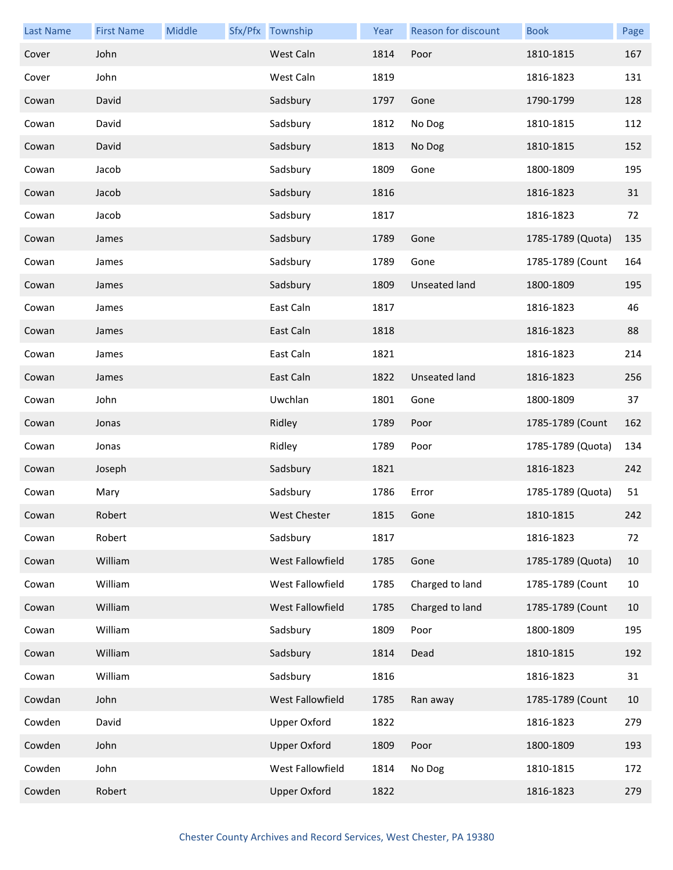| <b>Last Name</b> | <b>First Name</b> | Middle | Sfx/Pfx Township    | Year | <b>Reason for discount</b> | <b>Book</b>       | Page |
|------------------|-------------------|--------|---------------------|------|----------------------------|-------------------|------|
| Cover            | John              |        | West Caln           | 1814 | Poor                       | 1810-1815         | 167  |
| Cover            | John              |        | West Caln           | 1819 |                            | 1816-1823         | 131  |
| Cowan            | David             |        | Sadsbury            | 1797 | Gone                       | 1790-1799         | 128  |
| Cowan            | David             |        | Sadsbury            | 1812 | No Dog                     | 1810-1815         | 112  |
| Cowan            | David             |        | Sadsbury            | 1813 | No Dog                     | 1810-1815         | 152  |
| Cowan            | Jacob             |        | Sadsbury            | 1809 | Gone                       | 1800-1809         | 195  |
| Cowan            | Jacob             |        | Sadsbury            | 1816 |                            | 1816-1823         | 31   |
| Cowan            | Jacob             |        | Sadsbury            | 1817 |                            | 1816-1823         | 72   |
| Cowan            | James             |        | Sadsbury            | 1789 | Gone                       | 1785-1789 (Quota) | 135  |
| Cowan            | James             |        | Sadsbury            | 1789 | Gone                       | 1785-1789 (Count  | 164  |
| Cowan            | James             |        | Sadsbury            | 1809 | <b>Unseated land</b>       | 1800-1809         | 195  |
| Cowan            | James             |        | East Caln           | 1817 |                            | 1816-1823         | 46   |
| Cowan            | James             |        | East Caln           | 1818 |                            | 1816-1823         | 88   |
| Cowan            | James             |        | East Caln           | 1821 |                            | 1816-1823         | 214  |
| Cowan            | James             |        | East Caln           | 1822 | <b>Unseated land</b>       | 1816-1823         | 256  |
| Cowan            | John              |        | Uwchlan             | 1801 | Gone                       | 1800-1809         | 37   |
| Cowan            | Jonas             |        | Ridley              | 1789 | Poor                       | 1785-1789 (Count  | 162  |
| Cowan            | Jonas             |        | Ridley              | 1789 | Poor                       | 1785-1789 (Quota) | 134  |
| Cowan            | Joseph            |        | Sadsbury            | 1821 |                            | 1816-1823         | 242  |
| Cowan            | Mary              |        | Sadsbury            | 1786 | Error                      | 1785-1789 (Quota) | 51   |
| Cowan            | Robert            |        | West Chester        | 1815 | Gone                       | 1810-1815         | 242  |
| Cowan            | Robert            |        | Sadsbury            | 1817 |                            | 1816-1823         | 72   |
| Cowan            | William           |        | West Fallowfield    | 1785 | Gone                       | 1785-1789 (Quota) | 10   |
| Cowan            | William           |        | West Fallowfield    | 1785 | Charged to land            | 1785-1789 (Count  | 10   |
| Cowan            | William           |        | West Fallowfield    | 1785 | Charged to land            | 1785-1789 (Count  | 10   |
| Cowan            | William           |        | Sadsbury            | 1809 | Poor                       | 1800-1809         | 195  |
| Cowan            | William           |        | Sadsbury            | 1814 | Dead                       | 1810-1815         | 192  |
| Cowan            | William           |        | Sadsbury            | 1816 |                            | 1816-1823         | 31   |
| Cowdan           | John              |        | West Fallowfield    | 1785 | Ran away                   | 1785-1789 (Count  | 10   |
| Cowden           | David             |        | <b>Upper Oxford</b> | 1822 |                            | 1816-1823         | 279  |
| Cowden           | John              |        | <b>Upper Oxford</b> | 1809 | Poor                       | 1800-1809         | 193  |
| Cowden           | John              |        | West Fallowfield    | 1814 | No Dog                     | 1810-1815         | 172  |
| Cowden           | Robert            |        | <b>Upper Oxford</b> | 1822 |                            | 1816-1823         | 279  |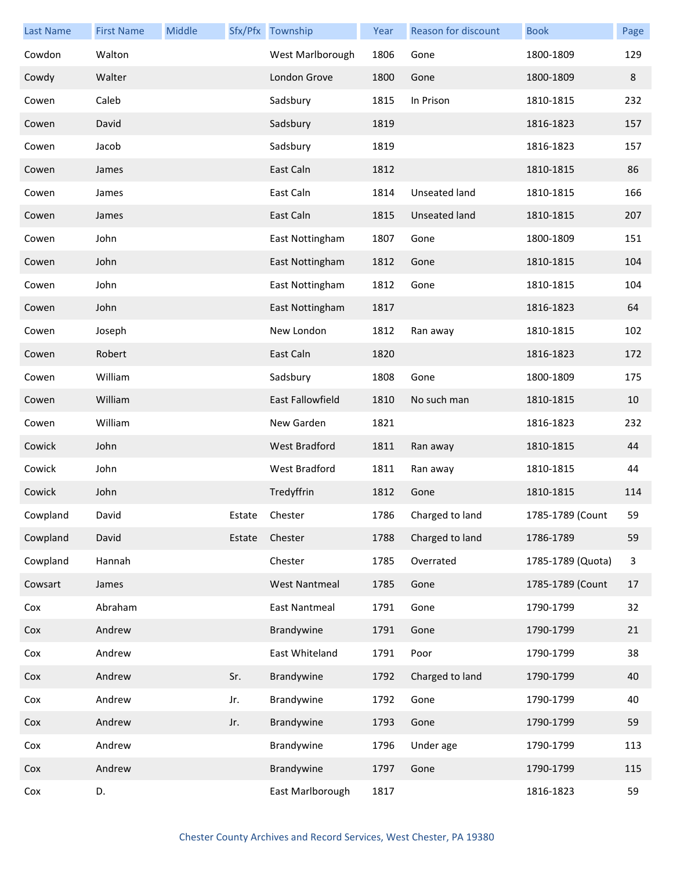| <b>Last Name</b> | <b>First Name</b> | Middle |        | Sfx/Pfx Township     | Year | Reason for discount | <b>Book</b>       | Page         |
|------------------|-------------------|--------|--------|----------------------|------|---------------------|-------------------|--------------|
| Cowdon           | Walton            |        |        | West Marlborough     | 1806 | Gone                | 1800-1809         | 129          |
| Cowdy            | Walter            |        |        | London Grove         | 1800 | Gone                | 1800-1809         | 8            |
| Cowen            | Caleb             |        |        | Sadsbury             | 1815 | In Prison           | 1810-1815         | 232          |
| Cowen            | David             |        |        | Sadsbury             | 1819 |                     | 1816-1823         | 157          |
| Cowen            | Jacob             |        |        | Sadsbury             | 1819 |                     | 1816-1823         | 157          |
| Cowen            | James             |        |        | East Caln            | 1812 |                     | 1810-1815         | 86           |
| Cowen            | James             |        |        | East Caln            | 1814 | Unseated land       | 1810-1815         | 166          |
| Cowen            | James             |        |        | East Caln            | 1815 | Unseated land       | 1810-1815         | 207          |
| Cowen            | John              |        |        | East Nottingham      | 1807 | Gone                | 1800-1809         | 151          |
| Cowen            | John              |        |        | East Nottingham      | 1812 | Gone                | 1810-1815         | 104          |
| Cowen            | John              |        |        | East Nottingham      | 1812 | Gone                | 1810-1815         | 104          |
| Cowen            | John              |        |        | East Nottingham      | 1817 |                     | 1816-1823         | 64           |
| Cowen            | Joseph            |        |        | New London           | 1812 | Ran away            | 1810-1815         | 102          |
| Cowen            | Robert            |        |        | East Caln            | 1820 |                     | 1816-1823         | 172          |
| Cowen            | William           |        |        | Sadsbury             | 1808 | Gone                | 1800-1809         | 175          |
| Cowen            | William           |        |        | East Fallowfield     | 1810 | No such man         | 1810-1815         | 10           |
| Cowen            | William           |        |        | New Garden           | 1821 |                     | 1816-1823         | 232          |
| Cowick           | John              |        |        | <b>West Bradford</b> | 1811 | Ran away            | 1810-1815         | 44           |
| Cowick           | John              |        |        | West Bradford        | 1811 | Ran away            | 1810-1815         | 44           |
| Cowick           | John              |        |        | Tredyffrin           | 1812 | Gone                | 1810-1815         | 114          |
| Cowpland         | David             |        | Estate | Chester              | 1786 | Charged to land     | 1785-1789 (Count  | 59           |
| Cowpland         | David             |        | Estate | Chester              | 1788 | Charged to land     | 1786-1789         | 59           |
| Cowpland         | Hannah            |        |        | Chester              | 1785 | Overrated           | 1785-1789 (Quota) | $\mathbf{3}$ |
| Cowsart          | James             |        |        | <b>West Nantmeal</b> | 1785 | Gone                | 1785-1789 (Count  | 17           |
| Cox              | Abraham           |        |        | East Nantmeal        | 1791 | Gone                | 1790-1799         | 32           |
| Cox              | Andrew            |        |        | Brandywine           | 1791 | Gone                | 1790-1799         | 21           |
| Cox              | Andrew            |        |        | East Whiteland       | 1791 | Poor                | 1790-1799         | 38           |
| Cox              | Andrew            |        | Sr.    | Brandywine           | 1792 | Charged to land     | 1790-1799         | 40           |
| Cox              | Andrew            |        | Jr.    | Brandywine           | 1792 | Gone                | 1790-1799         | 40           |
| Cox              | Andrew            |        | Jr.    | Brandywine           | 1793 | Gone                | 1790-1799         | 59           |
| Cox              | Andrew            |        |        | Brandywine           | 1796 | Under age           | 1790-1799         | 113          |
| Cox              | Andrew            |        |        | Brandywine           | 1797 | Gone                | 1790-1799         | 115          |
| Cox              | D.                |        |        | East Marlborough     | 1817 |                     | 1816-1823         | 59           |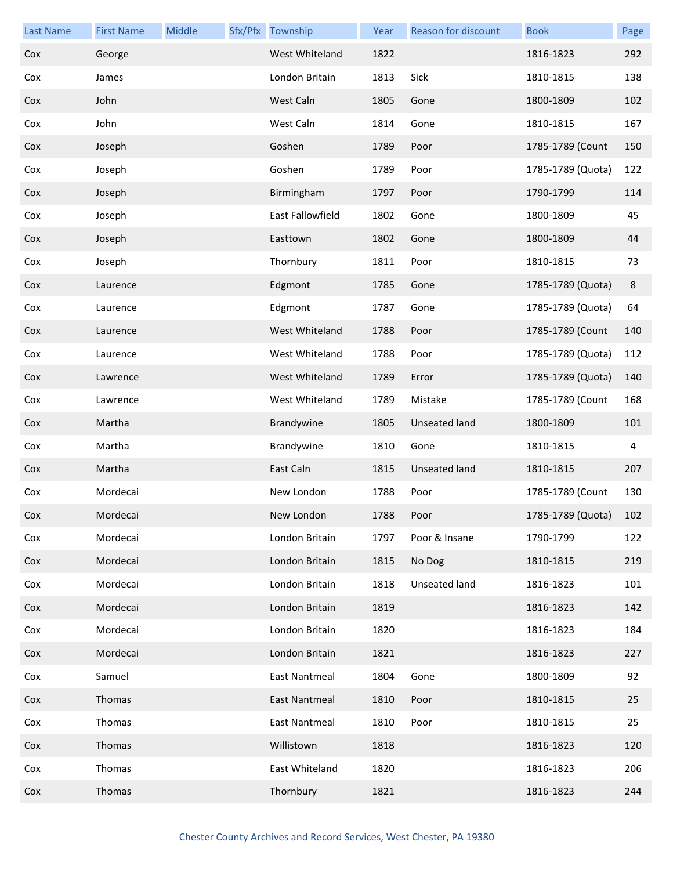| <b>Last Name</b> | <b>First Name</b> | Middle | Sfx/Pfx Township     | Year | Reason for discount  | <b>Book</b>       | Page |
|------------------|-------------------|--------|----------------------|------|----------------------|-------------------|------|
| Cox              | George            |        | West Whiteland       | 1822 |                      | 1816-1823         | 292  |
| Cox              | James             |        | London Britain       | 1813 | Sick                 | 1810-1815         | 138  |
| Cox              | John              |        | West Caln            | 1805 | Gone                 | 1800-1809         | 102  |
| Cox              | John              |        | West Caln            | 1814 | Gone                 | 1810-1815         | 167  |
| Cox              | Joseph            |        | Goshen               | 1789 | Poor                 | 1785-1789 (Count  | 150  |
| Cox              | Joseph            |        | Goshen               | 1789 | Poor                 | 1785-1789 (Quota) | 122  |
| Cox              | Joseph            |        | Birmingham           | 1797 | Poor                 | 1790-1799         | 114  |
| Cox              | Joseph            |        | East Fallowfield     | 1802 | Gone                 | 1800-1809         | 45   |
| Cox              | Joseph            |        | Easttown             | 1802 | Gone                 | 1800-1809         | 44   |
| Cox              | Joseph            |        | Thornbury            | 1811 | Poor                 | 1810-1815         | 73   |
| Cox              | Laurence          |        | Edgmont              | 1785 | Gone                 | 1785-1789 (Quota) | 8    |
| Cox              | Laurence          |        | Edgmont              | 1787 | Gone                 | 1785-1789 (Quota) | 64   |
| Cox              | Laurence          |        | West Whiteland       | 1788 | Poor                 | 1785-1789 (Count  | 140  |
| Cox              | Laurence          |        | West Whiteland       | 1788 | Poor                 | 1785-1789 (Quota) | 112  |
| Cox              | Lawrence          |        | West Whiteland       | 1789 | Error                | 1785-1789 (Quota) | 140  |
| Cox              | Lawrence          |        | West Whiteland       | 1789 | Mistake              | 1785-1789 (Count  | 168  |
| Cox              | Martha            |        | Brandywine           | 1805 | <b>Unseated land</b> | 1800-1809         | 101  |
| Cox              | Martha            |        | Brandywine           | 1810 | Gone                 | 1810-1815         | 4    |
| Cox              | Martha            |        | East Caln            | 1815 | <b>Unseated land</b> | 1810-1815         | 207  |
| Cox              | Mordecai          |        | New London           | 1788 | Poor                 | 1785-1789 (Count  | 130  |
| Cox              | Mordecai          |        | New London           | 1788 | Poor                 | 1785-1789 (Quota) | 102  |
| Cox              | Mordecai          |        | London Britain       | 1797 | Poor & Insane        | 1790-1799         | 122  |
| Cox              | Mordecai          |        | London Britain       | 1815 | No Dog               | 1810-1815         | 219  |
| Cox              | Mordecai          |        | London Britain       | 1818 | Unseated land        | 1816-1823         | 101  |
| Cox              | Mordecai          |        | London Britain       | 1819 |                      | 1816-1823         | 142  |
| Cox              | Mordecai          |        | London Britain       | 1820 |                      | 1816-1823         | 184  |
| Cox              | Mordecai          |        | London Britain       | 1821 |                      | 1816-1823         | 227  |
| Cox              | Samuel            |        | East Nantmeal        | 1804 | Gone                 | 1800-1809         | 92   |
| Cox              | Thomas            |        | <b>East Nantmeal</b> | 1810 | Poor                 | 1810-1815         | 25   |
| Cox              | Thomas            |        | East Nantmeal        | 1810 | Poor                 | 1810-1815         | 25   |
| Cox              | Thomas            |        | Willistown           | 1818 |                      | 1816-1823         | 120  |
| Cox              | Thomas            |        | East Whiteland       | 1820 |                      | 1816-1823         | 206  |
| Cox              | Thomas            |        | Thornbury            | 1821 |                      | 1816-1823         | 244  |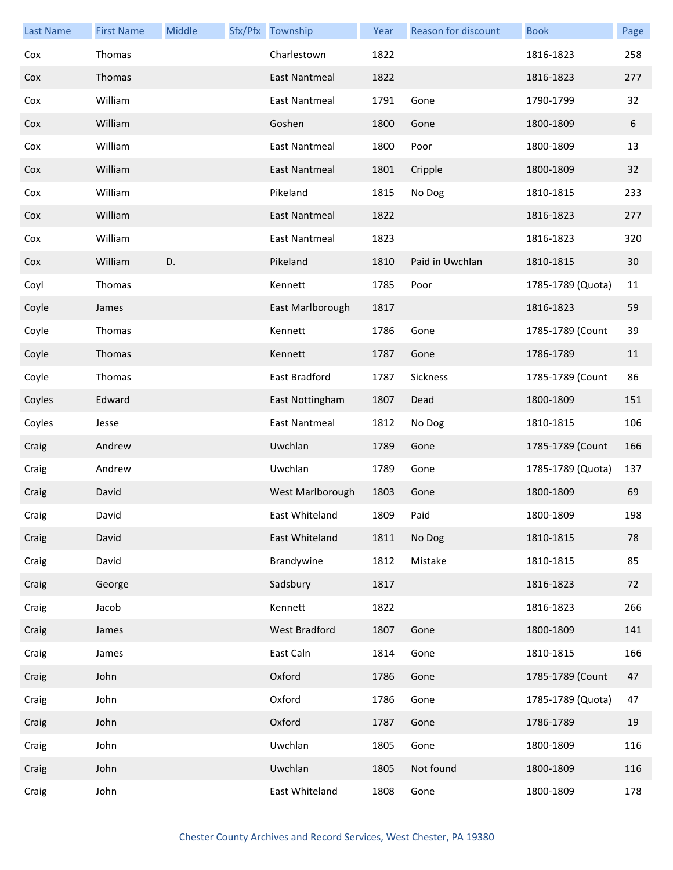| <b>Last Name</b> | <b>First Name</b> | Middle | Sfx/Pfx Township     | Year | Reason for discount | <b>Book</b>       | Page |
|------------------|-------------------|--------|----------------------|------|---------------------|-------------------|------|
| Cox              | Thomas            |        | Charlestown          | 1822 |                     | 1816-1823         | 258  |
| Cox              | Thomas            |        | East Nantmeal        | 1822 |                     | 1816-1823         | 277  |
| Cox              | William           |        | <b>East Nantmeal</b> | 1791 | Gone                | 1790-1799         | 32   |
| Cox              | William           |        | Goshen               | 1800 | Gone                | 1800-1809         | 6    |
| Cox              | William           |        | <b>East Nantmeal</b> | 1800 | Poor                | 1800-1809         | 13   |
| Cox              | William           |        | East Nantmeal        | 1801 | Cripple             | 1800-1809         | 32   |
| Cox              | William           |        | Pikeland             | 1815 | No Dog              | 1810-1815         | 233  |
| Cox              | William           |        | East Nantmeal        | 1822 |                     | 1816-1823         | 277  |
| Cox              | William           |        | <b>East Nantmeal</b> | 1823 |                     | 1816-1823         | 320  |
| Cox              | William           | D.     | Pikeland             | 1810 | Paid in Uwchlan     | 1810-1815         | 30   |
| Coyl             | Thomas            |        | Kennett              | 1785 | Poor                | 1785-1789 (Quota) | 11   |
| Coyle            | James             |        | East Marlborough     | 1817 |                     | 1816-1823         | 59   |
| Coyle            | Thomas            |        | Kennett              | 1786 | Gone                | 1785-1789 (Count  | 39   |
| Coyle            | Thomas            |        | Kennett              | 1787 | Gone                | 1786-1789         | 11   |
| Coyle            | Thomas            |        | East Bradford        | 1787 | Sickness            | 1785-1789 (Count  | 86   |
| Coyles           | Edward            |        | East Nottingham      | 1807 | Dead                | 1800-1809         | 151  |
| Coyles           | Jesse             |        | <b>East Nantmeal</b> | 1812 | No Dog              | 1810-1815         | 106  |
| Craig            | Andrew            |        | Uwchlan              | 1789 | Gone                | 1785-1789 (Count  | 166  |
| Craig            | Andrew            |        | Uwchlan              | 1789 | Gone                | 1785-1789 (Quota) | 137  |
| Craig            | David             |        | West Marlborough     | 1803 | Gone                | 1800-1809         | 69   |
| Craig            | David             |        | East Whiteland       | 1809 | Paid                | 1800-1809         | 198  |
| Craig            | David             |        | East Whiteland       | 1811 | No Dog              | 1810-1815         | 78   |
| Craig            | David             |        | Brandywine           | 1812 | Mistake             | 1810-1815         | 85   |
| Craig            | George            |        | Sadsbury             | 1817 |                     | 1816-1823         | 72   |
| Craig            | Jacob             |        | Kennett              | 1822 |                     | 1816-1823         | 266  |
| Craig            | James             |        | West Bradford        | 1807 | Gone                | 1800-1809         | 141  |
| Craig            | James             |        | East Caln            | 1814 | Gone                | 1810-1815         | 166  |
| Craig            | John              |        | Oxford               | 1786 | Gone                | 1785-1789 (Count  | 47   |
| Craig            | John              |        | Oxford               | 1786 | Gone                | 1785-1789 (Quota) | 47   |
| Craig            | John              |        | Oxford               | 1787 | Gone                | 1786-1789         | 19   |
| Craig            | John              |        | Uwchlan              | 1805 | Gone                | 1800-1809         | 116  |
| Craig            | John              |        | Uwchlan              | 1805 | Not found           | 1800-1809         | 116  |
| Craig            | John              |        | East Whiteland       | 1808 | Gone                | 1800-1809         | 178  |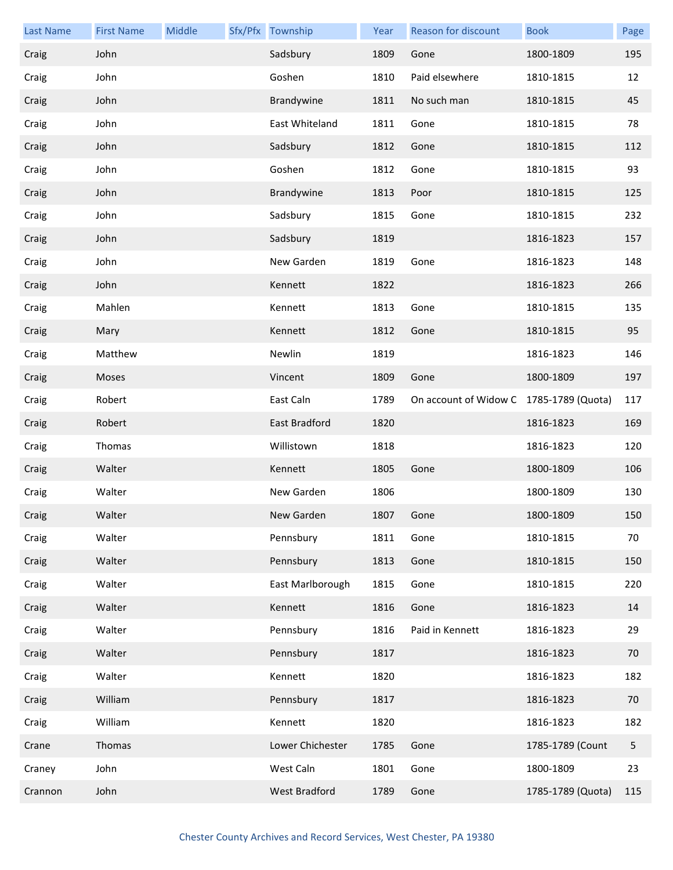| <b>Last Name</b> | <b>First Name</b> | Middle | Sfx/Pfx Township     | Year | <b>Reason for discount</b>              | <b>Book</b>       | Page |
|------------------|-------------------|--------|----------------------|------|-----------------------------------------|-------------------|------|
| Craig            | John              |        | Sadsbury             | 1809 | Gone                                    | 1800-1809         | 195  |
| Craig            | John              |        | Goshen               | 1810 | Paid elsewhere                          | 1810-1815         | 12   |
| Craig            | John              |        | Brandywine           | 1811 | No such man                             | 1810-1815         | 45   |
| Craig            | John              |        | East Whiteland       | 1811 | Gone                                    | 1810-1815         | 78   |
| Craig            | John              |        | Sadsbury             | 1812 | Gone                                    | 1810-1815         | 112  |
| Craig            | John              |        | Goshen               | 1812 | Gone                                    | 1810-1815         | 93   |
| Craig            | John              |        | Brandywine           | 1813 | Poor                                    | 1810-1815         | 125  |
| Craig            | John              |        | Sadsbury             | 1815 | Gone                                    | 1810-1815         | 232  |
| Craig            | John              |        | Sadsbury             | 1819 |                                         | 1816-1823         | 157  |
| Craig            | John              |        | New Garden           | 1819 | Gone                                    | 1816-1823         | 148  |
| Craig            | John              |        | Kennett              | 1822 |                                         | 1816-1823         | 266  |
| Craig            | Mahlen            |        | Kennett              | 1813 | Gone                                    | 1810-1815         | 135  |
| Craig            | Mary              |        | Kennett              | 1812 | Gone                                    | 1810-1815         | 95   |
| Craig            | Matthew           |        | Newlin               | 1819 |                                         | 1816-1823         | 146  |
| Craig            | Moses             |        | Vincent              | 1809 | Gone                                    | 1800-1809         | 197  |
| Craig            | Robert            |        | East Caln            | 1789 | On account of Widow C 1785-1789 (Quota) |                   | 117  |
| Craig            | Robert            |        | East Bradford        | 1820 |                                         | 1816-1823         | 169  |
| Craig            | Thomas            |        | Willistown           | 1818 |                                         | 1816-1823         | 120  |
| Craig            | Walter            |        | Kennett              | 1805 | Gone                                    | 1800-1809         | 106  |
| Craig            | Walter            |        | New Garden           | 1806 |                                         | 1800-1809         | 130  |
| Craig            | Walter            |        | New Garden           | 1807 | Gone                                    | 1800-1809         | 150  |
| Craig            | Walter            |        | Pennsbury            | 1811 | Gone                                    | 1810-1815         | 70   |
| Craig            | Walter            |        | Pennsbury            | 1813 | Gone                                    | 1810-1815         | 150  |
| Craig            | Walter            |        | East Marlborough     | 1815 | Gone                                    | 1810-1815         | 220  |
| Craig            | Walter            |        | Kennett              | 1816 | Gone                                    | 1816-1823         | 14   |
| Craig            | Walter            |        | Pennsbury            | 1816 | Paid in Kennett                         | 1816-1823         | 29   |
| Craig            | Walter            |        | Pennsbury            | 1817 |                                         | 1816-1823         | 70   |
| Craig            | Walter            |        | Kennett              | 1820 |                                         | 1816-1823         | 182  |
| Craig            | William           |        | Pennsbury            | 1817 |                                         | 1816-1823         | 70   |
| Craig            | William           |        | Kennett              | 1820 |                                         | 1816-1823         | 182  |
| Crane            | Thomas            |        | Lower Chichester     | 1785 | Gone                                    | 1785-1789 (Count  | 5    |
| Craney           | John              |        | West Caln            | 1801 | Gone                                    | 1800-1809         | 23   |
| Crannon          | John              |        | <b>West Bradford</b> | 1789 | Gone                                    | 1785-1789 (Quota) | 115  |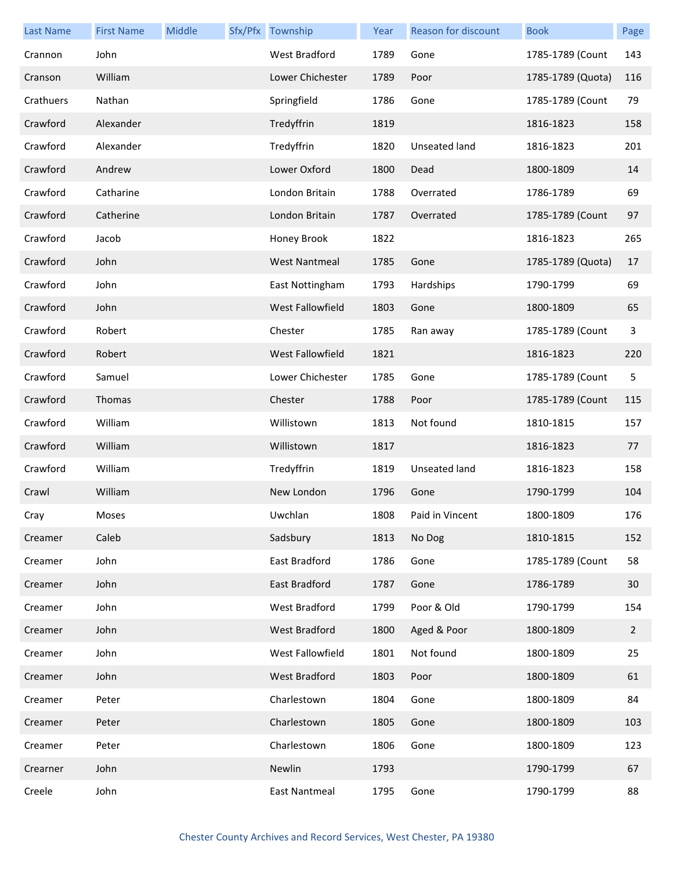| <b>Last Name</b> | <b>First Name</b> | Middle | Sfx/Pfx Township     | Year | Reason for discount | <b>Book</b>       | Page           |
|------------------|-------------------|--------|----------------------|------|---------------------|-------------------|----------------|
| Crannon          | John              |        | West Bradford        | 1789 | Gone                | 1785-1789 (Count  | 143            |
| Cranson          | William           |        | Lower Chichester     | 1789 | Poor                | 1785-1789 (Quota) | 116            |
| Crathuers        | Nathan            |        | Springfield          | 1786 | Gone                | 1785-1789 (Count  | 79             |
| Crawford         | Alexander         |        | Tredyffrin           | 1819 |                     | 1816-1823         | 158            |
| Crawford         | Alexander         |        | Tredyffrin           | 1820 | Unseated land       | 1816-1823         | 201            |
| Crawford         | Andrew            |        | Lower Oxford         | 1800 | Dead                | 1800-1809         | 14             |
| Crawford         | Catharine         |        | London Britain       | 1788 | Overrated           | 1786-1789         | 69             |
| Crawford         | Catherine         |        | London Britain       | 1787 | Overrated           | 1785-1789 (Count  | 97             |
| Crawford         | Jacob             |        | Honey Brook          | 1822 |                     | 1816-1823         | 265            |
| Crawford         | John              |        | <b>West Nantmeal</b> | 1785 | Gone                | 1785-1789 (Quota) | 17             |
| Crawford         | John              |        | East Nottingham      | 1793 | Hardships           | 1790-1799         | 69             |
| Crawford         | John              |        | West Fallowfield     | 1803 | Gone                | 1800-1809         | 65             |
| Crawford         | Robert            |        | Chester              | 1785 | Ran away            | 1785-1789 (Count  | 3              |
| Crawford         | Robert            |        | West Fallowfield     | 1821 |                     | 1816-1823         | 220            |
| Crawford         | Samuel            |        | Lower Chichester     | 1785 | Gone                | 1785-1789 (Count  | 5              |
| Crawford         | Thomas            |        | Chester              | 1788 | Poor                | 1785-1789 (Count  | 115            |
| Crawford         | William           |        | Willistown           | 1813 | Not found           | 1810-1815         | 157            |
| Crawford         | William           |        | Willistown           | 1817 |                     | 1816-1823         | 77             |
| Crawford         | William           |        | Tredyffrin           | 1819 | Unseated land       | 1816-1823         | 158            |
| Crawl            | William           |        | New London           | 1796 | Gone                | 1790-1799         | 104            |
| Cray             | Moses             |        | Uwchlan              | 1808 | Paid in Vincent     | 1800-1809         | 176            |
| Creamer          | Caleb             |        | Sadsbury             | 1813 | No Dog              | 1810-1815         | 152            |
| Creamer          | John              |        | East Bradford        | 1786 | Gone                | 1785-1789 (Count  | 58             |
| Creamer          | John              |        | East Bradford        | 1787 | Gone                | 1786-1789         | 30             |
| Creamer          | John              |        | <b>West Bradford</b> | 1799 | Poor & Old          | 1790-1799         | 154            |
| Creamer          | John              |        | West Bradford        | 1800 | Aged & Poor         | 1800-1809         | $\overline{2}$ |
| Creamer          | John              |        | West Fallowfield     | 1801 | Not found           | 1800-1809         | 25             |
| Creamer          | John              |        | West Bradford        | 1803 | Poor                | 1800-1809         | 61             |
| Creamer          | Peter             |        | Charlestown          | 1804 | Gone                | 1800-1809         | 84             |
| Creamer          | Peter             |        | Charlestown          | 1805 | Gone                | 1800-1809         | 103            |
| Creamer          | Peter             |        | Charlestown          | 1806 | Gone                | 1800-1809         | 123            |
| Crearner         | John              |        | Newlin               | 1793 |                     | 1790-1799         | 67             |
| Creele           | John              |        | <b>East Nantmeal</b> | 1795 | Gone                | 1790-1799         | 88             |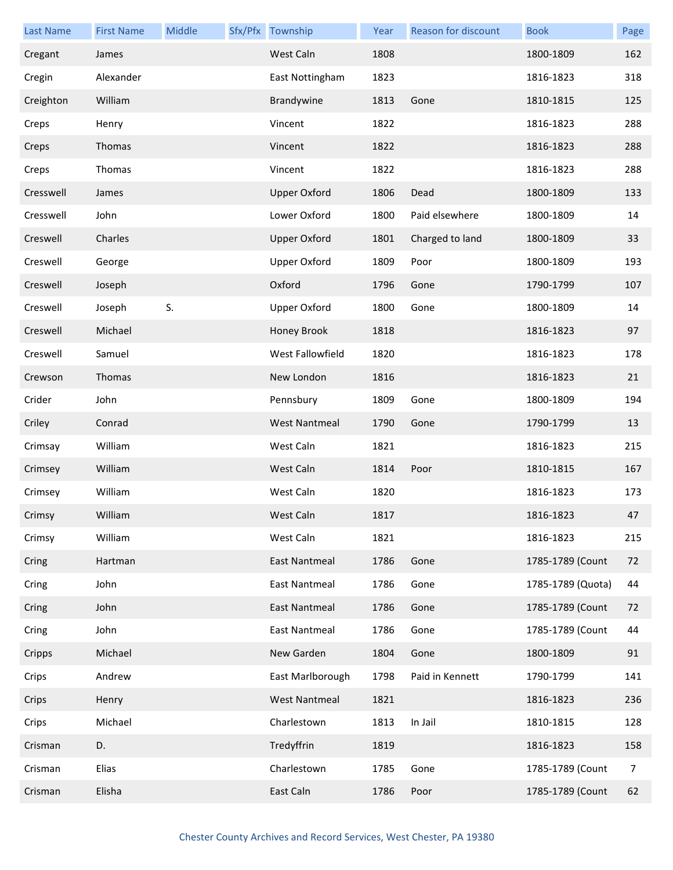| <b>Last Name</b> | <b>First Name</b> | Middle | Sfx/Pfx Township     | Year | Reason for discount | <b>Book</b>       | Page |
|------------------|-------------------|--------|----------------------|------|---------------------|-------------------|------|
| Cregant          | James             |        | West Caln            | 1808 |                     | 1800-1809         | 162  |
| Cregin           | Alexander         |        | East Nottingham      | 1823 |                     | 1816-1823         | 318  |
| Creighton        | William           |        | Brandywine           | 1813 | Gone                | 1810-1815         | 125  |
| Creps            | Henry             |        | Vincent              | 1822 |                     | 1816-1823         | 288  |
| Creps            | Thomas            |        | Vincent              | 1822 |                     | 1816-1823         | 288  |
| Creps            | Thomas            |        | Vincent              | 1822 |                     | 1816-1823         | 288  |
| Cresswell        | James             |        | <b>Upper Oxford</b>  | 1806 | Dead                | 1800-1809         | 133  |
| Cresswell        | John              |        | Lower Oxford         | 1800 | Paid elsewhere      | 1800-1809         | 14   |
| Creswell         | Charles           |        | <b>Upper Oxford</b>  | 1801 | Charged to land     | 1800-1809         | 33   |
| Creswell         | George            |        | <b>Upper Oxford</b>  | 1809 | Poor                | 1800-1809         | 193  |
| Creswell         | Joseph            |        | Oxford               | 1796 | Gone                | 1790-1799         | 107  |
| Creswell         | Joseph            | S.     | <b>Upper Oxford</b>  | 1800 | Gone                | 1800-1809         | 14   |
| Creswell         | Michael           |        | Honey Brook          | 1818 |                     | 1816-1823         | 97   |
| Creswell         | Samuel            |        | West Fallowfield     | 1820 |                     | 1816-1823         | 178  |
| Crewson          | Thomas            |        | New London           | 1816 |                     | 1816-1823         | 21   |
| Crider           | John              |        | Pennsbury            | 1809 | Gone                | 1800-1809         | 194  |
| Criley           | Conrad            |        | <b>West Nantmeal</b> | 1790 | Gone                | 1790-1799         | 13   |
| Crimsay          | William           |        | West Caln            | 1821 |                     | 1816-1823         | 215  |
| Crimsey          | William           |        | West Caln            | 1814 | Poor                | 1810-1815         | 167  |
| Crimsey          | William           |        | West Caln            | 1820 |                     | 1816-1823         | 173  |
| Crimsy           | William           |        | West Caln            | 1817 |                     | 1816-1823         | 47   |
| Crimsy           | William           |        | West Caln            | 1821 |                     | 1816-1823         | 215  |
| Cring            | Hartman           |        | East Nantmeal        | 1786 | Gone                | 1785-1789 (Count  | 72   |
| Cring            | John              |        | <b>East Nantmeal</b> | 1786 | Gone                | 1785-1789 (Quota) | 44   |
| Cring            | John              |        | <b>East Nantmeal</b> | 1786 | Gone                | 1785-1789 (Count  | 72   |
| Cring            | John              |        | <b>East Nantmeal</b> | 1786 | Gone                | 1785-1789 (Count  | 44   |
| Cripps           | Michael           |        | New Garden           | 1804 | Gone                | 1800-1809         | 91   |
| Crips            | Andrew            |        | East Marlborough     | 1798 | Paid in Kennett     | 1790-1799         | 141  |
| Crips            | Henry             |        | <b>West Nantmeal</b> | 1821 |                     | 1816-1823         | 236  |
| Crips            | Michael           |        | Charlestown          | 1813 | In Jail             | 1810-1815         | 128  |
| Crisman          | D.                |        | Tredyffrin           | 1819 |                     | 1816-1823         | 158  |
| Crisman          | Elias             |        | Charlestown          | 1785 | Gone                | 1785-1789 (Count  | 7    |
| Crisman          | Elisha            |        | East Caln            | 1786 | Poor                | 1785-1789 (Count  | 62   |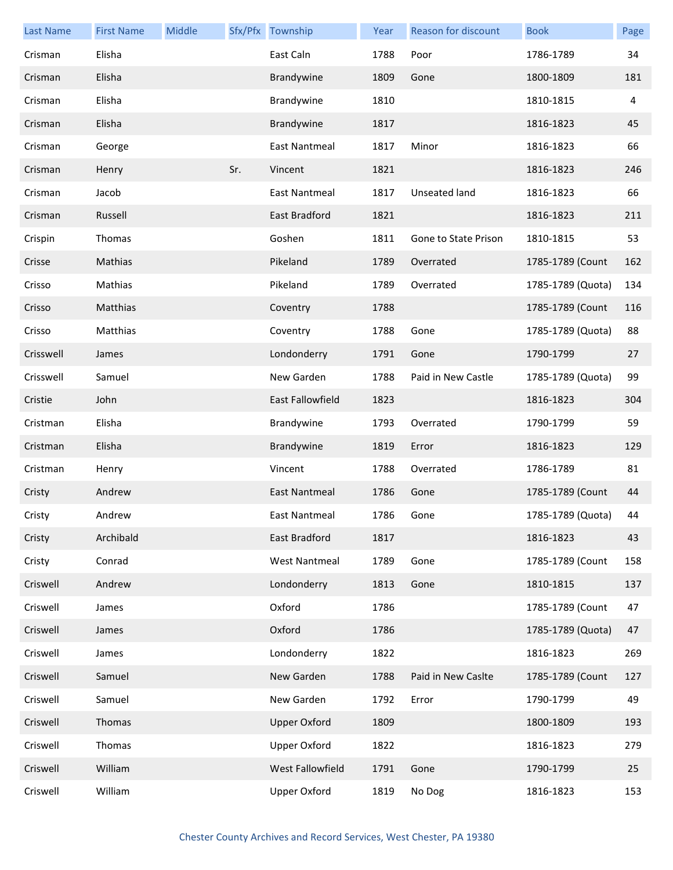| <b>Last Name</b> | <b>First Name</b> | Middle |     | Sfx/Pfx Township        | Year | Reason for discount  | <b>Book</b>       | Page |
|------------------|-------------------|--------|-----|-------------------------|------|----------------------|-------------------|------|
| Crisman          | Elisha            |        |     | East Caln               | 1788 | Poor                 | 1786-1789         | 34   |
| Crisman          | Elisha            |        |     | Brandywine              | 1809 | Gone                 | 1800-1809         | 181  |
| Crisman          | Elisha            |        |     | Brandywine              | 1810 |                      | 1810-1815         | 4    |
| Crisman          | Elisha            |        |     | Brandywine              | 1817 |                      | 1816-1823         | 45   |
| Crisman          | George            |        |     | East Nantmeal           | 1817 | Minor                | 1816-1823         | 66   |
| Crisman          | Henry             |        | Sr. | Vincent                 | 1821 |                      | 1816-1823         | 246  |
| Crisman          | Jacob             |        |     | East Nantmeal           | 1817 | <b>Unseated land</b> | 1816-1823         | 66   |
| Crisman          | Russell           |        |     | East Bradford           | 1821 |                      | 1816-1823         | 211  |
| Crispin          | Thomas            |        |     | Goshen                  | 1811 | Gone to State Prison | 1810-1815         | 53   |
| Crisse           | Mathias           |        |     | Pikeland                | 1789 | Overrated            | 1785-1789 (Count  | 162  |
| Crisso           | Mathias           |        |     | Pikeland                | 1789 | Overrated            | 1785-1789 (Quota) | 134  |
| Crisso           | Matthias          |        |     | Coventry                | 1788 |                      | 1785-1789 (Count  | 116  |
| Crisso           | Matthias          |        |     | Coventry                | 1788 | Gone                 | 1785-1789 (Quota) | 88   |
| Crisswell        | James             |        |     | Londonderry             | 1791 | Gone                 | 1790-1799         | 27   |
| Crisswell        | Samuel            |        |     | New Garden              | 1788 | Paid in New Castle   | 1785-1789 (Quota) | 99   |
| Cristie          | John              |        |     | <b>East Fallowfield</b> | 1823 |                      | 1816-1823         | 304  |
| Cristman         | Elisha            |        |     | Brandywine              | 1793 | Overrated            | 1790-1799         | 59   |
| Cristman         | Elisha            |        |     | Brandywine              | 1819 | Error                | 1816-1823         | 129  |
| Cristman         | Henry             |        |     | Vincent                 | 1788 | Overrated            | 1786-1789         | 81   |
| Cristy           | Andrew            |        |     | East Nantmeal           | 1786 | Gone                 | 1785-1789 (Count  | 44   |
| Cristy           | Andrew            |        |     | East Nantmeal           | 1786 | Gone                 | 1785-1789 (Quota) | 44   |
| Cristy           | Archibald         |        |     | East Bradford           | 1817 |                      | 1816-1823         | 43   |
| Cristy           | Conrad            |        |     | <b>West Nantmeal</b>    | 1789 | Gone                 | 1785-1789 (Count  | 158  |
| Criswell         | Andrew            |        |     | Londonderry             | 1813 | Gone                 | 1810-1815         | 137  |
| Criswell         | James             |        |     | Oxford                  | 1786 |                      | 1785-1789 (Count  | 47   |
| Criswell         | James             |        |     | Oxford                  | 1786 |                      | 1785-1789 (Quota) | 47   |
| Criswell         | James             |        |     | Londonderry             | 1822 |                      | 1816-1823         | 269  |
| Criswell         | Samuel            |        |     | New Garden              | 1788 | Paid in New Caslte   | 1785-1789 (Count  | 127  |
| Criswell         | Samuel            |        |     | New Garden              | 1792 | Error                | 1790-1799         | 49   |
| Criswell         | Thomas            |        |     | <b>Upper Oxford</b>     | 1809 |                      | 1800-1809         | 193  |
| Criswell         | Thomas            |        |     | <b>Upper Oxford</b>     | 1822 |                      | 1816-1823         | 279  |
| Criswell         | William           |        |     | West Fallowfield        | 1791 | Gone                 | 1790-1799         | 25   |
| Criswell         | William           |        |     | <b>Upper Oxford</b>     | 1819 | No Dog               | 1816-1823         | 153  |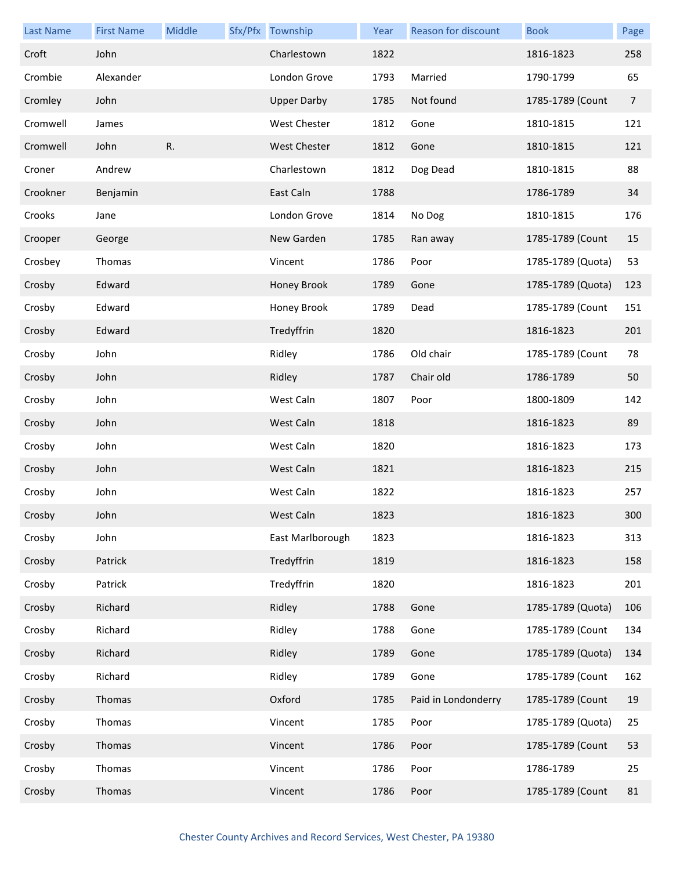| <b>Last Name</b> | <b>First Name</b> | Middle | Sfx/Pfx Township    | Year | Reason for discount | <b>Book</b>       | Page           |
|------------------|-------------------|--------|---------------------|------|---------------------|-------------------|----------------|
| Croft            | John              |        | Charlestown         | 1822 |                     | 1816-1823         | 258            |
| Crombie          | Alexander         |        | London Grove        | 1793 | Married             | 1790-1799         | 65             |
| Cromley          | John              |        | <b>Upper Darby</b>  | 1785 | Not found           | 1785-1789 (Count  | $\overline{7}$ |
| Cromwell         | James             |        | West Chester        | 1812 | Gone                | 1810-1815         | 121            |
| Cromwell         | John              | R.     | <b>West Chester</b> | 1812 | Gone                | 1810-1815         | 121            |
| Croner           | Andrew            |        | Charlestown         | 1812 | Dog Dead            | 1810-1815         | 88             |
| Crookner         | Benjamin          |        | East Caln           | 1788 |                     | 1786-1789         | 34             |
| Crooks           | Jane              |        | London Grove        | 1814 | No Dog              | 1810-1815         | 176            |
| Crooper          | George            |        | New Garden          | 1785 | Ran away            | 1785-1789 (Count  | 15             |
| Crosbey          | Thomas            |        | Vincent             | 1786 | Poor                | 1785-1789 (Quota) | 53             |
| Crosby           | Edward            |        | Honey Brook         | 1789 | Gone                | 1785-1789 (Quota) | 123            |
| Crosby           | Edward            |        | Honey Brook         | 1789 | Dead                | 1785-1789 (Count  | 151            |
| Crosby           | Edward            |        | Tredyffrin          | 1820 |                     | 1816-1823         | 201            |
| Crosby           | John              |        | Ridley              | 1786 | Old chair           | 1785-1789 (Count  | 78             |
| Crosby           | John              |        | Ridley              | 1787 | Chair old           | 1786-1789         | 50             |
| Crosby           | John              |        | West Caln           | 1807 | Poor                | 1800-1809         | 142            |
| Crosby           | John              |        | West Caln           | 1818 |                     | 1816-1823         | 89             |
| Crosby           | John              |        | West Caln           | 1820 |                     | 1816-1823         | 173            |
| Crosby           | John              |        | West Caln           | 1821 |                     | 1816-1823         | 215            |
| Crosby           | John              |        | West Caln           | 1822 |                     | 1816-1823         | 257            |
| Crosby           | John              |        | West Caln           | 1823 |                     | 1816-1823         | 300            |
| Crosby           | John              |        | East Marlborough    | 1823 |                     | 1816-1823         | 313            |
| Crosby           | Patrick           |        | Tredyffrin          | 1819 |                     | 1816-1823         | 158            |
| Crosby           | Patrick           |        | Tredyffrin          | 1820 |                     | 1816-1823         | 201            |
| Crosby           | Richard           |        | Ridley              | 1788 | Gone                | 1785-1789 (Quota) | 106            |
| Crosby           | Richard           |        | Ridley              | 1788 | Gone                | 1785-1789 (Count  | 134            |
| Crosby           | Richard           |        | Ridley              | 1789 | Gone                | 1785-1789 (Quota) | 134            |
| Crosby           | Richard           |        | Ridley              | 1789 | Gone                | 1785-1789 (Count  | 162            |
| Crosby           | Thomas            |        | Oxford              | 1785 | Paid in Londonderry | 1785-1789 (Count  | 19             |
| Crosby           | Thomas            |        | Vincent             | 1785 | Poor                | 1785-1789 (Quota) | 25             |
| Crosby           | Thomas            |        | Vincent             | 1786 | Poor                | 1785-1789 (Count  | 53             |
| Crosby           | Thomas            |        | Vincent             | 1786 | Poor                | 1786-1789         | 25             |
| Crosby           | Thomas            |        | Vincent             | 1786 | Poor                | 1785-1789 (Count  | 81             |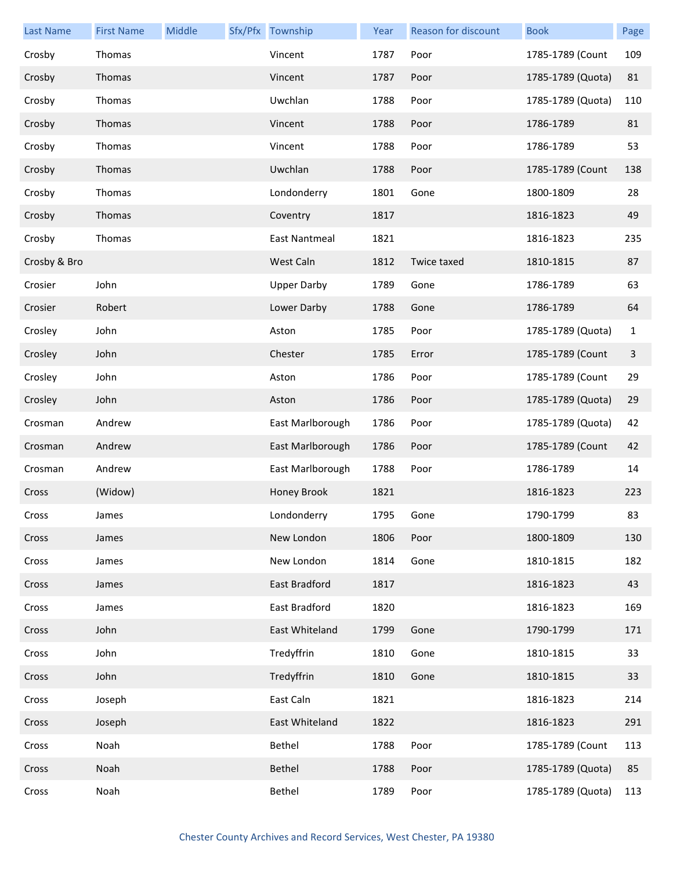| <b>Last Name</b> | <b>First Name</b> | Middle | Sfx/Pfx Township     | Year | <b>Reason for discount</b> | <b>Book</b>       | Page         |
|------------------|-------------------|--------|----------------------|------|----------------------------|-------------------|--------------|
| Crosby           | Thomas            |        | Vincent              | 1787 | Poor                       | 1785-1789 (Count  | 109          |
| Crosby           | Thomas            |        | Vincent              | 1787 | Poor                       | 1785-1789 (Quota) | 81           |
| Crosby           | Thomas            |        | Uwchlan              | 1788 | Poor                       | 1785-1789 (Quota) | 110          |
| Crosby           | Thomas            |        | Vincent              | 1788 | Poor                       | 1786-1789         | 81           |
| Crosby           | Thomas            |        | Vincent              | 1788 | Poor                       | 1786-1789         | 53           |
| Crosby           | Thomas            |        | Uwchlan              | 1788 | Poor                       | 1785-1789 (Count  | 138          |
| Crosby           | Thomas            |        | Londonderry          | 1801 | Gone                       | 1800-1809         | 28           |
| Crosby           | Thomas            |        | Coventry             | 1817 |                            | 1816-1823         | 49           |
| Crosby           | Thomas            |        | <b>East Nantmeal</b> | 1821 |                            | 1816-1823         | 235          |
| Crosby & Bro     |                   |        | West Caln            | 1812 | Twice taxed                | 1810-1815         | 87           |
| Crosier          | John              |        | <b>Upper Darby</b>   | 1789 | Gone                       | 1786-1789         | 63           |
| Crosier          | Robert            |        | Lower Darby          | 1788 | Gone                       | 1786-1789         | 64           |
| Crosley          | John              |        | Aston                | 1785 | Poor                       | 1785-1789 (Quota) | $\mathbf{1}$ |
| Crosley          | John              |        | Chester              | 1785 | Error                      | 1785-1789 (Count  | 3            |
| Crosley          | John              |        | Aston                | 1786 | Poor                       | 1785-1789 (Count  | 29           |
| Crosley          | John              |        | Aston                | 1786 | Poor                       | 1785-1789 (Quota) | 29           |
| Crosman          | Andrew            |        | East Marlborough     | 1786 | Poor                       | 1785-1789 (Quota) | 42           |
| Crosman          | Andrew            |        | East Marlborough     | 1786 | Poor                       | 1785-1789 (Count  | 42           |
| Crosman          | Andrew            |        | East Marlborough     | 1788 | Poor                       | 1786-1789         | 14           |
| Cross            | (Widow)           |        | Honey Brook          | 1821 |                            | 1816-1823         | 223          |
| Cross            | James             |        | Londonderry          | 1795 | Gone                       | 1790-1799         | 83           |
| Cross            | James             |        | New London           | 1806 | Poor                       | 1800-1809         | 130          |
| Cross            | James             |        | New London           | 1814 | Gone                       | 1810-1815         | 182          |
| Cross            | James             |        | East Bradford        | 1817 |                            | 1816-1823         | 43           |
| Cross            | James             |        | East Bradford        | 1820 |                            | 1816-1823         | 169          |
| Cross            | John              |        | East Whiteland       | 1799 | Gone                       | 1790-1799         | 171          |
| Cross            | John              |        | Tredyffrin           | 1810 | Gone                       | 1810-1815         | 33           |
| Cross            | John              |        | Tredyffrin           | 1810 | Gone                       | 1810-1815         | 33           |
| Cross            | Joseph            |        | East Caln            | 1821 |                            | 1816-1823         | 214          |
| Cross            | Joseph            |        | East Whiteland       | 1822 |                            | 1816-1823         | 291          |
| Cross            | Noah              |        | Bethel               | 1788 | Poor                       | 1785-1789 (Count  | 113          |
| Cross            | Noah              |        | Bethel               | 1788 | Poor                       | 1785-1789 (Quota) | 85           |
| Cross            | Noah              |        | Bethel               | 1789 | Poor                       | 1785-1789 (Quota) | 113          |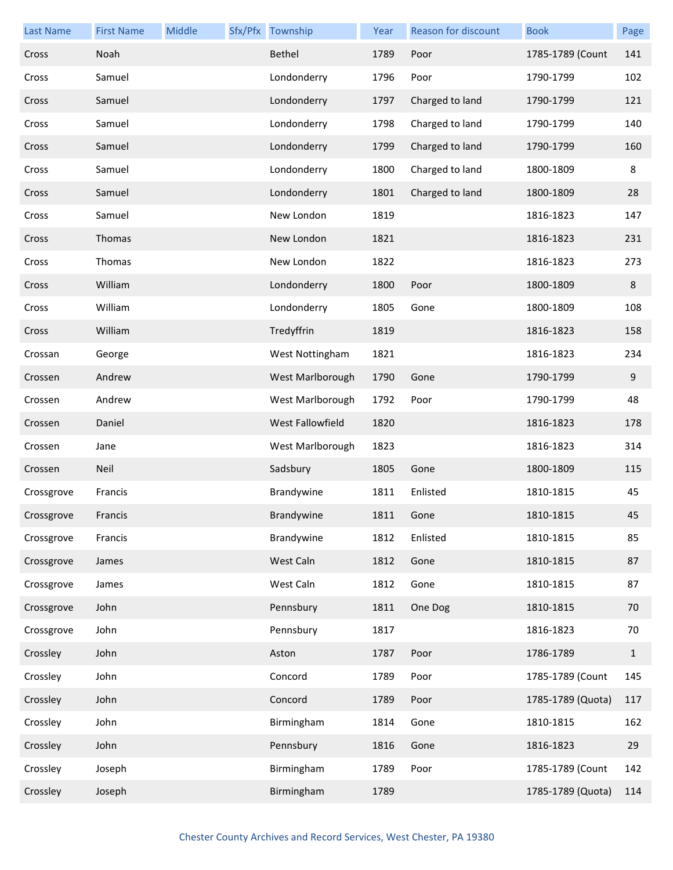| <b>Last Name</b> | <b>First Name</b> | Middle | Sfx/Pfx Township | Year | Reason for discount | <b>Book</b>       | Page         |
|------------------|-------------------|--------|------------------|------|---------------------|-------------------|--------------|
| Cross            | Noah              |        | Bethel           | 1789 | Poor                | 1785-1789 (Count  | 141          |
| Cross            | Samuel            |        | Londonderry      | 1796 | Poor                | 1790-1799         | 102          |
| Cross            | Samuel            |        | Londonderry      | 1797 | Charged to land     | 1790-1799         | 121          |
| Cross            | Samuel            |        | Londonderry      | 1798 | Charged to land     | 1790-1799         | 140          |
| Cross            | Samuel            |        | Londonderry      | 1799 | Charged to land     | 1790-1799         | 160          |
| Cross            | Samuel            |        | Londonderry      | 1800 | Charged to land     | 1800-1809         | 8            |
| Cross            | Samuel            |        | Londonderry      | 1801 | Charged to land     | 1800-1809         | 28           |
| Cross            | Samuel            |        | New London       | 1819 |                     | 1816-1823         | 147          |
| Cross            | Thomas            |        | New London       | 1821 |                     | 1816-1823         | 231          |
| Cross            | Thomas            |        | New London       | 1822 |                     | 1816-1823         | 273          |
| Cross            | William           |        | Londonderry      | 1800 | Poor                | 1800-1809         | 8            |
| Cross            | William           |        | Londonderry      | 1805 | Gone                | 1800-1809         | 108          |
| Cross            | William           |        | Tredyffrin       | 1819 |                     | 1816-1823         | 158          |
| Crossan          | George            |        | West Nottingham  | 1821 |                     | 1816-1823         | 234          |
| Crossen          | Andrew            |        | West Marlborough | 1790 | Gone                | 1790-1799         | 9            |
| Crossen          | Andrew            |        | West Marlborough | 1792 | Poor                | 1790-1799         | 48           |
| Crossen          | Daniel            |        | West Fallowfield | 1820 |                     | 1816-1823         | 178          |
| Crossen          | Jane              |        | West Marlborough | 1823 |                     | 1816-1823         | 314          |
| Crossen          | Neil              |        | Sadsbury         | 1805 | Gone                | 1800-1809         | 115          |
| Crossgrove       | Francis           |        | Brandywine       | 1811 | Enlisted            | 1810-1815         | 45           |
| Crossgrove       | Francis           |        | Brandywine       | 1811 | Gone                | 1810-1815         | 45           |
| Crossgrove       | Francis           |        | Brandywine       | 1812 | Enlisted            | 1810-1815         | 85           |
| Crossgrove       | James             |        | West Caln        | 1812 | Gone                | 1810-1815         | 87           |
| Crossgrove       | James             |        | West Caln        | 1812 | Gone                | 1810-1815         | 87           |
| Crossgrove       | John              |        | Pennsbury        | 1811 | One Dog             | 1810-1815         | 70           |
| Crossgrove       | John              |        | Pennsbury        | 1817 |                     | 1816-1823         | 70           |
| Crossley         | John              |        | Aston            | 1787 | Poor                | 1786-1789         | $\mathbf{1}$ |
| Crossley         | John              |        | Concord          | 1789 | Poor                | 1785-1789 (Count  | 145          |
| Crossley         | John              |        | Concord          | 1789 | Poor                | 1785-1789 (Quota) | 117          |
| Crossley         | John              |        | Birmingham       | 1814 | Gone                | 1810-1815         | 162          |
| Crossley         | John              |        | Pennsbury        | 1816 | Gone                | 1816-1823         | 29           |
| Crossley         | Joseph            |        | Birmingham       | 1789 | Poor                | 1785-1789 (Count  | 142          |
| Crossley         | Joseph            |        | Birmingham       | 1789 |                     | 1785-1789 (Quota) | 114          |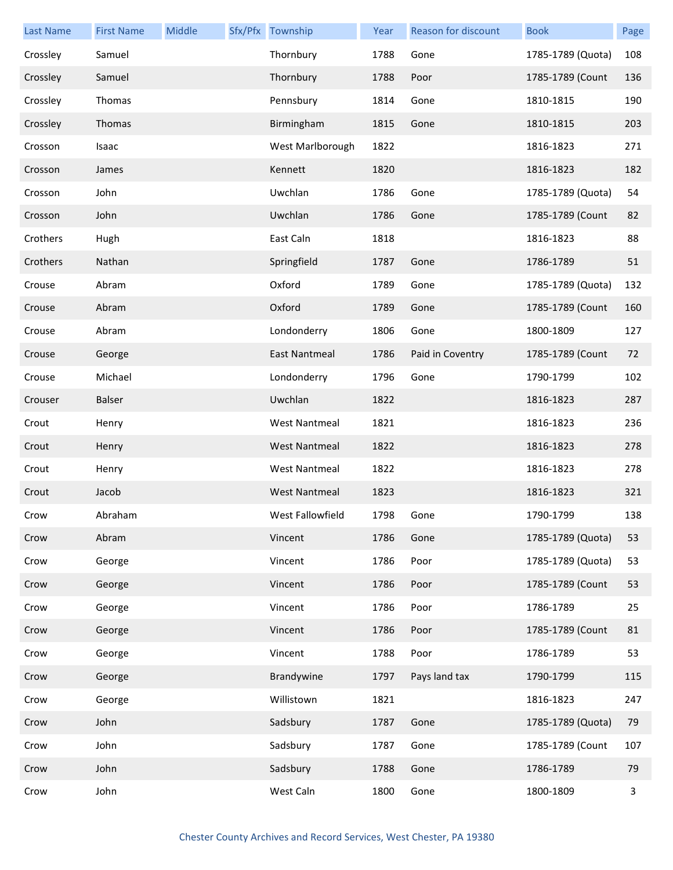| <b>Last Name</b> | <b>First Name</b> | Middle | Sfx/Pfx Township     | Year | Reason for discount | <b>Book</b>       | Page |
|------------------|-------------------|--------|----------------------|------|---------------------|-------------------|------|
| Crossley         | Samuel            |        | Thornbury            | 1788 | Gone                | 1785-1789 (Quota) | 108  |
| Crossley         | Samuel            |        | Thornbury            | 1788 | Poor                | 1785-1789 (Count  | 136  |
| Crossley         | Thomas            |        | Pennsbury            | 1814 | Gone                | 1810-1815         | 190  |
| Crossley         | Thomas            |        | Birmingham           | 1815 | Gone                | 1810-1815         | 203  |
| Crosson          | Isaac             |        | West Marlborough     | 1822 |                     | 1816-1823         | 271  |
| Crosson          | James             |        | Kennett              | 1820 |                     | 1816-1823         | 182  |
| Crosson          | John              |        | Uwchlan              | 1786 | Gone                | 1785-1789 (Quota) | 54   |
| Crosson          | John              |        | Uwchlan              | 1786 | Gone                | 1785-1789 (Count  | 82   |
| Crothers         | Hugh              |        | East Caln            | 1818 |                     | 1816-1823         | 88   |
| Crothers         | Nathan            |        | Springfield          | 1787 | Gone                | 1786-1789         | 51   |
| Crouse           | Abram             |        | Oxford               | 1789 | Gone                | 1785-1789 (Quota) | 132  |
| Crouse           | Abram             |        | Oxford               | 1789 | Gone                | 1785-1789 (Count  | 160  |
| Crouse           | Abram             |        | Londonderry          | 1806 | Gone                | 1800-1809         | 127  |
| Crouse           | George            |        | East Nantmeal        | 1786 | Paid in Coventry    | 1785-1789 (Count  | 72   |
| Crouse           | Michael           |        | Londonderry          | 1796 | Gone                | 1790-1799         | 102  |
| Crouser          | <b>Balser</b>     |        | Uwchlan              | 1822 |                     | 1816-1823         | 287  |
| Crout            | Henry             |        | <b>West Nantmeal</b> | 1821 |                     | 1816-1823         | 236  |
| Crout            | Henry             |        | <b>West Nantmeal</b> | 1822 |                     | 1816-1823         | 278  |
| Crout            | Henry             |        | <b>West Nantmeal</b> | 1822 |                     | 1816-1823         | 278  |
| Crout            | Jacob             |        | <b>West Nantmeal</b> | 1823 |                     | 1816-1823         | 321  |
| Crow             | Abraham           |        | West Fallowfield     | 1798 | Gone                | 1790-1799         | 138  |
| Crow             | Abram             |        | Vincent              | 1786 | Gone                | 1785-1789 (Quota) | 53   |
| Crow             | George            |        | Vincent              | 1786 | Poor                | 1785-1789 (Quota) | 53   |
| Crow             | George            |        | Vincent              | 1786 | Poor                | 1785-1789 (Count  | 53   |
| Crow             | George            |        | Vincent              | 1786 | Poor                | 1786-1789         | 25   |
| Crow             | George            |        | Vincent              | 1786 | Poor                | 1785-1789 (Count  | 81   |
| Crow             | George            |        | Vincent              | 1788 | Poor                | 1786-1789         | 53   |
| Crow             | George            |        | Brandywine           | 1797 | Pays land tax       | 1790-1799         | 115  |
| Crow             | George            |        | Willistown           | 1821 |                     | 1816-1823         | 247  |
| Crow             | John              |        | Sadsbury             | 1787 | Gone                | 1785-1789 (Quota) | 79   |
| Crow             | John              |        | Sadsbury             | 1787 | Gone                | 1785-1789 (Count  | 107  |
| Crow             | John              |        | Sadsbury             | 1788 | Gone                | 1786-1789         | 79   |
| Crow             | John              |        | West Caln            | 1800 | Gone                | 1800-1809         | 3    |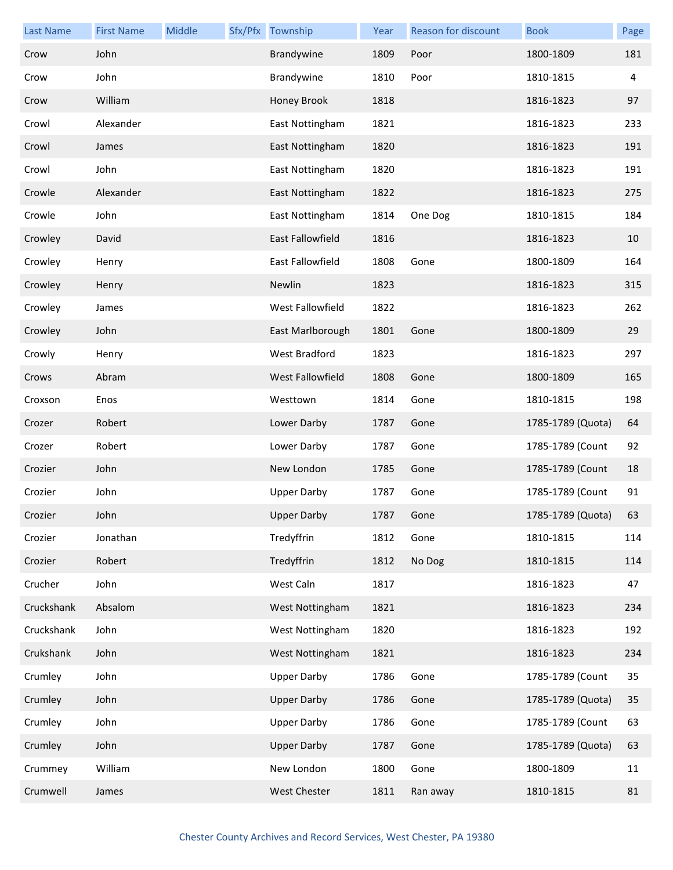| <b>Last Name</b> | <b>First Name</b> | Middle | Sfx/Pfx Township   | Year | <b>Reason for discount</b> | <b>Book</b>       | Page |
|------------------|-------------------|--------|--------------------|------|----------------------------|-------------------|------|
| Crow             | John              |        | Brandywine         | 1809 | Poor                       | 1800-1809         | 181  |
| Crow             | John              |        | Brandywine         | 1810 | Poor                       | 1810-1815         | 4    |
| Crow             | William           |        | Honey Brook        | 1818 |                            | 1816-1823         | 97   |
| Crowl            | Alexander         |        | East Nottingham    | 1821 |                            | 1816-1823         | 233  |
| Crowl            | James             |        | East Nottingham    | 1820 |                            | 1816-1823         | 191  |
| Crowl            | John              |        | East Nottingham    | 1820 |                            | 1816-1823         | 191  |
| Crowle           | Alexander         |        | East Nottingham    | 1822 |                            | 1816-1823         | 275  |
| Crowle           | John              |        | East Nottingham    | 1814 | One Dog                    | 1810-1815         | 184  |
| Crowley          | David             |        | East Fallowfield   | 1816 |                            | 1816-1823         | 10   |
| Crowley          | Henry             |        | East Fallowfield   | 1808 | Gone                       | 1800-1809         | 164  |
| Crowley          | Henry             |        | Newlin             | 1823 |                            | 1816-1823         | 315  |
| Crowley          | James             |        | West Fallowfield   | 1822 |                            | 1816-1823         | 262  |
| Crowley          | John              |        | East Marlborough   | 1801 | Gone                       | 1800-1809         | 29   |
| Crowly           | Henry             |        | West Bradford      | 1823 |                            | 1816-1823         | 297  |
| Crows            | Abram             |        | West Fallowfield   | 1808 | Gone                       | 1800-1809         | 165  |
| Croxson          | Enos              |        | Westtown           | 1814 | Gone                       | 1810-1815         | 198  |
| Crozer           | Robert            |        | Lower Darby        | 1787 | Gone                       | 1785-1789 (Quota) | 64   |
| Crozer           | Robert            |        | Lower Darby        | 1787 | Gone                       | 1785-1789 (Count  | 92   |
| Crozier          | John              |        | New London         | 1785 | Gone                       | 1785-1789 (Count  | 18   |
| Crozier          | John              |        | <b>Upper Darby</b> | 1787 | Gone                       | 1785-1789 (Count  | 91   |
| Crozier          | John              |        | <b>Upper Darby</b> | 1787 | Gone                       | 1785-1789 (Quota) | 63   |
| Crozier          | Jonathan          |        | Tredyffrin         | 1812 | Gone                       | 1810-1815         | 114  |
| Crozier          | Robert            |        | Tredyffrin         | 1812 | No Dog                     | 1810-1815         | 114  |
| Crucher          | John              |        | West Caln          | 1817 |                            | 1816-1823         | 47   |
| Cruckshank       | Absalom           |        | West Nottingham    | 1821 |                            | 1816-1823         | 234  |
| Cruckshank       | John              |        | West Nottingham    | 1820 |                            | 1816-1823         | 192  |
| Crukshank        | John              |        | West Nottingham    | 1821 |                            | 1816-1823         | 234  |
| Crumley          | John              |        | <b>Upper Darby</b> | 1786 | Gone                       | 1785-1789 (Count  | 35   |
| Crumley          | John              |        | <b>Upper Darby</b> | 1786 | Gone                       | 1785-1789 (Quota) | 35   |
| Crumley          | John              |        | <b>Upper Darby</b> | 1786 | Gone                       | 1785-1789 (Count  | 63   |
| Crumley          | John              |        | <b>Upper Darby</b> | 1787 | Gone                       | 1785-1789 (Quota) | 63   |
| Crummey          | William           |        | New London         | 1800 | Gone                       | 1800-1809         | 11   |
| Crumwell         | James             |        | West Chester       | 1811 | Ran away                   | 1810-1815         | 81   |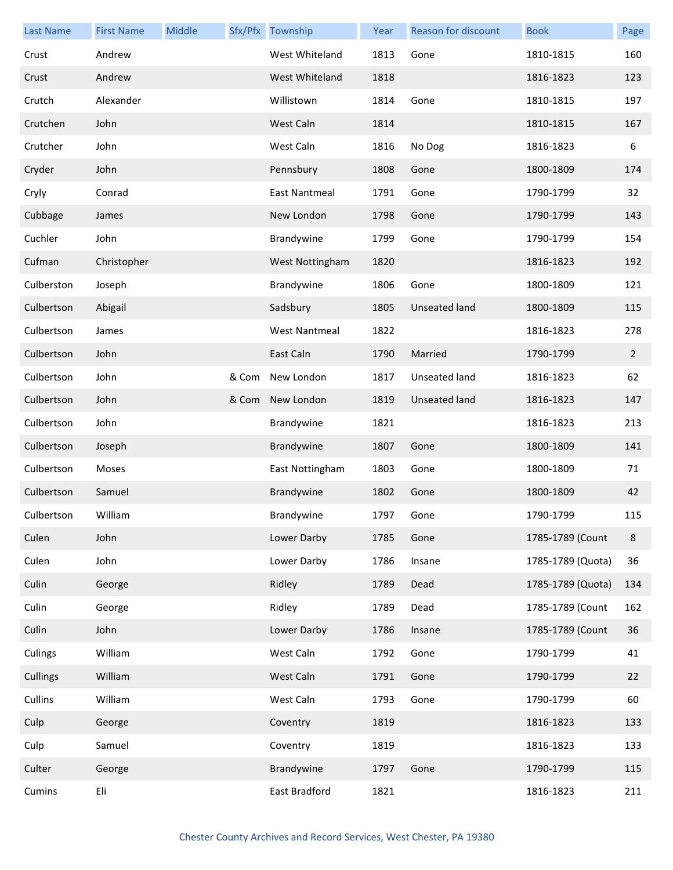| <b>Last Name</b> | <b>First Name</b> | Middle |       | Sfx/Pfx Township     | Year | Reason for discount  | <b>Book</b>       | Page           |
|------------------|-------------------|--------|-------|----------------------|------|----------------------|-------------------|----------------|
| Crust            | Andrew            |        |       | West Whiteland       | 1813 | Gone                 | 1810-1815         | 160            |
| Crust            | Andrew            |        |       | West Whiteland       | 1818 |                      | 1816-1823         | 123            |
| Crutch           | Alexander         |        |       | Willistown           | 1814 | Gone                 | 1810-1815         | 197            |
| Crutchen         | John              |        |       | West Caln            | 1814 |                      | 1810-1815         | 167            |
| Crutcher         | John              |        |       | West Caln            | 1816 | No Dog               | 1816-1823         | 6              |
| Cryder           | John              |        |       | Pennsbury            | 1808 | Gone                 | 1800-1809         | 174            |
| Cryly            | Conrad            |        |       | East Nantmeal        | 1791 | Gone                 | 1790-1799         | 32             |
| Cubbage          | James             |        |       | New London           | 1798 | Gone                 | 1790-1799         | 143            |
| Cuchler          | John              |        |       | Brandywine           | 1799 | Gone                 | 1790-1799         | 154            |
| Cufman           | Christopher       |        |       | West Nottingham      | 1820 |                      | 1816-1823         | 192            |
| Culberston       | Joseph            |        |       | Brandywine           | 1806 | Gone                 | 1800-1809         | 121            |
| Culbertson       | Abigail           |        |       | Sadsbury             | 1805 | <b>Unseated land</b> | 1800-1809         | 115            |
| Culbertson       | James             |        |       | <b>West Nantmeal</b> | 1822 |                      | 1816-1823         | 278            |
| Culbertson       | John              |        |       | East Caln            | 1790 | Married              | 1790-1799         | $\overline{2}$ |
| Culbertson       | John              |        | & Com | New London           | 1817 | <b>Unseated land</b> | 1816-1823         | 62             |
| Culbertson       | John              |        | & Com | New London           | 1819 | Unseated land        | 1816-1823         | 147            |
| Culbertson       | John              |        |       | Brandywine           | 1821 |                      | 1816-1823         | 213            |
| Culbertson       | Joseph            |        |       | Brandywine           | 1807 | Gone                 | 1800-1809         | 141            |
| Culbertson       | Moses             |        |       | East Nottingham      | 1803 | Gone                 | 1800-1809         | 71             |
| Culbertson       | Samuel            |        |       | Brandywine           | 1802 | Gone                 | 1800-1809         | 42             |
| Culbertson       | William           |        |       | Brandywine           | 1797 | Gone                 | 1790-1799         | 115            |
| Culen            | John              |        |       | Lower Darby          | 1785 | Gone                 | 1785-1789 (Count  | 8              |
| Culen            | John              |        |       | Lower Darby          | 1786 | Insane               | 1785-1789 (Quota) | 36             |
| Culin            | George            |        |       | Ridley               | 1789 | Dead                 | 1785-1789 (Quota) | 134            |
| Culin            | George            |        |       | Ridley               | 1789 | Dead                 | 1785-1789 (Count  | 162            |
| Culin            | John              |        |       | Lower Darby          | 1786 | Insane               | 1785-1789 (Count  | 36             |
| Culings          | William           |        |       | West Caln            | 1792 | Gone                 | 1790-1799         | 41             |
| Cullings         | William           |        |       | West Caln            | 1791 | Gone                 | 1790-1799         | 22             |
| Cullins          | William           |        |       | West Caln            | 1793 | Gone                 | 1790-1799         | 60             |
| Culp             | George            |        |       | Coventry             | 1819 |                      | 1816-1823         | 133            |
| Culp             | Samuel            |        |       | Coventry             | 1819 |                      | 1816-1823         | 133            |
| Culter           | George            |        |       | Brandywine           | 1797 | Gone                 | 1790-1799         | 115            |
| Cumins           | Eli               |        |       | East Bradford        | 1821 |                      | 1816-1823         | 211            |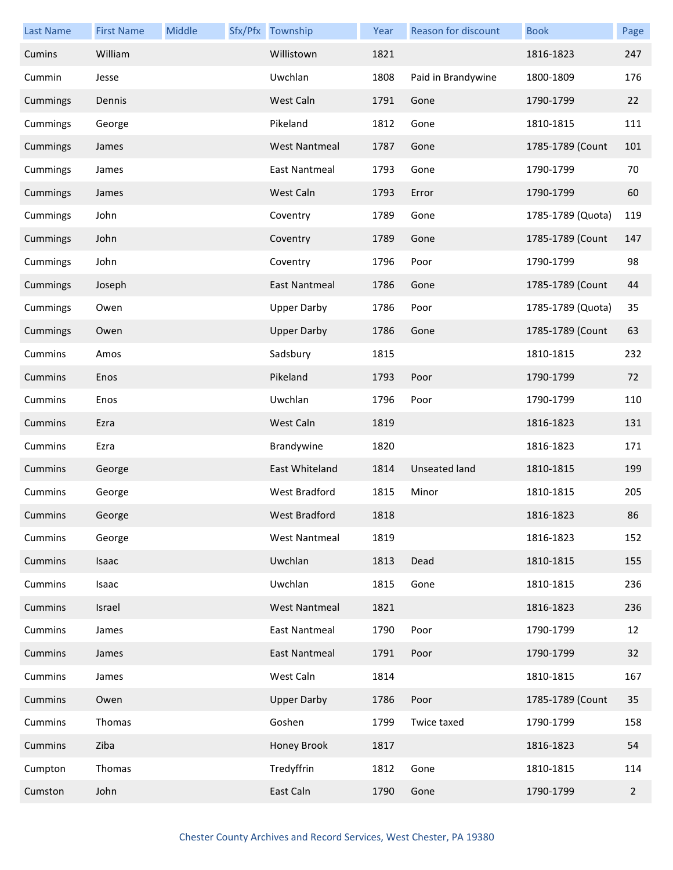| <b>Last Name</b> | <b>First Name</b> | Middle | Sfx/Pfx Township     | Year | Reason for discount  | <b>Book</b>       | Page           |
|------------------|-------------------|--------|----------------------|------|----------------------|-------------------|----------------|
| Cumins           | William           |        | Willistown           | 1821 |                      | 1816-1823         | 247            |
| Cummin           | Jesse             |        | Uwchlan              | 1808 | Paid in Brandywine   | 1800-1809         | 176            |
| Cummings         | Dennis            |        | West Caln            | 1791 | Gone                 | 1790-1799         | 22             |
| Cummings         | George            |        | Pikeland             | 1812 | Gone                 | 1810-1815         | 111            |
| Cummings         | James             |        | <b>West Nantmeal</b> | 1787 | Gone                 | 1785-1789 (Count  | 101            |
| Cummings         | James             |        | East Nantmeal        | 1793 | Gone                 | 1790-1799         | 70             |
| Cummings         | James             |        | West Caln            | 1793 | Error                | 1790-1799         | 60             |
| Cummings         | John              |        | Coventry             | 1789 | Gone                 | 1785-1789 (Quota) | 119            |
| Cummings         | John              |        | Coventry             | 1789 | Gone                 | 1785-1789 (Count  | 147            |
| Cummings         | John              |        | Coventry             | 1796 | Poor                 | 1790-1799         | 98             |
| Cummings         | Joseph            |        | <b>East Nantmeal</b> | 1786 | Gone                 | 1785-1789 (Count  | 44             |
| Cummings         | Owen              |        | <b>Upper Darby</b>   | 1786 | Poor                 | 1785-1789 (Quota) | 35             |
| Cummings         | Owen              |        | <b>Upper Darby</b>   | 1786 | Gone                 | 1785-1789 (Count  | 63             |
| Cummins          | Amos              |        | Sadsbury             | 1815 |                      | 1810-1815         | 232            |
| Cummins          | Enos              |        | Pikeland             | 1793 | Poor                 | 1790-1799         | 72             |
| Cummins          | Enos              |        | Uwchlan              | 1796 | Poor                 | 1790-1799         | 110            |
| Cummins          | Ezra              |        | West Caln            | 1819 |                      | 1816-1823         | 131            |
| Cummins          | Ezra              |        | Brandywine           | 1820 |                      | 1816-1823         | 171            |
| Cummins          | George            |        | East Whiteland       | 1814 | <b>Unseated land</b> | 1810-1815         | 199            |
| Cummins          | George            |        | West Bradford        | 1815 | Minor                | 1810-1815         | 205            |
| Cummins          | George            |        | West Bradford        | 1818 |                      | 1816-1823         | 86             |
| Cummins          | George            |        | <b>West Nantmeal</b> | 1819 |                      | 1816-1823         | 152            |
| Cummins          | Isaac             |        | Uwchlan              | 1813 | Dead                 | 1810-1815         | 155            |
| Cummins          | Isaac             |        | Uwchlan              | 1815 | Gone                 | 1810-1815         | 236            |
| Cummins          | Israel            |        | <b>West Nantmeal</b> | 1821 |                      | 1816-1823         | 236            |
| Cummins          | James             |        | <b>East Nantmeal</b> | 1790 | Poor                 | 1790-1799         | 12             |
| Cummins          | James             |        | East Nantmeal        | 1791 | Poor                 | 1790-1799         | 32             |
| Cummins          | James             |        | West Caln            | 1814 |                      | 1810-1815         | 167            |
| Cummins          | Owen              |        | <b>Upper Darby</b>   | 1786 | Poor                 | 1785-1789 (Count  | 35             |
| Cummins          | Thomas            |        | Goshen               | 1799 | Twice taxed          | 1790-1799         | 158            |
| Cummins          | Ziba              |        | Honey Brook          | 1817 |                      | 1816-1823         | 54             |
| Cumpton          | Thomas            |        | Tredyffrin           | 1812 | Gone                 | 1810-1815         | 114            |
| Cumston          | John              |        | East Caln            | 1790 | Gone                 | 1790-1799         | $\overline{2}$ |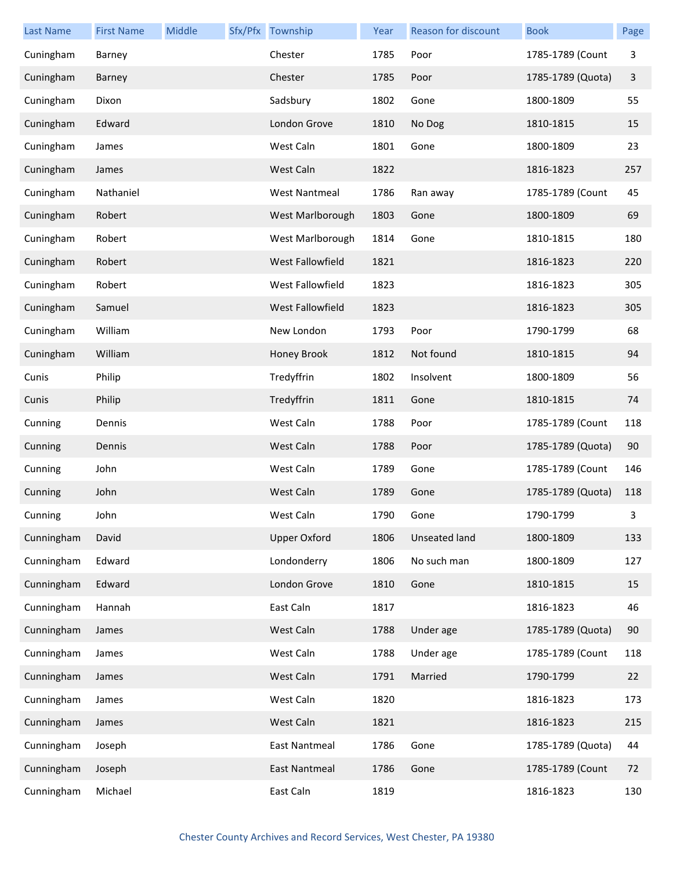| <b>Last Name</b> | <b>First Name</b> | Middle | Sfx/Pfx Township     | Year | <b>Reason for discount</b> | <b>Book</b>       | Page |
|------------------|-------------------|--------|----------------------|------|----------------------------|-------------------|------|
| Cuningham        | Barney            |        | Chester              | 1785 | Poor                       | 1785-1789 (Count  | 3    |
| Cuningham        | Barney            |        | Chester              | 1785 | Poor                       | 1785-1789 (Quota) | 3    |
| Cuningham        | Dixon             |        | Sadsbury             | 1802 | Gone                       | 1800-1809         | 55   |
| Cuningham        | Edward            |        | London Grove         | 1810 | No Dog                     | 1810-1815         | 15   |
| Cuningham        | James             |        | West Caln            | 1801 | Gone                       | 1800-1809         | 23   |
| Cuningham        | James             |        | West Caln            | 1822 |                            | 1816-1823         | 257  |
| Cuningham        | Nathaniel         |        | <b>West Nantmeal</b> | 1786 | Ran away                   | 1785-1789 (Count  | 45   |
| Cuningham        | Robert            |        | West Marlborough     | 1803 | Gone                       | 1800-1809         | 69   |
| Cuningham        | Robert            |        | West Marlborough     | 1814 | Gone                       | 1810-1815         | 180  |
| Cuningham        | Robert            |        | West Fallowfield     | 1821 |                            | 1816-1823         | 220  |
| Cuningham        | Robert            |        | West Fallowfield     | 1823 |                            | 1816-1823         | 305  |
| Cuningham        | Samuel            |        | West Fallowfield     | 1823 |                            | 1816-1823         | 305  |
| Cuningham        | William           |        | New London           | 1793 | Poor                       | 1790-1799         | 68   |
| Cuningham        | William           |        | Honey Brook          | 1812 | Not found                  | 1810-1815         | 94   |
| Cunis            | Philip            |        | Tredyffrin           | 1802 | Insolvent                  | 1800-1809         | 56   |
| Cunis            | Philip            |        | Tredyffrin           | 1811 | Gone                       | 1810-1815         | 74   |
| Cunning          | Dennis            |        | West Caln            | 1788 | Poor                       | 1785-1789 (Count  | 118  |
| Cunning          | Dennis            |        | West Caln            | 1788 | Poor                       | 1785-1789 (Quota) | 90   |
| Cunning          | John              |        | West Caln            | 1789 | Gone                       | 1785-1789 (Count  | 146  |
| Cunning          | John              |        | West Caln            | 1789 | Gone                       | 1785-1789 (Quota) | 118  |
| Cunning          | John              |        | West Caln            | 1790 | Gone                       | 1790-1799         | 3    |
| Cunningham       | David             |        | <b>Upper Oxford</b>  | 1806 | Unseated land              | 1800-1809         | 133  |
| Cunningham       | Edward            |        | Londonderry          | 1806 | No such man                | 1800-1809         | 127  |
| Cunningham       | Edward            |        | London Grove         | 1810 | Gone                       | 1810-1815         | 15   |
| Cunningham       | Hannah            |        | East Caln            | 1817 |                            | 1816-1823         | 46   |
| Cunningham       | James             |        | West Caln            | 1788 | Under age                  | 1785-1789 (Quota) | 90   |
| Cunningham       | James             |        | West Caln            | 1788 | Under age                  | 1785-1789 (Count  | 118  |
| Cunningham       | James             |        | West Caln            | 1791 | Married                    | 1790-1799         | 22   |
| Cunningham       | James             |        | West Caln            | 1820 |                            | 1816-1823         | 173  |
| Cunningham       | James             |        | West Caln            | 1821 |                            | 1816-1823         | 215  |
| Cunningham       | Joseph            |        | East Nantmeal        | 1786 | Gone                       | 1785-1789 (Quota) | 44   |
| Cunningham       | Joseph            |        | <b>East Nantmeal</b> | 1786 | Gone                       | 1785-1789 (Count  | 72   |
| Cunningham       | Michael           |        | East Caln            | 1819 |                            | 1816-1823         | 130  |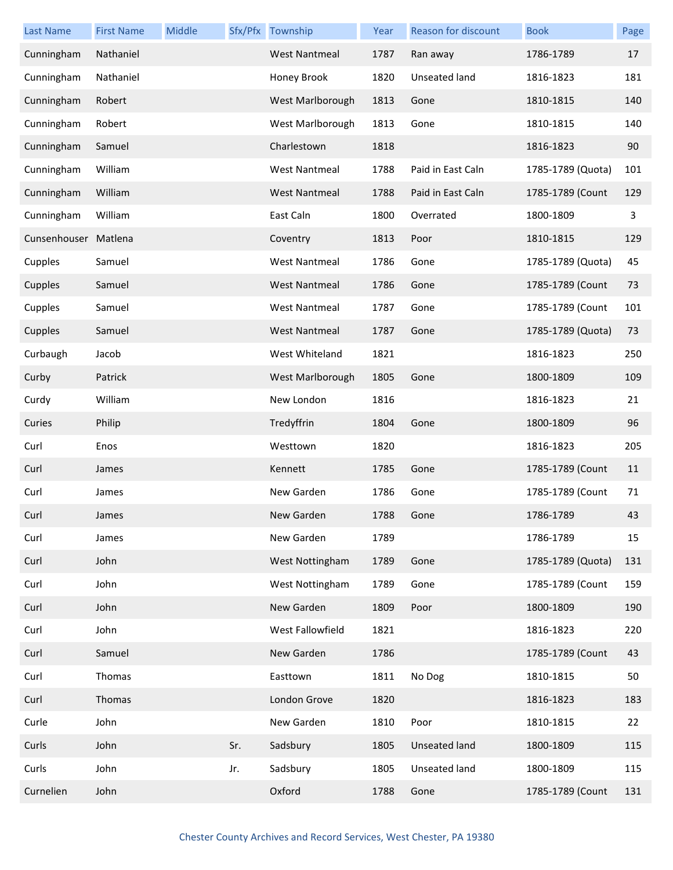| <b>Last Name</b> | <b>First Name</b> | Middle |     | Sfx/Pfx Township     | Year | <b>Reason for discount</b> | <b>Book</b>       | Page |
|------------------|-------------------|--------|-----|----------------------|------|----------------------------|-------------------|------|
| Cunningham       | Nathaniel         |        |     | <b>West Nantmeal</b> | 1787 | Ran away                   | 1786-1789         | 17   |
| Cunningham       | Nathaniel         |        |     | Honey Brook          | 1820 | Unseated land              | 1816-1823         | 181  |
| Cunningham       | Robert            |        |     | West Marlborough     | 1813 | Gone                       | 1810-1815         | 140  |
| Cunningham       | Robert            |        |     | West Marlborough     | 1813 | Gone                       | 1810-1815         | 140  |
| Cunningham       | Samuel            |        |     | Charlestown          | 1818 |                            | 1816-1823         | 90   |
| Cunningham       | William           |        |     | <b>West Nantmeal</b> | 1788 | Paid in East Caln          | 1785-1789 (Quota) | 101  |
| Cunningham       | William           |        |     | <b>West Nantmeal</b> | 1788 | Paid in East Caln          | 1785-1789 (Count  | 129  |
| Cunningham       | William           |        |     | East Caln            | 1800 | Overrated                  | 1800-1809         | 3    |
| Cunsenhouser     | Matlena           |        |     | Coventry             | 1813 | Poor                       | 1810-1815         | 129  |
| Cupples          | Samuel            |        |     | <b>West Nantmeal</b> | 1786 | Gone                       | 1785-1789 (Quota) | 45   |
| Cupples          | Samuel            |        |     | <b>West Nantmeal</b> | 1786 | Gone                       | 1785-1789 (Count  | 73   |
| Cupples          | Samuel            |        |     | <b>West Nantmeal</b> | 1787 | Gone                       | 1785-1789 (Count  | 101  |
| Cupples          | Samuel            |        |     | <b>West Nantmeal</b> | 1787 | Gone                       | 1785-1789 (Quota) | 73   |
| Curbaugh         | Jacob             |        |     | West Whiteland       | 1821 |                            | 1816-1823         | 250  |
| Curby            | Patrick           |        |     | West Marlborough     | 1805 | Gone                       | 1800-1809         | 109  |
| Curdy            | William           |        |     | New London           | 1816 |                            | 1816-1823         | 21   |
| Curies           | Philip            |        |     | Tredyffrin           | 1804 | Gone                       | 1800-1809         | 96   |
| Curl             | Enos              |        |     | Westtown             | 1820 |                            | 1816-1823         | 205  |
| Curl             | James             |        |     | Kennett              | 1785 | Gone                       | 1785-1789 (Count  | 11   |
| Curl             | James             |        |     | New Garden           | 1786 | Gone                       | 1785-1789 (Count  | 71   |
| Curl             | James             |        |     | New Garden           | 1788 | Gone                       | 1786-1789         | 43   |
| Curl             | James             |        |     | New Garden           | 1789 |                            | 1786-1789         | 15   |
| Curl             | John              |        |     | West Nottingham      | 1789 | Gone                       | 1785-1789 (Quota) | 131  |
| Curl             | John              |        |     | West Nottingham      | 1789 | Gone                       | 1785-1789 (Count  | 159  |
| Curl             | John              |        |     | New Garden           | 1809 | Poor                       | 1800-1809         | 190  |
| Curl             | John              |        |     | West Fallowfield     | 1821 |                            | 1816-1823         | 220  |
| Curl             | Samuel            |        |     | New Garden           | 1786 |                            | 1785-1789 (Count  | 43   |
| Curl             | Thomas            |        |     | Easttown             | 1811 | No Dog                     | 1810-1815         | 50   |
| Curl             | Thomas            |        |     | London Grove         | 1820 |                            | 1816-1823         | 183  |
| Curle            | John              |        |     | New Garden           | 1810 | Poor                       | 1810-1815         | 22   |
| Curls            | John              |        | Sr. | Sadsbury             | 1805 | Unseated land              | 1800-1809         | 115  |
| Curls            | John              |        | Jr. | Sadsbury             | 1805 | <b>Unseated land</b>       | 1800-1809         | 115  |
| Curnelien        | John              |        |     | Oxford               | 1788 | Gone                       | 1785-1789 (Count  | 131  |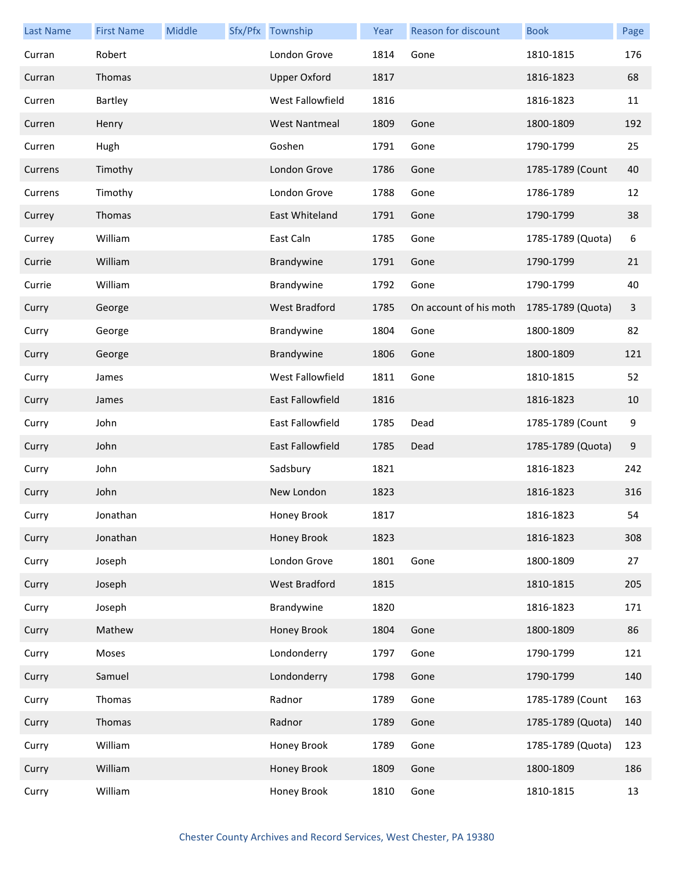| <b>Last Name</b> | <b>First Name</b> | Middle | Sfx/Pfx Township        | Year | Reason for discount    | <b>Book</b>       | Page |
|------------------|-------------------|--------|-------------------------|------|------------------------|-------------------|------|
| Curran           | Robert            |        | London Grove            | 1814 | Gone                   | 1810-1815         | 176  |
| Curran           | Thomas            |        | <b>Upper Oxford</b>     | 1817 |                        | 1816-1823         | 68   |
| Curren           | Bartley           |        | West Fallowfield        | 1816 |                        | 1816-1823         | 11   |
| Curren           | Henry             |        | <b>West Nantmeal</b>    | 1809 | Gone                   | 1800-1809         | 192  |
| Curren           | Hugh              |        | Goshen                  | 1791 | Gone                   | 1790-1799         | 25   |
| Currens          | Timothy           |        | London Grove            | 1786 | Gone                   | 1785-1789 (Count  | 40   |
| Currens          | Timothy           |        | London Grove            | 1788 | Gone                   | 1786-1789         | 12   |
| Currey           | Thomas            |        | East Whiteland          | 1791 | Gone                   | 1790-1799         | 38   |
| Currey           | William           |        | East Caln               | 1785 | Gone                   | 1785-1789 (Quota) | 6    |
| Currie           | William           |        | Brandywine              | 1791 | Gone                   | 1790-1799         | 21   |
| Currie           | William           |        | Brandywine              | 1792 | Gone                   | 1790-1799         | 40   |
| Curry            | George            |        | <b>West Bradford</b>    | 1785 | On account of his moth | 1785-1789 (Quota) | 3    |
| Curry            | George            |        | Brandywine              | 1804 | Gone                   | 1800-1809         | 82   |
| Curry            | George            |        | Brandywine              | 1806 | Gone                   | 1800-1809         | 121  |
| Curry            | James             |        | West Fallowfield        | 1811 | Gone                   | 1810-1815         | 52   |
| Curry            | James             |        | <b>East Fallowfield</b> | 1816 |                        | 1816-1823         | 10   |
| Curry            | John              |        | East Fallowfield        | 1785 | Dead                   | 1785-1789 (Count  | 9    |
| Curry            | John              |        | <b>East Fallowfield</b> | 1785 | Dead                   | 1785-1789 (Quota) | 9    |
| Curry            | John              |        | Sadsbury                | 1821 |                        | 1816-1823         | 242  |
| Curry            | John              |        | New London              | 1823 |                        | 1816-1823         | 316  |
| Curry            | Jonathan          |        | Honey Brook             | 1817 |                        | 1816-1823         | 54   |
| Curry            | Jonathan          |        | Honey Brook             | 1823 |                        | 1816-1823         | 308  |
| Curry            | Joseph            |        | London Grove            | 1801 | Gone                   | 1800-1809         | 27   |
| Curry            | Joseph            |        | <b>West Bradford</b>    | 1815 |                        | 1810-1815         | 205  |
| Curry            | Joseph            |        | Brandywine              | 1820 |                        | 1816-1823         | 171  |
| Curry            | Mathew            |        | Honey Brook             | 1804 | Gone                   | 1800-1809         | 86   |
| Curry            | Moses             |        | Londonderry             | 1797 | Gone                   | 1790-1799         | 121  |
| Curry            | Samuel            |        | Londonderry             | 1798 | Gone                   | 1790-1799         | 140  |
| Curry            | Thomas            |        | Radnor                  | 1789 | Gone                   | 1785-1789 (Count  | 163  |
| Curry            | Thomas            |        | Radnor                  | 1789 | Gone                   | 1785-1789 (Quota) | 140  |
| Curry            | William           |        | Honey Brook             | 1789 | Gone                   | 1785-1789 (Quota) | 123  |
| Curry            | William           |        | Honey Brook             | 1809 | Gone                   | 1800-1809         | 186  |
| Curry            | William           |        | Honey Brook             | 1810 | Gone                   | 1810-1815         | 13   |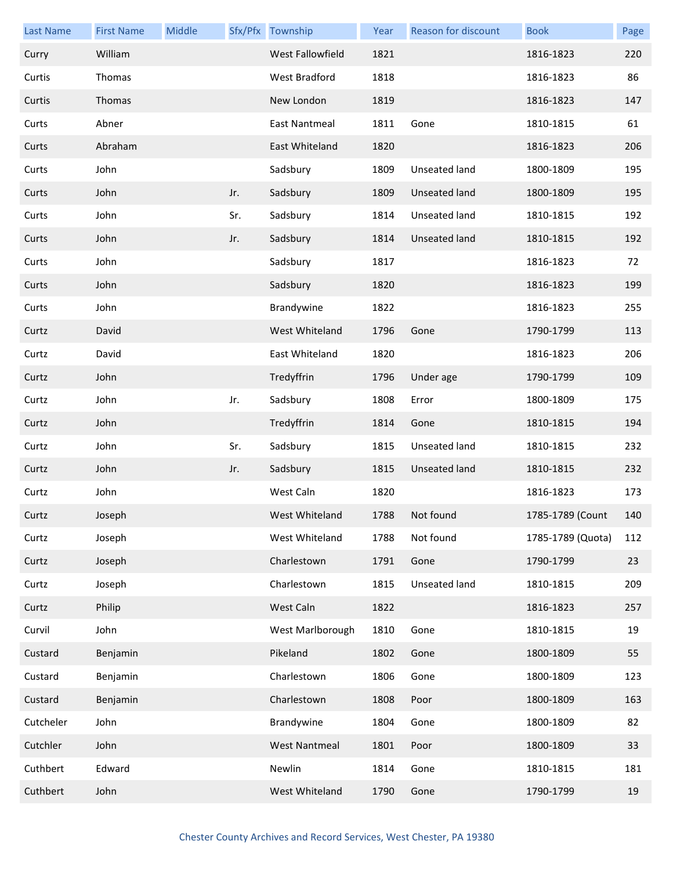| <b>Last Name</b> | <b>First Name</b> | Middle |     | Sfx/Pfx Township     | Year | Reason for discount  | <b>Book</b>       | Page |
|------------------|-------------------|--------|-----|----------------------|------|----------------------|-------------------|------|
| Curry            | William           |        |     | West Fallowfield     | 1821 |                      | 1816-1823         | 220  |
| Curtis           | Thomas            |        |     | West Bradford        | 1818 |                      | 1816-1823         | 86   |
| Curtis           | Thomas            |        |     | New London           | 1819 |                      | 1816-1823         | 147  |
| Curts            | Abner             |        |     | East Nantmeal        | 1811 | Gone                 | 1810-1815         | 61   |
| Curts            | Abraham           |        |     | East Whiteland       | 1820 |                      | 1816-1823         | 206  |
| Curts            | John              |        |     | Sadsbury             | 1809 | <b>Unseated land</b> | 1800-1809         | 195  |
| Curts            | John              |        | Jr. | Sadsbury             | 1809 | Unseated land        | 1800-1809         | 195  |
| Curts            | John              |        | Sr. | Sadsbury             | 1814 | Unseated land        | 1810-1815         | 192  |
| Curts            | John              |        | Jr. | Sadsbury             | 1814 | Unseated land        | 1810-1815         | 192  |
| Curts            | John              |        |     | Sadsbury             | 1817 |                      | 1816-1823         | 72   |
| Curts            | John              |        |     | Sadsbury             | 1820 |                      | 1816-1823         | 199  |
| Curts            | John              |        |     | Brandywine           | 1822 |                      | 1816-1823         | 255  |
| Curtz            | David             |        |     | West Whiteland       | 1796 | Gone                 | 1790-1799         | 113  |
| Curtz            | David             |        |     | East Whiteland       | 1820 |                      | 1816-1823         | 206  |
| Curtz            | John              |        |     | Tredyffrin           | 1796 | Under age            | 1790-1799         | 109  |
| Curtz            | John              |        | Jr. | Sadsbury             | 1808 | Error                | 1800-1809         | 175  |
| Curtz            | John              |        |     | Tredyffrin           | 1814 | Gone                 | 1810-1815         | 194  |
| Curtz            | John              |        | Sr. | Sadsbury             | 1815 | Unseated land        | 1810-1815         | 232  |
| Curtz            | John              |        | Jr. | Sadsbury             | 1815 | Unseated land        | 1810-1815         | 232  |
| Curtz            | John              |        |     | West Caln            | 1820 |                      | 1816-1823         | 173  |
| Curtz            | Joseph            |        |     | West Whiteland       | 1788 | Not found            | 1785-1789 (Count  | 140  |
| Curtz            | Joseph            |        |     | West Whiteland       | 1788 | Not found            | 1785-1789 (Quota) | 112  |
| Curtz            | Joseph            |        |     | Charlestown          | 1791 | Gone                 | 1790-1799         | 23   |
| Curtz            | Joseph            |        |     | Charlestown          | 1815 | Unseated land        | 1810-1815         | 209  |
| Curtz            | Philip            |        |     | West Caln            | 1822 |                      | 1816-1823         | 257  |
| Curvil           | John              |        |     | West Marlborough     | 1810 | Gone                 | 1810-1815         | 19   |
| Custard          | Benjamin          |        |     | Pikeland             | 1802 | Gone                 | 1800-1809         | 55   |
| Custard          | Benjamin          |        |     | Charlestown          | 1806 | Gone                 | 1800-1809         | 123  |
| Custard          | Benjamin          |        |     | Charlestown          | 1808 | Poor                 | 1800-1809         | 163  |
| Cutcheler        | John              |        |     | Brandywine           | 1804 | Gone                 | 1800-1809         | 82   |
| Cutchler         | John              |        |     | <b>West Nantmeal</b> | 1801 | Poor                 | 1800-1809         | 33   |
| Cuthbert         | Edward            |        |     | Newlin               | 1814 | Gone                 | 1810-1815         | 181  |
| Cuthbert         | John              |        |     | West Whiteland       | 1790 | Gone                 | 1790-1799         | 19   |